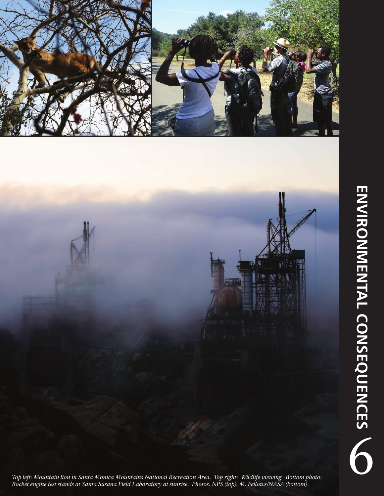

**ENVIRONMENTAL CONSEQUENCES** ENVIRONMENTAL CONSEQUENCES

*Top left: Mountain lion in Santa Monica Mountains National Recreation Area. Top right: Wildlife viewing. Bottom photo: Rocket engine test stands at Santa Susana Field Laboratory at sunrise. Photos: NPS (top), M. Fellows/NASA (bottom).*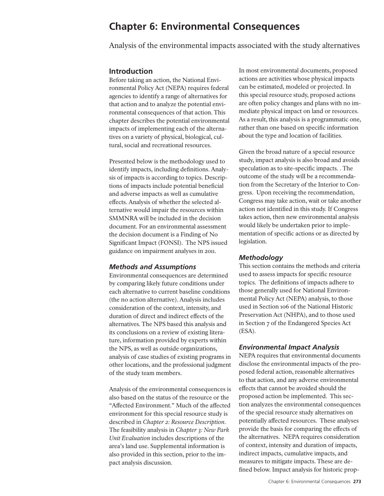# **Chapter 6: Environmental Consequences**

Analysis of the environmental impacts associated with the study alternatives

## **Introduction**

Before taking an action, the National Environmental Policy Act (NEPA) requires federal agencies to identify a range of alternatives for that action and to analyze the potential environmental consequences of that action. This chapter describes the potential environmental impacts of implementing each of the alternatives on a variety of physical, biological, cultural, social and recreational resources.

Presented below is the methodology used to identify impacts, including definitions. Analysis of impacts is according to topics. Descriptions of impacts include potential beneficial and adverse impacts as well as cumulative effects. Analysis of whether the selected alternative would impair the resources within SMMNRA will be included in the decision document. For an environmental assessment the decision document is a Finding of No Significant Impact (FONSI). The NPS issued guidance on impairment analyses in 2011.

### *Methods and Assumptions*

Environmental consequences are determined by comparing likely future conditions under each alternative to current baseline conditions (the no action alternative). Analysis includes consideration of the context, intensity, and duration of direct and indirect effects of the alternatives. The NPS based this analysis and its conclusions on a review of existing literature, information provided by experts within the NPS, as well as outside organizations, analysis of case studies of existing programs in other locations, and the professional judgment of the study team members.

Analysis of the environmental consequences is also based on the status of the resource or the "Affected Environment." Much of the affected environment for this special resource study is described in *Chapter 2: Resource Description*. The feasibility analysis in *Chapter 3: New Park Unit Evaluation* includes descriptions of the area's land use. Supplemental information is also provided in this section, prior to the impact analysis discussion.

In most environmental documents, proposed actions are activities whose physical impacts can be estimated, modeled or projected. In this special resource study, proposed actions are often policy changes and plans with no immediate physical impact on land or resources. As a result, this analysis is a programmatic one, rather than one based on specific information about the type and location of facilities.

Given the broad nature of a special resource study, impact analysis is also broad and avoids speculation as to site-specific impacts. . The outcome of the study will be a recommendation from the Secretary of the Interior to Congress. Upon receiving the recommendation, Congress may take action, wait or take another action not identified in this study. If Congress takes action, then new environmental analysis would likely be undertaken prior to implementation of specific actions or as directed by legislation.

### *Methodology*

This section contains the methods and criteria used to assess impacts for specific resource topics. The definitions of impacts adhere to those generally used for National Environmental Policy Act (NEPA) analysis, to those used in Section 106 of the National Historic Preservation Act (NHPA), and to those used in Section 7 of the Endangered Species Act (ESA).

### *Environmental Impact Analysis*

NEPA requires that environmental documents disclose the environmental impacts of the proposed federal action, reasonable alternatives to that action, and any adverse environmental effects that cannot be avoided should the proposed action be implemented. This section analyzes the environmental consequences of the special resource study alternatives on potentially affected resources. These analyses provide the basis for comparing the effects of the alternatives. NEPA requires consideration of context, intensity and duration of impacts, indirect impacts, cumulative impacts, and measures to mitigate impacts. These are defined below. Impact analysis for historic prop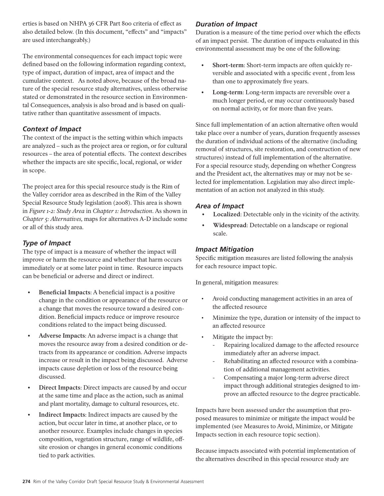erties is based on NHPA 36 CFR Part 800 criteria of effect as also detailed below. (In this document, "effects" and "impacts" are used interchangeably.)

The environmental consequences for each impact topic were defined based on the following information regarding context, type of impact, duration of impact, area of impact and the cumulative context. As noted above, because of the broad nature of the special resource study alternatives, unless otherwise stated or demonstrated in the resource section in Environmental Consequences, analysis is also broad and is based on qualitative rather than quantitative assessment of impacts.

## *Context of Impact*

The context of the impact is the setting within which impacts are analyzed – such as the project area or region, or for cultural resources – the area of potential effects. The context describes whether the impacts are site specific, local, regional, or wider in scope.

The project area for this special resource study is the Rim of the Valley corridor area as described in the Rim of the Valley Special Resource Study legislation (2008). This area is shown in *Figure 1-2: Study Area* in *Chapter 1: Introduction*. As shown in *Chapter 5: Alternatives,* maps for alternatives A-D include some or all of this study area.

## *Type of Impact*

The type of impact is a measure of whether the impact will improve or harm the resource and whether that harm occurs immediately or at some later point in time. Resource impacts can be beneficial or adverse and direct or indirect.

- **• Beneficial Impacts**: A beneficial impact is a positive change in the condition or appearance of the resource or a change that moves the resource toward a desired condition. Beneficial impacts reduce or improve resource conditions related to the impact being discussed.
- Adverse Impacts: An adverse impact is a change that moves the resource away from a desired condition or detracts from its appearance or condition. Adverse impacts increase or result in the impact being discussed. Adverse impacts cause depletion or loss of the resource being discussed.
- **• Direct Impacts**: Direct impacts are caused by and occur at the same time and place as the action, such as animal and plant mortality, damage to cultural resources, etc.
- **• Indirect Impacts**: Indirect impacts are caused by the action, but occur later in time, at another place, or to another resource. Examples include changes in species composition, vegetation structure, range of wildlife, offsite erosion or changes in general economic conditions tied to park activities.

## *Duration of Impact*

Duration is a measure of the time period over which the effects of an impact persist. The duration of impacts evaluated in this environmental assessment may be one of the following:

- **• Short-term**: Short-term impacts are often quickly reversible and associated with a specific event , from less than one to approximately five years.
- Long-term: Long-term impacts are reversible over a much longer period, or may occur continuously based on normal activity, or for more than five years.

Since full implementation of an action alternative often would take place over a number of years, duration frequently assesses the duration of individual actions of the alternative (including removal of structures, site restoration, and construction of new structures) instead of full implementation of the alternative. For a special resource study, depending on whether Congress and the President act, the alternatives may or may not be selected for implementation. Legislation may also direct implementation of an action not analyzed in this study.

## *Area of Impact*

- Localized: Detectable only in the vicinity of the activity.
- **Widespread**: Detectable on a landscape or regional scale.

## *Impact Mitigation*

Specific mitigation measures are listed following the analysis for each resource impact topic.

In general, mitigation measures:

- Avoid conducting management activities in an area of the affected resource
- Minimize the type, duration or intensity of the impact to an affected resource
- Mitigate the impact by:
	- Repairing localized damage to the affected resource immediately after an adverse impact.
	- Rehabilitating an affected resource with a combination of additional management activities.
	- Compensating a major long-term adverse direct impact through additional strategies designed to improve an affected resource to the degree practicable.

Impacts have been assessed under the assumption that proposed measures to minimize or mitigate the impact would be implemented (see Measures to Avoid, Minimize, or Mitigate Impacts section in each resource topic section).

Because impacts associated with potential implementation of the alternatives described in this special resource study are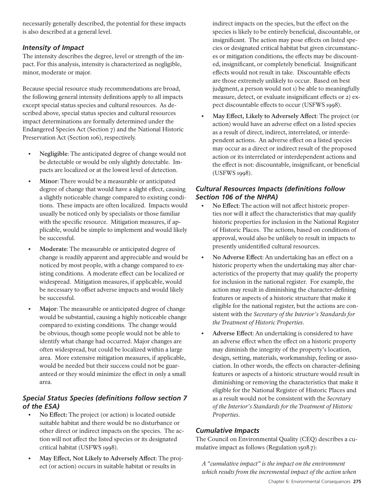necessarily generally described, the potential for these impacts is also described at a general level.

# *Intensity of Impact*

The intensity describes the degree, level or strength of the impact. For this analysis, intensity is characterized as negligible, minor, moderate or major.

Because special resource study recommendations are broad, the following general intensity definitions apply to all impacts except special status species and cultural resources. As described above, special status species and cultural resources impact determinations are formally determined under the Endangered Species Act (Section 7) and the National Historic Preservation Act (Section 106), respectively.

- **• Negligible**: The anticipated degree of change would not be detectable or would be only slightly detectable. Impacts are localized or at the lowest level of detection.
- **• Minor**: There would be a measurable or anticipated degree of change that would have a slight effect, causing a slightly noticeable change compared to existing conditions. These impacts are often localized. Impacts would usually be noticed only by specialists or those familiar with the specific resource. Mitigation measures, if applicable, would be simple to implement and would likely be successful.
- **• Moderate**: The measurable or anticipated degree of change is readily apparent and appreciable and would be noticed by most people, with a change compared to existing conditions. A moderate effect can be localized or widespread. Mitigation measures, if applicable, would be necessary to offset adverse impacts and would likely be successful.
- **• Major**: The measurable or anticipated degree of change would be substantial, causing a highly noticeable change compared to existing conditions. The change would be obvious, though some people would not be able to identify what change had occurred. Major changes are often widespread, but could be localized within a large area. More extensive mitigation measures, if applicable, would be needed but their success could not be guaranteed or they would minimize the effect in only a small area.

# *Special Status Species (definitions follow section 7 of the ESA)*

- **No Effect:** The project (or action) is located outside suitable habitat and there would be no disturbance or other direct or indirect impacts on the species. The action will not affect the listed species or its designated critical habitat (USFWS 1998).
- **• May Effect, Not Likely to Adversely Affect**: The project (or action) occurs in suitable habitat or results in

indirect impacts on the species, but the effect on the species is likely to be entirely beneficial, discountable, or insignificant. The action may pose effects on listed species or designated critical habitat but given circumstances or mitigation conditions, the effects may be discounted, insignificant, or completely beneficial. Insignificant effects would not result in take. Discountable effects are those extremely unlikely to occur. Based on best judgment, a person would not 1) be able to meaningfully measure, detect, or evaluate insignificant effects or 2) expect discountable effects to occur (USFWS 1998).

**• May Effect, Likely to Adversely Affect**: The project (or action) would have an adverse effect on a listed species as a result of direct, indirect, interrelated, or interdependent actions. An adverse effect on a listed species may occur as a direct or indirect result of the proposed action or its interrelated or interdependent actions and the effect is not: discountable, insignificant, or beneficial (USFWS 1998).

## *Cultural Resources Impacts (definitions follow Section 106 of the NHPA)*

- No Effect: The action will not affect historic properties nor will it affect the characteristics that may qualify historic properties for inclusion in the National Register of Historic Places. The actions, based on conditions of approval, would also be unlikely to result in impacts to presently unidentified cultural resources.
- **• No Adverse Effect**: An undertaking has an effect on a historic property when the undertaking may alter characteristics of the property that may qualify the property for inclusion in the national register. For example, the action may result in diminishing the character-defining features or aspects of a historic structure that make it eligible for the national register, but the actions are consistent with the *Secretary of the Interior's Standards for the Treatment of Historic Properties*.
- **• Adverse Effect**: An undertaking is considered to have an adverse effect when the effect on a historic property may diminish the integrity of the property's location, design, setting, materials, workmanship, feeling or association. In other words, the effects on character-defining features or aspects of a historic structure would result in diminishing or removing the characteristics that make it eligible for the National Register of Historic Places and as a result would not be consistent with the *Secretary of the Interior's Standards for the Treatment of Historic Properties*.

## *Cumulative Impacts*

The Council on Environmental Quality (CEQ) describes a cumulative impact as follows (Regulation 1508.7):

*A "cumulative impact" is the impact on the environment which results from the incremental impact of the action when*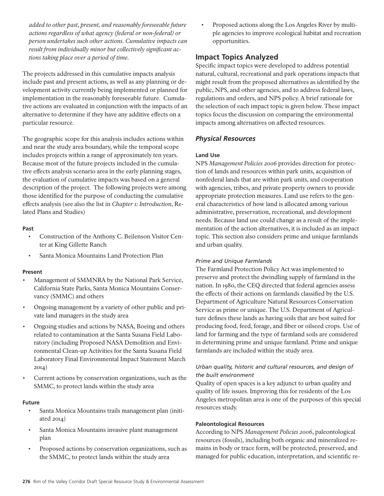*added to other past, present, and reasonably foreseeable future actions regardless of what agency (federal or non-federal) or person undertakes such other actions. Cumulative impacts can result from individually minor but collectively significant actions taking place over a period of time.*

The projects addressed in this cumulative impacts analysis include past and present actions, as well as any planning or development activity currently being implemented or planned for implementation in the reasonably foreseeable future. Cumulative actions are evaluated in conjunction with the impacts of an alternative to determine if they have any additive effects on a particular resource.

The geographic scope for this analysis includes actions within and near the study area boundary, while the temporal scope includes projects within a range of approximately ten years. Because most of the future projects included in the cumulative effects analysis scenario area in the early planning stages, the evaluation of cumulative impacts was based on a general description of the project. The following projects were among those identified for the purpose of conducting the cumulative effects analysis (see also the list in *Chapter 1: Introduction*, Related Plans and Studies)

#### **Past**

- Construction of the Anthony C. Beilenson Visitor Center at King Gillette Ranch
- Santa Monica Mountains Land Protection Plan

### **Present**

- Management of SMMNRA by the National Park Service, California State Parks, Santa Monica Mountains Conservancy (SMMC) and others
- Ongoing management by a variety of other public and private land managers in the study area
- • Ongoing studies and actions by NASA, Boeing and others related to contamination at the Santa Susana Field Laboratory (including Proposed NASA Demolition and Environmental Clean-up Activities for the Santa Susana Field Laboratory Final Environmental Impact Statement March 2014)
- Current actions by conservation organizations, such as the SMMC, to protect lands within the study area

#### **Future**

- Santa Monica Mountains trails management plan (initiated 2014)
- Santa Monica Mountains invasive plant management plan
- • Proposed actions by conservation organizations, such as the SMMC, to protect lands within the study area

Proposed actions along the Los Angeles River by multiple agencies to improve ecological habitat and recreation opportunities.

## **Impact Topics Analyzed**

Specific impact topics were developed to address potential natural, cultural, recreational and park operations impacts that might result from the proposed alternatives as identified by the public, NPS, and other agencies, and to address federal laws, regulations and orders, and NPS policy. A brief rationale for the selection of each impact topic is given below. These impact topics focus the discussion on comparing the environmental impacts among alternatives on affected resources.

## *Physical Resources*

### **Land Use**

NPS *Management Policies 2006* provides direction for protection of lands and resources within park units, acquisition of nonfederal lands that are within park units, and cooperation with agencies, tribes, and private property owners to provide appropriate protection measures. Land use refers to the general characteristics of how land is allocated among various administrative, preservation, recreational, and development needs. Because land use could change as a result of the implementation of the action alternatives, it is included as an impact topic. This section also considers prime and unique farmlands and urban quality.

### *Prime and Unique Farmlands*

The Farmland Protection Policy Act was implemented to preserve and protect the dwindling supply of farmland in the nation. In 1980, the CEQ directed that federal agencies assess the effects of their actions on farmlands classified by the U.S. Department of Agriculture Natural Resources Conservation Service as prime or unique. The U.S. Department of Agriculture defines these lands as having soils that are best suited for producing food, feed, forage, and fiber or oilseed crops. Use of land for farming and the type of farmland soils are considered in determining prime and unique farmland. Prime and unique farmlands are included within the study area.

### *Urban quality, historic and cultural resources, and design of the built environment*

Quality of open spaces is a key adjunct to urban quality and quality of life issues. Improving this for residents of the Los Angeles metropolitan area is one of the purposes of this special resources study.

#### **Paleontological Resources**

According to NPS *Management Policies 2006*, paleontological resources (fossils), including both organic and mineralized remains in body or trace form, will be protected, preserved, and managed for public education, interpretation, and scientific re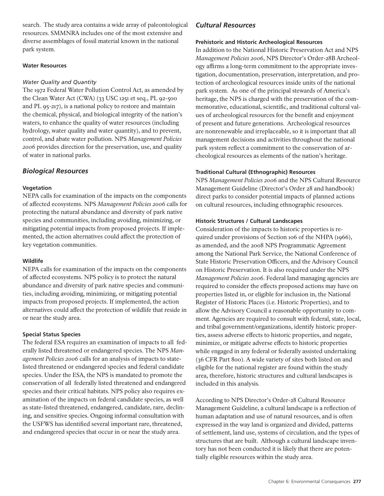search. The study area contains a wide array of paleontological resources. SMMNRA includes one of the most extensive and diverse assemblages of fossil material known in the national park system.

### **Water Resources**

### *Water Quality and Quantity*

The 1972 Federal Water Pollution Control Act, as amended by the Clean Water Act (CWA) (33 USC 1251 et seq., PL 92-500 and PL 95-217), is a national policy to restore and maintain the chemical, physical, and biological integrity of the nation's waters, to enhance the quality of water resources (including hydrology, water quality and water quantity), and to prevent, control, and abate water pollution. NPS *Management Policies 2006* provides direction for the preservation, use, and quality of water in national parks.

## *Biological Resources*

### **Vegetation**

NEPA calls for examination of the impacts on the components of affected ecosystems. NPS *Management Policies 2006* calls for protecting the natural abundance and diversity of park native species and communities, including avoiding, minimizing, or mitigating potential impacts from proposed projects. If implemented, the action alternatives could affect the protection of key vegetation communities.

### **Wildlife**

NEPA calls for examination of the impacts on the components of affected ecosystems. NPS policy is to protect the natural abundance and diversity of park native species and communities, including avoiding, minimizing, or mitigating potential impacts from proposed projects. If implemented, the action alternatives could affect the protection of wildlife that reside in or near the study area.

## **Special Status Species**

The federal ESA requires an examination of impacts to all federally listed threatened or endangered species. The NPS *Management Policies 2006* calls for an analysis of impacts to statelisted threatened or endangered species and federal candidate species. Under the ESA, the NPS is mandated to promote the conservation of all federally listed threatened and endangered species and their critical habitats. NPS policy also requires examination of the impacts on federal candidate species, as well as state-listed threatened, endangered, candidate, rare, declining, and sensitive species. Ongoing informal consultation with the USFWS has identified several important rare, threatened, and endangered species that occur in or near the study area.

## *Cultural Resources*

### **Prehistoric and Historic Archeological Resources**

In addition to the National Historic Preservation Act and NPS *Management Policies 2006*, NPS Director's Order-28B Archeology affirms a long-term commitment to the appropriate investigation, documentation, preservation, interpretation, and protection of archeological resources inside units of the national park system. As one of the principal stewards of America's heritage, the NPS is charged with the preservation of the commemorative, educational, scientific, and traditional cultural values of archeological resources for the benefit and enjoyment of present and future generations. Archeological resources are nonrenewable and irreplaceable, so it is important that all management decisions and activities throughout the national park system reflect a commitment to the conservation of archeological resources as elements of the nation's heritage.

### **Traditional Cultural (Ethnographic) Resources**

NPS *Management Policies 2006* and the NPS Cultural Resource Management Guideline (Director's Order 28 and handbook) direct parks to consider potential impacts of planned actions on cultural resources, including ethnographic resources.

### **Historic Structures / Cultural Landscapes**

Consideration of the impacts to historic properties is required under provisions of Section 106 of the NHPA (1966), as amended, and the 2008 NPS Programmatic Agreement among the National Park Service, the National Conference of State Historic Preservation Officers, and the Advisory Council on Historic Preservation. It is also required under the NPS *Management Policies 2006*. Federal land managing agencies are required to consider the effects proposed actions may have on properties listed in, or eligible for inclusion in, the National Register of Historic Places (i.e. Historic Properties), and to allow the Advisory Council a reasonable opportunity to comment. Agencies are required to consult with federal, state, local, and tribal government/organizations, identify historic properties, assess adverse effects to historic properties, and negate, minimize, or mitigate adverse effects to historic properties while engaged in any federal or federally assisted undertaking (36 CFR Part 800). A wide variety of sites both listed on and eligible for the national register are found within the study area, therefore, historic structures and cultural landscapes is included in this analysis.

According to NPS Director's Order-28 Cultural Resource Management Guideline, a cultural landscape is a reflection of human adaptation and use of natural resources, and is often expressed in the way land is organized and divided, patterns of settlement, land use, systems of circulation, and the types of structures that are built. Although a cultural landscape inventory has not been conducted it is likely that there are potentially eligible resources within the study area.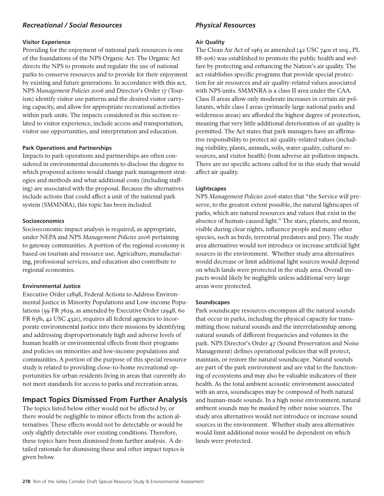## *Recreational / Social Resources*

#### **Visitor Experience**

Providing for the enjoyment of national park resources is one of the foundations of the NPS Organic Act. The Organic Act directs the NPS to promote and regulate the use of national parks to conserve resources and to provide for their enjoyment by existing and future generations. In accordance with this act, NPS *Management Policies 2006* and Director's Order 17 (Tourism) identify visitor use patterns and the desired visitor carrying capacity, and allow for appropriate recreational activities within park units. The impacts considered in this section related to visitor experience, include access and transportation, visitor use opportunities, and interpretation and education.

#### **Park Operations and Partnerships**

Impacts to park operations and partnerships are often considered in environmental documents to disclose the degree to which proposed actions would change park management strategies and methods and what additional costs (including staffing) are associated with the proposal. Because the alternatives include actions that could affect a unit of the national park system (SMMNRA), this topic has been included.

#### **Socioeconomics**

Socioeconomic impact analysis is required, as appropriate, under NEPA and NPS *Management Policies 2006* pertaining to gateway communities. A portion of the regional economy is based on tourism and resource use. Agriculture, manufacturing, professional services, and education also contribute to regional economies.

### **Environmental Justice**

Executive Order 12898, Federal Actions to Address Environmental Justice in Minority Populations and Low-income Populations (59 FR 7629, as amended by Executive Order 12948, 60 FR 6381, 42 USC 4321), requires all federal agencies to incorporate environmental justice into their missions by identifying and addressing disproportionately high and adverse levels of human health or environmental effects from their programs and policies on minorities and low-income populations and communities. A portion of the purpose of this special resource study is related to providing close-to-home recreational opportunities for urban residents living in areas that currently do not meet standards for access to parks and recreation areas.

## **Impact Topics Dismissed From Further Analysis**

The topics listed below either would not be affected by, or there would be negligible to minor effects from the action alternatives. These effects would not be detectable or would be only slightly detectable over existing conditions. Therefore, these topics have been dismissed from further analysis. A detailed rationale for dismissing these and other impact topics is given below.

## *Physical Resources*

#### **Air Quality**

The Clean Air Act of 1963 as amended (42 USC 7401 et seq., PL 88-206) was established to promote the public health and welfare by protecting and enhancing the Nation's air quality. The act establishes specific programs that provide special protection for air resources and air quality-related values associated with NPS units. SMMNRA is a class II area under the CAA. Class II areas allow only moderate increases in certain air pollutants, while class I areas (primarily large national parks and wilderness areas) are afforded the highest degree of protection, meaning that very little additional deterioration of air quality is permitted. The Act states that park managers have an affirmative responsibility to protect air quality-related values (including visibility, plants, animals, soils, water quality, cultural resources, and visitor health) from adverse air pollution impacts. There are no specific actions called for in this study that would affect air quality.

### **Lightscapes**

NPS *Management Policies 2006* states that "the Service will preserve, to the greatest extent possible, the natural lightscapes of parks, which are natural resources and values that exist in the absence of human-caused light." The stars, planets, and moon, visible during clear nights, influence people and many other species, such as birds, terrestrial predators and prey. The study area alternatives would not introduce or increase artificial light sources in the environment. Whether study area alternatives would decrease or limit additional light sources would depend on which lands were protected in the study area. Overall impacts would likely be negligible unless additional very large areas were protected.

### **Soundscapes**

Park soundscape resources encompass all the natural sounds that occur in parks, including the physical capacity for transmitting those natural sounds and the interrelationship among natural sounds of different frequencies and volumes in the park. NPS Director's Order 47 (Sound Preservation and Noise Management) defines operational policies that will protect, maintain, or restore the natural soundscape. Natural sounds are part of the park environment and are vital to the functioning of ecosystems and may also be valuable indicators of their health. As the total ambient acoustic environment associated with an area, soundscapes may be composed of both natural and human-made sounds. In a high noise environment, natural ambient sounds may be masked by other noise sources. The study area alternatives would not introduce or increase sound sources in the environment. Whether study area alternatives would limit additional noise would be dependent on which lands were protected.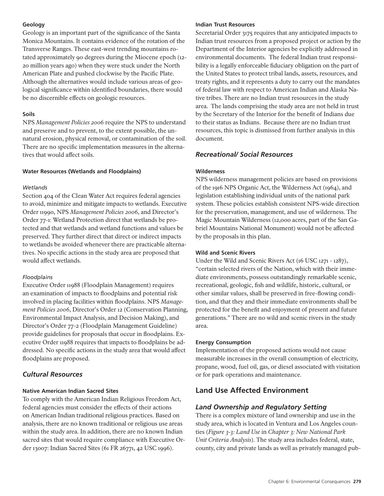### **Geology**

Geology is an important part of the significance of the Santa Monica Mountains. It contains evidence of the rotation of the Transverse Ranges. These east-west trending mountains rotated approximately 90 degrees during the Miocene epoch (12- 20 million years ago) when they were stuck under the North American Plate and pushed clockwise by the Pacific Plate. Although the alternatives would include various areas of geological significance within identified boundaries, there would be no discernible effects on geologic resources.

## **Soils**

NPS *Management Policies 2006* require the NPS to understand and preserve and to prevent, to the extent possible, the unnatural erosion, physical removal, or contamination of the soil. There are no specific implementation measures in the alternatives that would affect soils.

### **Water Resources (Wetlands and Floodplains)**

### *Wetlands*

Section 404 of the Clean Water Act requires federal agencies to avoid, minimize and mitigate impacts to wetlands. Executive Order 11990, NPS *Management Policies 2006*, and Director's Order 77-1: Wetland Protection direct that wetlands be protected and that wetlands and wetland functions and values be preserved. They further direct that direct or indirect impacts to wetlands be avoided whenever there are practicable alternatives. No specific actions in the study area are proposed that would affect wetlands.

### *Floodplains*

Executive Order 11988 (Floodplain Management) requires an examination of impacts to floodplains and potential risk involved in placing facilities within floodplains. NPS *Management Policies 2006*, Director's Order 12 (Conservation Planning, Environmental Impact Analysis, and Decision Making), and Director's Order 77-2 (Floodplain Management Guideline) provide guidelines for proposals that occur in floodplains. Executive Order 11988 requires that impacts to floodplains be addressed. No specific actions in the study area that would affect floodplains are proposed.

## *Cultural Resources*

### **Native American Indian Sacred Sites**

To comply with the American Indian Religious Freedom Act, federal agencies must consider the effects of their actions on American Indian traditional religious practices. Based on analysis, there are no known traditional or religious use areas within the study area. In addition, there are no known Indian sacred sites that would require compliance with Executive Order 13007: Indian Sacred Sites (61 FR 26771, 42 USC 1996).

#### **Indian Trust Resources**

Secretarial Order 3175 requires that any anticipated impacts to Indian trust resources from a proposed project or action by the Department of the Interior agencies be explicitly addressed in environmental documents. The federal Indian trust responsibility is a legally enforceable fiduciary obligation on the part of the United States to protect tribal lands, assets, resources, and treaty rights, and it represents a duty to carry out the mandates of federal law with respect to American Indian and Alaska Native tribes. There are no Indian trust resources in the study area. The lands comprising the study area are not held in trust by the Secretary of the Interior for the benefit of Indians due to their status as Indians. Because there are no Indian trust resources, this topic is dismissed from further analysis in this document.

## *Recreational/ Social Resources*

### **Wilderness**

NPS wilderness management policies are based on provisions of the 1916 NPS Organic Act, the Wilderness Act (1964), and legislation establishing individual units of the national park system. These policies establish consistent NPS-wide direction for the preservation, management, and use of wilderness. The Magic Mountain Wilderness (12,000 acres, part of the San Gabriel Mountains National Monument) would not be affected by the proposals in this plan.

### **Wild and Scenic Rivers**

Under the Wild and Scenic Rivers Act (16 USC 1271 - 1287), "certain selected rivers of the Nation, which with their immediate environments, possess outstandingly remarkable scenic, recreational, geologic, fish and wildlife, historic, cultural, or other similar values, shall be preserved in free-flowing condition, and that they and their immediate environments shall be protected for the benefit and enjoyment of present and future generations." There are no wild and scenic rivers in the study area.

### **Energy Consumption**

Implementation of the proposed actions would not cause measurable increases in the overall consumption of electricity, propane, wood, fuel oil, gas, or diesel associated with visitation or for park operations and maintenance.

# **Land Use Affected Environment**

## *Land Ownership and Regulatory Setting*

There is a complex mixture of land ownership and use in the study area, which is located in Ventura and Los Angeles counties (*Figure 3-3: Land Use* in *Chapter 3: New National Park Unit Criteria Analysis*). The study area includes federal, state, county, city and private lands as well as privately managed pub-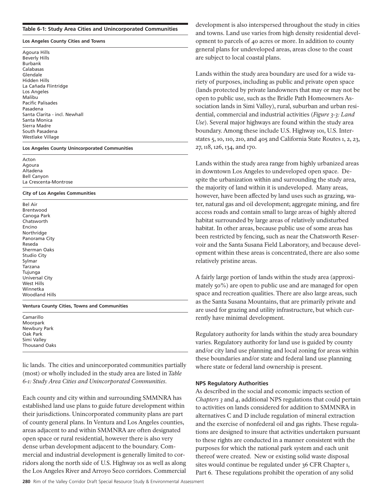#### **Table 6-1: Study Area Cities and Unincorporated Communities**

#### **Los Angeles County Cities and Towns**

Agoura Hills Beverly Hills Burbank Calabasas Glendale Hidden Hills La Cañada Flintridge Los Angeles Malibu Pacific Palisades Pasadena Santa Clarita - incl. Newhall Santa Monica Sierra Madre South Pasadena Westlake Village

#### **Los Angeles County Unincorporated Communities**

Acton Agoura Altadena Bell Canyon La Crescenta-Montrose

#### **City of Los Angeles Communities**

Bel Air Brentwood Canoga Park Chatsworth Encino Northridge Panorama City Reseda Sherman Oaks Studio City Sylmar Tarzana Tujunga Universal City West Hills Winnetka Woodland Hills

#### **Ventura County Cities, Towns and Communities**

Camarillo Moorpark Newbury Park Oak Park Simi Valley Thousand Oaks

lic lands. The cities and unincorporated communities partially (most) or wholly included in the study area are listed in *Table 6-1: Study Area Cities and Unincorporated Communities*.

Each county and city within and surrounding SMMNRA has established land use plans to guide future development within their jurisdictions. Unincorporated community plans are part of county general plans. In Ventura and Los Angeles counties, areas adjacent to and within SMMNRA are often designated open space or rural residential, however there is also very dense urban development adjacent to the boundary. Commercial and industrial development is generally limited to corridors along the north side of U.S. Highway 101 as well as along the Los Angeles River and Arroyo Seco corridors. Commercial development is also interspersed throughout the study in cities and towns. Land use varies from high density residential development to parcels of 40 acres or more. In addition to county general plans for undeveloped areas, areas close to the coast are subject to local coastal plans.

Lands within the study area boundary are used for a wide variety of purposes, including as public and private open space (lands protected by private landowners that may or may not be open to public use, such as the Bridle Path Homeowners Association lands in Simi Valley), rural, suburban and urban residential, commercial and industrial activities (*Figure 3-3: Land Use*). Several major highways are found within the study area boundary. Among these include U.S. Highway 101, U.S. Interstates 5, 10, 110, 210, and 405 and California State Routes 1, 2, 23, 27, 118, 126, 134, and 170.

Lands within the study area range from highly urbanized areas in downtown Los Angeles to undeveloped open space. Despite the urbanization within and surrounding the study area, the majority of land within it is undeveloped. Many areas, however, have been affected by land uses such as grazing, water, natural gas and oil development; aggregate mining, and fire access roads and contain small to large areas of highly altered habitat surrounded by large areas of relatively undisturbed habitat. In other areas, because public use of some areas has been restricted by fencing, such as near the Chatsworth Reservoir and the Santa Susana Field Laboratory, and because development within these areas is concentrated, there are also some relatively pristine areas.

A fairly large portion of lands within the study area (approximately 50%) are open to public use and are managed for open space and recreation qualities. There are also large areas, such as the Santa Susana Mountains, that are primarily private and are used for grazing and utility infrastructure, but which currently have minimal development.

Regulatory authority for lands within the study area boundary varies. Regulatory authority for land use is guided by county and/or city land use planning and local zoning for areas within these boundaries and/or state and federal land use planning where state or federal land ownership is present.

#### **NPS Regulatory Authorities**

As described in the social and economic impacts section of *Chapters 3* and *4*, additional NPS regulations that could pertain to activities on lands considered for addition to SMMNRA in alternatives C and D include regulation of mineral extraction and the exercise of nonfederal oil and gas rights. These regulations are designed to insure that activities undertaken pursuant to these rights are conducted in a manner consistent with the purposes for which the national park system and each unit thereof were created. New or existing solid waste disposal sites would continue be regulated under 36 CFR Chapter 1, Part 6. These regulations prohibit the operation of any solid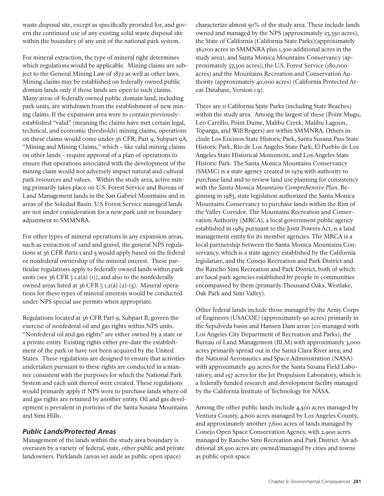waste disposal site, except as specifically provided for, and govern the continued use of any existing solid waste disposal site within the boundary of any unit of the national park system.

For mineral extraction, the type of mineral right determines which regulations would be applicable. Mining claims are subject to the General Mining Law of 1872 as well as other laws. Mining claims may be established on federally owned public domain lands only if those lands are open to such claims. Many areas of federally owned public domain land, including park units, are withdrawn from the establishment of new mining claims. If the expansion area were to contain previouslyestablished "valid" (meaning the claims have met certain legal, technical, and economic thresholds) mining claims, operations on these claims would come under 36 CFR, Part 9, Subpart 9A, "Mining and Mining Claims," which – like valid mining claims on other lands – require approval of a plan of operations to ensure that operations associated with the development of the mining claim would not adversely impact natural and cultural park resources and values. Within the study area, active mining primarily takes place on U.S. Forest Service and Bureau of Land Management lands in the San Gabriel Mountains and in areas of the Soledad Basin. U.S Forest Service managed lands are not under consideration for a new park unit or boundary adjustment to SMMNRA.

For other types of mineral operations in any expansion areas, such as extraction of sand and gravel, the general NPS regulations at 36 CFR Parts 1 and 5 would apply based on the federal or nonfederal ownership of the mineral interest. These particular regulations apply to federally owned lands within park units (see 36 CFR  $\S$  1.2(a) (1)), and also to the nonfederally owned areas listed at 36 CFR § 1.2(a) (2)-(5). Mineral operations for these types of mineral interests would be conducted under NPS special use permits when appropriate.

Regulations located at 36 CFR Part 9, Subpart B, govern the exercise of nonfederal oil and gas rights within NPS units. "Nonfederal oil and gas rights" are either owned by a state or a private entity. Existing rights either pre-date the establishment of the park or have not been acquired by the United States. These regulations are designed to ensure that activities undertaken pursuant to these rights are conducted in a manner consistent with the purposes for which the National Park System and each unit thereof were created. These regulations would primarily apply if NPS were to purchase lands where oil and gas rights are retained by another entity. Oil and gas development is prevalent in portions of the Santa Susana Mountains and Simi Hills.

## *Public Lands/Protected Areas*

Management of the lands within the study area boundary is overseen by a variety of federal, state, other public and private landowners. Parklands (areas set aside as public open space)

characterize almost 50% of the study area. These include lands owned and managed by the NPS (approximately 23,350 acres), the State of California (California State Parks)(approximately 36,000 acres in SMMNRA plus 1,300 additional acres in the study area), and Santa Monica Mountains Conservancy (approximately 37,300 acres), the U.S. Forest Service (180,000 acres) and the Mountains Recreation and Conservation Authority (approximately 40,000 acres) (California Protected Areas Database, Version 1.9).

There are 11 California State Parks (including State Beaches) within the study area. Among the largest of these (Point Mugu, Leo Carrillo, Point Dume, Malibu Creek, Malibu Lagoon, Topanga, and Will Rogers) are within SMMNRA. Others include Los Encinos State Historic Park, Santa Susana Pass State Historic Park, Rio de Los Angeles State Park, El Pueblo de Los Angeles State Historical Monument, and Los Angeles State Historic Park. The Santa Monica Mountains Conservancy (SMMC) is a state agency created in 1979 with authority to purchase land and to review land use planning for consistency with the *Santa Monica Mountains Comprehensive Plan*. Beginning in 1983, state legislation authorized the Santa Monica Mountains Conservancy to purchase lands within the Rim of the Valley Corridor. The Mountains Recreation and Conservation Authority (MRCA), a local government public agency established in 1985 pursuant to the Joint Powers Act, is a land management entity for its member agencies. The MRCA is a local partnership between the Santa Monica Mountains Conservancy, which is a state agency established by the California legislature, and the Conejo Recreation and Park District and the Rancho Simi Recreation and Park District, both of which are local park agencies established by people in communities encompassed by them (primarily Thousand Oaks, Westlake, Oak Park and Simi Valley).

Other federal lands include those managed by the Army Corps of Engineers (USACOE) (approximately 90 acres) primarily in the Sepulveda basin and Hansen Dam areas (co-managed with Los Angeles City Department of Recreation and Parks); the Bureau of Land Management (BLM) with approximately 3,000 acres primarily spread out in the Santa Clara River area; and the National Aeronautics and Space Administration (NASA) with approximately 451 acres for the Santa Susana Field Laboratory, and 157 acres for the Jet Propulsion Laboratory, which is a federally funded research and development facility managed by the California Institute of Technology for NASA.

Among the other public lands include 4,500 acres managed by Ventura County, 4,600 acres managed by Los Angeles County, and approximately another 7,600 acres of lands managed by Conejo Open Space Conservation Agency, with 2,900 acres managed by Rancho Simi Recreation and Park District. An additional 28,500 acres are owned/managed by cities and towns as public open space.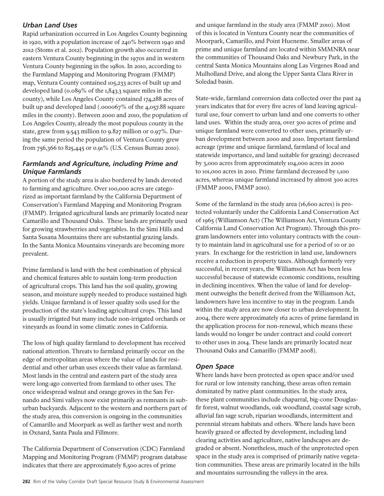## *Urban Land Uses*

Rapid urbanization occurred in Los Angeles County beginning in 1920, with a population increase of 240% between 1940 and 2012 (Stoms et al. 2012). Population growth also occurred in eastern Ventura County beginning in the 1970s and in western Ventura County beginning in the 1980s. In 2010, according to the Farmland Mapping and Monitoring Program (FMMP) map, Ventura County contained 105,233 acres of built up and developed land (0.089% of the 1,843.3 square miles in the county), while Los Angeles County contained 174,288 acres of built up and developed land (.000067% of the 4,057.88 square miles in the county). Between 2000 and 2010, the population of Los Angeles County, already the most populous county in the state, grew from 9.543 million to 9.827 million or 0.97%. During the same period the population of Ventura County grew from 756,366 to 825,445 or 0.91% (U.S. Census Bureau 2010).

## *Farmlands and Agriculture, including Prime and Unique Farmlands*

A portion of the study area is also bordered by lands devoted to farming and agriculture. Over 100,000 acres are categorized as important farmland by the California Department of Conservation's Farmland Mapping and Monitoring Program (FMMP). Irrigated agricultural lands are primarily located near Camarillo and Thousand Oaks. These lands are primarily used for growing strawberries and vegetables. In the Simi Hills and Santa Susana Mountains there are substantial grazing lands. In the Santa Monica Mountains vineyards are becoming more prevalent.

Prime farmland is land with the best combination of physical and chemical features able to sustain long-term production of agricultural crops. This land has the soil quality, growing season, and moisture supply needed to produce sustained high yields. Unique farmland is of lesser quality soils used for the production of the state's leading agricultural crops. This land is usually irrigated but many include non-irrigated orchards or vineyards as found in some climatic zones in California.

The loss of high quality farmland to development has received national attention. Threats to farmland primarily occur on the edge of metropolitan areas where the value of lands for residential and other urban uses exceeds their value as farmland. Most lands in the central and eastern part of the study area were long-ago converted from farmland to other uses. The once widespread walnut and orange groves in the San Fernando and Simi valleys now exist primarily as remnants in suburban backyards. Adjacent to the western and northern part of the study area, this conversion is ongoing in the communities of Camarillo and Moorpark as well as farther west and north in Oxnard, Santa Paula and Fillmore.

The California Department of Conservation (CDC) Farmland Mapping and Monitoring Program (FMMP) program database indicates that there are approximately 8,500 acres of prime

and unique farmland in the study area (FMMP 2010). Most of this is located in Ventura County near the communities of Moorpark, Camarillo, and Point Hueneme. Smaller areas of prime and unique farmland are located within SMMNRA near the communities of Thousand Oaks and Newbury Park, in the central Santa Monica Mountains along Las Virgenes Road and Mulholland Drive, and along the Upper Santa Clara River in Soledad basin.

State-wide, farmland conversion data collected over the past 24 years indicates that for every five acres of land leaving agricultural use, four convert to urban land and one converts to other land uses. Within the study area, over 300 acres of prime and unique farmland were converted to other uses, primarily urban development between 2000 and 2010. Important farmland acreage (prime and unique farmland, farmland of local and statewide importance, and land suitable for grazing) decreased by 3,000 acres from approximately 104,000 acres in 2000 to 101,000 acres in 2010. Prime farmland decreased by 1,100 acres, whereas unique farmland increased by almost 300 acres (FMMP 2000, FMMP 2010).

Some of the farmland in the study area (16,600 acres) is protected voluntarily under the California Land Conservation Act of 1965 (Williamson Act) (The Williamson Act, Ventura County California Land Conservation Act Program). Through this program landowners enter into voluntary contracts with the county to maintain land in agricultural use for a period of 10 or 20 years. In exchange for the restriction in land use, landowners receive a reduction in property taxes. Although formerly very successful, in recent years, the Williamson Act has been less successful because of statewide economic conditions, resulting in declining incentives. When the value of land for development outweighs the benefit derived from the Williamson Act, landowners have less incentive to stay in the program. Lands within the study area are now closer to urban development. In 2004, there were approximately 162 acres of prime farmland in the application process for non-renewal, which means these lands would no longer be under contract and could convert to other uses in 2014. These lands are primarily located near Thousand Oaks and Camarillo (FMMP 2008).

## *Open Space*

Where lands have been protected as open space and/or used for rural or low intensity ranching, these areas often remain dominated by native plant communities. In the study area, these plant communities include chaparral, big-cone Douglasfir forest, walnut woodlands, oak woodland, coastal sage scrub, alluvial fan sage scrub, riparian woodlands, intermittent and perennial stream habitats and others. Where lands have been heavily grazed or affected by development, including land clearing activities and agriculture, native landscapes are degraded or absent. Nonetheless, much of the unprotected open space in the study area is comprised of primarily native vegetation communities. These areas are primarily located in the hills and mountains surrounding the valleys in the area.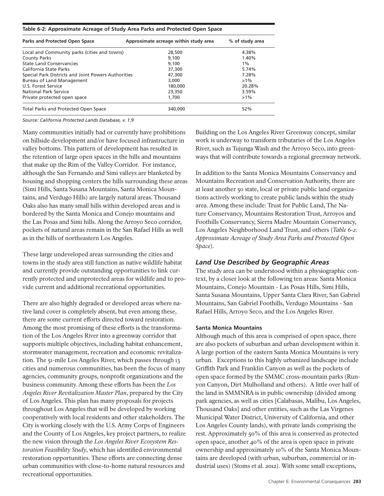#### **Table 6-2: Approximate Acreage of Study Area Parks and Protected Open Space**

| Parks and Protected Open Space                      | Approximate acreage within study area | % of study area |  |
|-----------------------------------------------------|---------------------------------------|-----------------|--|
| Local and Community parks (cities and towns)        | 28,500                                | 4.38%           |  |
| <b>County Parks</b>                                 | 9.100                                 | 1.40%           |  |
| <b>State Land Conservancies</b>                     | 9.100                                 | $1\%$           |  |
| California State Parks                              | 37,300                                | 5.74%           |  |
| Special Park Districts and Joint Powers Authorities | 47,300                                | 7.28%           |  |
| Bureau of Land Management                           | 3,000                                 | $>1\%$          |  |
| U.S. Forest Service                                 | 180,000                               | 20.28%          |  |
| National Park Service                               | 23,350                                | 3.59%           |  |
| Private protected open space                        | 1,700                                 | $>1\%$          |  |
| Total Parks and Protected Open Space                | 340,000                               | 52%             |  |

*Source: California Protected Lands Database, v. 1.9*

Many communities initially had or currently have prohibitions on hillside development and/or have focused infrastructure in valley bottoms. This pattern of development has resulted in the retention of large open spaces in the hills and mountains that make up the Rim of the Valley Corridor. For instance, although the San Fernando and Simi valleys are blanketed by housing and shopping centers the hills surrounding these areas (Simi Hills, Santa Susana Mountains, Santa Monica Mountains, and Verdugo Hills) are largely natural areas. Thousand Oaks also has many small hills within developed areas and is bordered by the Santa Monica and Conejo mountains and the Las Posas and Simi hills. Along the Arroyo Seco corridor, pockets of natural areas remain in the San Rafael Hills as well as in the hills of northeastern Los Angeles.

These large undeveloped areas surrounding the cities and towns in the study area still function as native wildlife habitat and currently provide outstanding opportunities to link currently protected and unprotected areas for wildlife and to provide current and additional recreational opportunities.

There are also highly degraded or developed areas where native land cover is completely absent, but even among these, there are some current efforts directed toward restoration. Among the most promising of these efforts is the transformation of the Los Angeles River into a greenway corridor that supports multiple objectives, including habitat enhancement, stormwater management, recreation and economic revitalization. The 51-mile Los Angeles River, which passes through 13 cities and numerous communities, has been the focus of many agencies, community groups, nonprofit organizations and the business community. Among these efforts has been the *Los Angeles River Revitalization Master Plan*, prepared by the City of Los Angeles. This plan has many proposals for projects throughout Los Angeles that will be developed by working cooperatively with local residents and other stakeholders. The City is working closely with the U.S. Army Corps of Engineers and the County of Los Angeles, key project partners, to realize the new vision through the *Los Angeles River Ecosystem Restoration Feasibility Study*, which has identified environmental restoration opportunities. These efforts are connecting dense urban communities with close-to-home natural resources and recreational opportunities.

Building on the Los Angeles River Greenway concept, similar work is underway to transform tributaries of the Los Angeles River, such as Tujunga Wash and the Arroyo Seco, into greenways that will contribute towards a regional greenway network.

In addition to the Santa Monica Mountains Conservancy and Mountains Recreation and Conservation Authority, there are at least another 50 state, local or private public land organizations actively working to create public lands within the study area. Among these include: Trust for Public Land, The Nature Conservancy, Mountains Restoration Trust, Arroyos and Foothills Conservancy, Sierra Madre Mountain Conservancy, Los Angeles Neighborhood Land Trust, and others (*Table 6-2: Approximate Acreage of Study Area Parks and Protected Open Space*).

### *Land Use Described by Geographic Areas*

The study area can be understood within a physiographic context, by a closer look at the following ten areas: Santa Monica Mountains, Conejo Mountain - Las Posas Hills, Simi Hills, Santa Susana Mountains, Upper Santa Clara River, San Gabriel Mountains, San Gabriel Foothills, Verdugo Mountains - San Rafael Hills, Arroyo Seco, and the Los Angeles River.

#### **Santa Monica Mountains**

Although much of this area is comprised of open space, there are also pockets of suburban and urban development within it. A large portion of the eastern Santa Monica Mountains is very urban. Exceptions to this highly urbanized landscape include Griffith Park and Franklin Canyon as well as the pockets of open space formed by the SMMC cross-mountain parks (Runyon Canyon, Dirt Mulholland and others). A little over half of the land in SMMNRA is in public ownership (divided among park agencies, as well as cities [Calabasas, Malibu, Los Angeles, Thousand Oaks] and other entities, such as the Las Virgenes Municipal Water District, University of California, and other Los Angeles County lands), with private lands comprising the rest. Approximately 50% of this area is conserved as protected open space, another 40% of the area is open space in private ownership and approximately 10% of the Santa Monica Mountains are developed (with urban, suburban, commercial or industrial uses) (Stoms et al. 2012). With some small exceptions,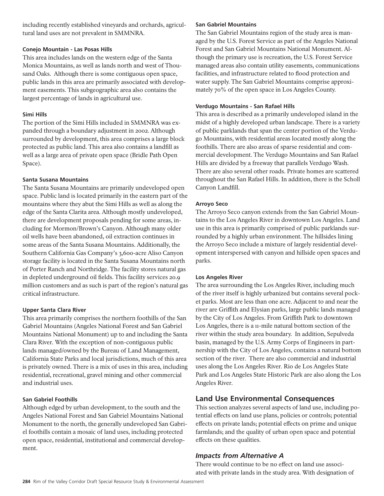including recently established vineyards and orchards, agricultural land uses are not prevalent in SMMNRA.

### **Conejo Mountain - Las Posas Hills**

This area includes lands on the western edge of the Santa Monica Mountains, as well as lands north and west of Thousand Oaks. Although there is some contiguous open space, public lands in this area are primarily associated with development easements. This subgeographic area also contains the largest percentage of lands in agricultural use.

## **Simi Hills**

The portion of the Simi Hills included in SMMNRA was expanded through a boundary adjustment in 2002. Although surrounded by development, this area comprises a large block protected as public land. This area also contains a landfill as well as a large area of private open space (Bridle Path Open Space).

### **Santa Susana Mountains**

The Santa Susana Mountains are primarily undeveloped open space. Public land is located primarily in the eastern part of the mountains where they abut the Simi Hills as well as along the edge of the Santa Clarita area. Although mostly undeveloped, there are development proposals pending for some areas, including for Mormon/Brown's Canyon. Although many older oil wells have been abandoned, oil extraction continues in some areas of the Santa Susana Mountains. Additionally, the Southern California Gas Company's 3,600-acre Aliso Canyon storage facility is located in the Santa Susana Mountains north of Porter Ranch and Northridge. The facility stores natural gas in depleted underground oil fields. This facility services 20.9 million customers and as such is part of the region's natural gas critical infrastructure.

## **Upper Santa Clara River**

This area primarily comprises the northern foothills of the San Gabriel Mountains (Angeles National Forest and San Gabriel Mountains National Monument) up to and including the Santa Clara River. With the exception of non-contiguous public lands managed/owned by the Bureau of Land Management, California State Parks and local jurisdictions, much of this area is privately owned. There is a mix of uses in this area, including residential, recreational, gravel mining and other commercial and industrial uses.

### **San Gabriel Foothills**

Although edged by urban development, to the south and the Angeles National Forest and San Gabriel Mountains National Monument to the north, the generally undeveloped San Gabriel foothills contain a mosaic of land uses, including protected open space, residential, institutional and commercial development.

### **San Gabriel Mountains**

The San Gabriel Mountains region of the study area is managed by the U.S. Forest Service as part of the Angeles National Forest and San Gabriel Mountains National Monument. Although the primary use is recreation, the U.S. Forest Service managed areas also contain utility easements, communications facilities, and infrastructure related to flood protection and water supply. The San Gabriel Mountains comprise approximately 70% of the open space in Los Angeles County.

### **Verdugo Mountains - San Rafael Hills**

This area is described as a primarily undeveloped island in the midst of a highly developed urban landscape. There is a variety of public parklands that span the center portion of the Verdugo Mountains, with residential areas located mostly along the foothills. There are also areas of sparse residential and commercial development. The Verdugo Mountains and San Rafael Hills are divided by a freeway that parallels Verdugo Wash. There are also several other roads. Private homes are scattered throughout the San Rafael Hills. In addition, there is the Scholl Canyon Landfill.

## **Arroyo Seco**

The Arroyo Seco canyon extends from the San Gabriel Mountains to the Los Angeles River in downtown Los Angeles. Land use in this area is primarily comprised of public parklands surrounded by a highly urban environment. The hillsides lining the Arroyo Seco include a mixture of largely residential development interspersed with canyon and hillside open spaces and parks.

### **Los Angeles River**

The area surrounding the Los Angeles River, including much of the river itself is highly urbanized but contains several pocket parks. Most are less than one acre. Adjacent to and near the river are Griffith and Elysian parks, large public lands managed by the City of Los Angeles. From Griffith Park to downtown Los Angeles, there is a 11-mile natural bottom section of the river within the study area boundary. In addition, Sepulveda basin, managed by the U.S. Army Corps of Engineers in partnership with the City of Los Angeles, contains a natural bottom section of the river. There are also commercial and industrial uses along the Los Angeles River. Rio de Los Angeles State Park and Los Angeles State Historic Park are also along the Los Angeles River.

## **Land Use Environmental Consequences**

This section analyzes several aspects of land use, including potential effects on land use plans, policies or controls; potential effects on private lands; potential effects on prime and unique farmlands; and the quality of urban open space and potential effects on these qualities.

## *Impacts from Alternative A*

There would continue to be no effect on land use associated with private lands in the study area. With designation of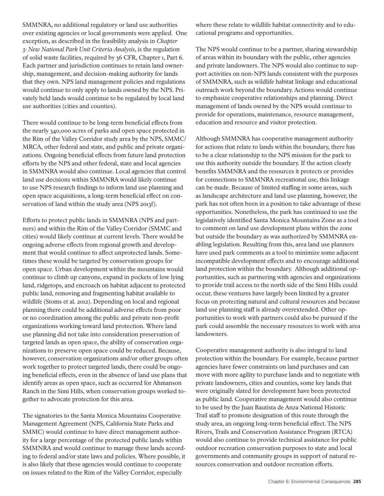SMMNRA, no additional regulatory or land use authorities over existing agencies or local governments were applied. One exception, as described in the feasibility analysis in *Chapter 3: New National Park Unit Criteria Analysis*, is the regulation of solid waste facilities, required by 36 CFR, Chapter 1, Part 6. Each partner and jurisdiction continues to retain land ownership, management, and decision-making authority for lands that they own. NPS land management policies and regulations would continue to only apply to lands owned by the NPS. Privately held lands would continue to be regulated by local land use authorities (cities and counties).

There would continue to be long-term beneficial effects from the nearly 340,000 acres of parks and open space protected in the Rim of the Valley Corridor study area by the NPS, SMMC/ MRCA, other federal and state, and public and private organizations. Ongoing beneficial effects from future land protection efforts by the NPS and other federal, state and local agencies in SMMNRA would also continue. Local agencies that control land use decisions within SMMNRA would likely continue to use NPS research findings to inform land use planning and open space acquisitions, a long-term beneficial effect on conservation of land within the study area (NPS 2013f).

Efforts to protect public lands in SMMNRA (NPS and partners) and within the Rim of the Valley Corridor (SMMC and cities) would likely continue at current levels. There would be ongoing adverse effects from regional growth and development that would continue to affect unprotected lands. Sometimes these would be targeted by conservation groups for open space. Urban development within the mountains would continue to climb up canyons, expand in pockets of low lying land, ridgetops, and encroach on habitat adjacent to protected public land, removing and fragmenting habitat available to wildlife (Stoms et al. 2012). Depending on local and regional planning there could be additional adverse effects from poor or no coordination among the public and private non-profit organizations working toward land protection. Where land use planning did not take into consideration preservation of targeted lands as open space, the ability of conservation organizations to preserve open space could be reduced. Because, however, conservation organizations and/or other groups often work together to protect targeted lands, there could be ongoing beneficial effects, even in the absence of land use plans that identify areas as open space, such as occurred for Ahmanson Ranch in the Simi Hills, when conservation groups worked together to advocate protection for this area.

The signatories to the Santa Monica Mountains Cooperative Management Agreement (NPS, California State Parks and SMMC) would continue to have direct management authority for a large percentage of the protected public lands within SMMNRA and would continue to manage these lands according to federal and/or state laws and policies. Where possible, it is also likely that these agencies would continue to cooperate on issues related to the Rim of the Valley Corridor, especially

where these relate to wildlife habitat connectivity and to educational programs and opportunities.

The NPS would continue to be a partner, sharing stewardship of areas within its boundary with the public, other agencies and private landowners. The NPS would also continue to support activities on non-NPS lands consistent with the purposes of SMMNRA, such as wildlife habitat linkage and educational outreach work beyond the boundary. Actions would continue to emphasize cooperative relationships and planning. Direct management of lands owned by the NPS would continue to provide for operations, maintenance, resource management, education and resource and visitor protection.

Although SMMNRA has cooperative management authority for actions that relate to lands within the boundary, there has to be a clear relationship to the NPS mission for the park to use this authority outside the boundary. If the action clearly benefits SMMNRA and the resources it protects or provides for connections to SMMNRA recreational use, this linkage can be made. Because of limited staffing in some areas, such as landscape architecture and land use planning, however, the park has not often been in a position to take advantage of these opportunities. Nonetheless, the park has continued to use the legislatively identified Santa Monica Mountains Zone as a tool to comment on land use development plans within the zone but outside the boundary as was authorized by SMMNRA enabling legislation. Resulting from this, area land use planners have used park comments as a tool to minimize some adjacent incompatible development effects and to encourage additional land protection within the boundary. Although additional opportunities, such as partnering with agencies and organizations to provide trail access to the north side of the Simi Hills could occur, these ventures have largely been limited by a greater focus on protecting natural and cultural resources and because land use planning staff is already overextended. Other opportunities to work with partners could also be pursued if the park could assemble the necessary resources to work with area landowners.

Cooperative management authority is also integral to land protection within the boundary. For example, because partner agencies have fewer constraints on land purchases and can move with more agility to purchase lands and to negotiate with private landowners, cities and counties, some key lands that were originally slated for development have been protected as public land. Cooperative management would also continue to be used by the Juan Bautista de Anza National Historic Trail staff to promote designation of this route through the study area, an ongoing long-term beneficial effect. The NPS Rivers, Trails and Conservation Assistance Program (RTCA) would also continue to provide technical assistance for public outdoor recreation conservation purposes to state and local governments and community groups in support of natural resources conservation and outdoor recreation efforts.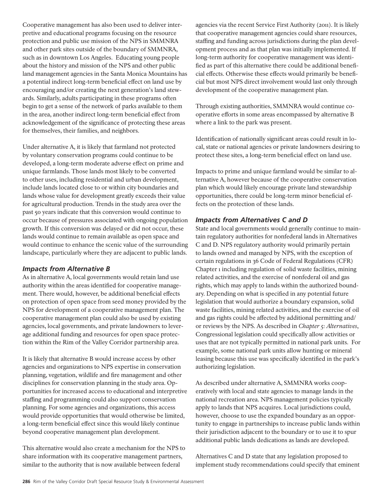Cooperative management has also been used to deliver interpretive and educational programs focusing on the resource protection and public use mission of the NPS in SMMNRA and other park sites outside of the boundary of SMMNRA, such as in downtown Los Angeles. Educating young people about the history and mission of the NPS and other public land management agencies in the Santa Monica Mountains has a potential indirect long-term beneficial effect on land use by encouraging and/or creating the next generation's land stewards. Similarly, adults participating in these programs often begin to get a sense of the network of parks available to them in the area, another indirect long-term beneficial effect from acknowledgement of the significance of protecting these areas for themselves, their families, and neighbors.

Under alternative A, it is likely that farmland not protected by voluntary conservation programs could continue to be developed, a long-term moderate adverse effect on prime and unique farmlands. Those lands most likely to be converted to other uses, including residential and urban development, include lands located close to or within city boundaries and lands whose value for development greatly exceeds their value for agricultural production. Trends in the study area over the past 50 years indicate that this conversion would continue to occur because of pressures associated with ongoing population growth. If this conversion was delayed or did not occur, these lands would continue to remain available as open space and would continue to enhance the scenic value of the surrounding landscape, particularly where they are adjacent to public lands.

## *Impacts from Alternative B*

As in alternative A, local governments would retain land use authority within the areas identified for cooperative management. There would, however, be additional beneficial effects on protection of open space from seed money provided by the NPS for development of a cooperative management plan. The cooperative management plan could also be used by existing agencies, local governments, and private landowners to leverage additional funding and resources for open space protection within the Rim of the Valley Corridor partnership area.

It is likely that alternative B would increase access by other agencies and organizations to NPS expertise in conservation planning, vegetation, wildlife and fire management and other disciplines for conservation planning in the study area. Opportunities for increased access to educational and interpretive staffing and programming could also support conservation planning. For some agencies and organizations, this access would provide opportunities that would otherwise be limited, a long-term beneficial effect since this would likely continue beyond cooperative management plan development.

This alternative would also create a mechanism for the NPS to share information with its cooperative management partners, similar to the authority that is now available between federal

agencies via the recent Service First Authority (2011). It is likely that cooperative management agencies could share resources, staffing and funding across jurisdictions during the plan development process and as that plan was initially implemented. If long-term authority for cooperative management was identified as part of this alternative there could be additional beneficial effects. Otherwise these effects would primarily be beneficial but most NPS direct involvement would last only through development of the cooperative management plan.

Through existing authorities, SMMNRA would continue cooperative efforts in some areas encompassed by alternative B where a link to the park was present.

Identification of nationally significant areas could result in local, state or national agencies or private landowners desiring to protect these sites, a long-term beneficial effect on land use.

Impacts to prime and unique farmland would be similar to alternative A, however because of the cooperative conservation plan which would likely encourage private land stewardship opportunities, there could be long-term minor beneficial effects on the protection of these lands.

## *Impacts from Alternatives C and D*

State and local governments would generally continue to maintain regulatory authorities for nonfederal lands in Alternatives C and D. NPS regulatory authority would primarily pertain to lands owned and managed by NPS, with the exception of certain regulations in 36 Code of Federal Regulations (CFR) Chapter 1 including regulation of solid waste facilities, mining related activities, and the exercise of nonfederal oil and gas rights, which may apply to lands within the authorized boundary. Depending on what is specified in any potential future legislation that would authorize a boundary expansion, solid waste facilities, mining related activities, and the exercise of oil and gas rights could be affected by additional permitting and/ or reviews by the NPS. As described in *Chapter 5: Alternatives*, Congressional legislation could specifically allow activities or uses that are not typically permitted in national park units. For example, some national park units allow hunting or mineral leasing because this use was specifically identified in the park's authorizing legislation.

As described under alternative A, SMMNRA works cooperatively with local and state agencies to manage lands in the national recreation area. NPS management policies typically apply to lands that NPS acquires. Local jurisdictions could, however, choose to use the expanded boundary as an opportunity to engage in partnerships to increase public lands within their jurisdiction adjacent to the boundary or to use it to spur additional public lands dedications as lands are developed.

Alternatives C and D state that any legislation proposed to implement study recommendations could specify that eminent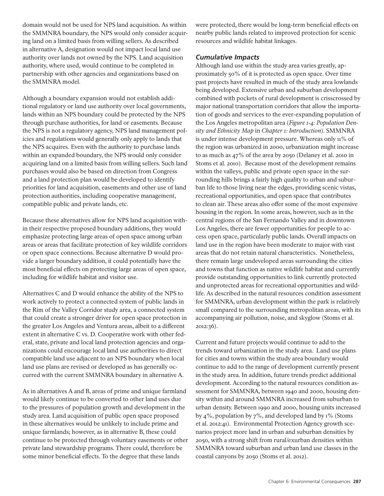domain would not be used for NPS land acquisition. As within the SMMNRA boundary, the NPS would only consider acquiring land on a limited basis from willing sellers. As described in alternative A, designation would not impact local land use authority over lands not owned by the NPS. Land acquisition authority, where used, would continue to be completed in partnership with other agencies and organizations based on the SMMNRA model.

Although a boundary expansion would not establish additional regulatory or land use authority over local governments, lands within an NPS boundary could be protected by the NPS through purchase authorities, for land or easements. Because the NPS is not a regulatory agency, NPS land management policies and regulations would generally only apply to lands that the NPS acquires. Even with the authority to purchase lands within an expanded boundary, the NPS would only consider acquiring land on a limited basis from willing sellers. Such land purchases would also be based on direction from Congress and a land protection plan would be developed to identify priorities for land acquisition, easements and other use of land protection authorities, including cooperative management, compatible public and private lands, etc.

Because these alternatives allow for NPS land acquisition within their respective proposed boundary additions, they would emphasize protecting large areas of open space among urban areas or areas that facilitate protection of key wildlife corridors or open space connections. Because alternative D would provide a larger boundary addition, it could potentially have the most beneficial effects on protecting large areas of open space, including for wildlife habitat and visitor use.

Alternatives C and D would enhance the ability of the NPS to work actively to protect a connected system of public lands in the Rim of the Valley Corridor study area, a connected system that could create a stronger driver for open space protection in the greater Los Angeles and Ventura areas, albeit to a different extent in alternative C vs. D. Cooperative work with other federal, state, private and local land protection agencies and organizations could encourage local land use authorities to direct compatible land use adjacent to an NPS boundary when local land use plans are revised or developed as has generally occurred with the current SMMNRA boundary in alternative A.

As in alternatives A and B, areas of prime and unique farmland would likely continue to be converted to other land uses due to the pressures of population growth and development in the study area. Land acquisition of public open space proposed in these alternatives would be unlikely to include prime and unique farmlands; however, as in alternative B, these could continue to be protected through voluntary easements or other private land stewardship programs. There could, therefore be some minor beneficial effects. To the degree that these lands

were protected, there would be long-term beneficial effects on nearby public lands related to improved protection for scenic resources and wildlife habitat linkages.

## *Cumulative Impacts*

Although land use within the study area varies greatly, approximately 50% of it is protected as open space. Over time past projects have resulted in much of the study area lowlands being developed. Extensive urban and suburban development combined with pockets of rural development is crisscrossed by major national transportation corridors that allow the importation of goods and services to the ever-expanding population of the Los Angeles metropolitan area (*Figure 1-4: Population Density and Ethnicity Map* in *Chapter 1: Introduction*). SMMNRA is under intense development pressure. Whereas only 11% of the region was urbanized in 2000, urbanization might increase to as much as 47% of the area by 2050 (Delaney et al. 2010 in Stoms et al. 2010). Because most of the development remains within the valleys, public and private open space in the surrounding hills brings a fairly high quality to urban and suburban life to those living near the edges, providing scenic vistas, recreational opportunities, and open space that contributes to clean air. These areas also offer some of the most expensive housing in the region. In some areas, however, such as in the central regions of the San Fernando Valley and in downtown Los Angeles, there are fewer opportunities for people to access open space, particularly public lands. Overall impacts on land use in the region have been moderate to major with vast areas that do not retain natural characteristics. Nonetheless, there remain large undeveloped areas surrounding the cities and towns that function as native wildlife habitat and currently provide outstanding opportunities to link currently protected and unprotected areas for recreational opportunities and wildlife. As described in the natural resources condition assessment for SMMNRA, urban development within the park is relatively small compared to the surrounding metropolitan areas, with its accompanying air pollution, noise, and skyglow (Stoms et al. 2012:36).

Current and future projects would continue to add to the trends toward urbanization in the study area. Land use plans for cities and towns within the study area boundary would continue to add to the range of development currently present in the study area. In addition, future trends predict additional development. According to the natural resources condition assessment for SMMNRA, between 1940 and 2000, housing density within and around SMMNRA increased from suburban to urban density. Between 1990 and 2000, housing units increased by 4%, population by 7%, and developed land by 1% (Stoms et al. 2012:41). Environmental Protection Agency growth scenarios project more land in urban and suburban densities by 2050, with a strong shift from rural/exurban densities within SMMNRA toward suburban and urban land use classes in the coastal canyons by 2050 (Stoms et al. 2012).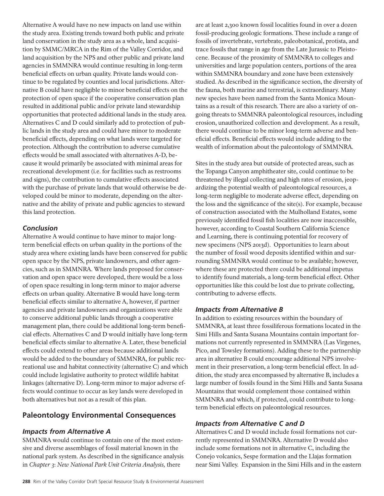Alternative A would have no new impacts on land use within the study area. Existing trends toward both public and private land conservation in the study area as a whole, land acquisition by SMMC/MRCA in the Rim of the Valley Corridor, and land acquisition by the NPS and other public and private land agencies in SMMNRA would continue resulting in long-term beneficial effects on urban quality. Private lands would continue to be regulated by counties and local jurisdictions. Alternative B could have negligible to minor beneficial effects on the protection of open space if the cooperative conservation plan resulted in additional public and/or private land stewardship opportunities that protected additional lands in the study area. Alternatives C and D could similarly add to protection of public lands in the study area and could have minor to moderate beneficial effects, depending on what lands were targeted for protection. Although the contribution to adverse cumulative effects would be small associated with alternatives A-D, because it would primarily be associated with minimal areas for recreational development (i.e. for facilities such as restrooms and signs), the contribution to cumulative effects associated with the purchase of private lands that would otherwise be developed could be minor to moderate, depending on the alternative and the ability of private and public agencies to steward this land protection.

## *Conclusion*

Alternative A would continue to have minor to major longterm beneficial effects on urban quality in the portions of the study area where existing lands have been conserved for public open space by the NPS, private landowners, and other agencies, such as in SMMNRA. Where lands proposed for conservation and open space were developed, there would be a loss of open space resulting in long-term minor to major adverse effects on urban quality. Alternative B would have long-term beneficial effects similar to alternative A, however, if partner agencies and private landowners and organizations were able to conserve additional public lands through a cooperative management plan, there could be additional long-term beneficial effects. Alternatives C and D would initially have long-term beneficial effects similar to alternative A. Later, these beneficial effects could extend to other areas because additional lands would be added to the boundary of SMMNRA, for public recreational use and habitat connectivity (alternative C) and which could include legislative authority to protect wildlife habitat linkages (alternative D). Long-term minor to major adverse effects would continue to occur as key lands were developed in both alternatives but not as a result of this plan.

## **Paleontology Environmental Consequences**

## *Impacts from Alternative A*

SMMNRA would continue to contain one of the most extensive and diverse assemblages of fossil material known in the national park system. As described in the significance analysis in *Chapter 3*: *New National Park Unit Criteria Analysis,* there

are at least 2,300 known fossil localities found in over a dozen fossil-producing geologic formations. These include a range of fossils of invertebrate, vertebrate, paleobotanical, protista, and trace fossils that range in age from the Late Jurassic to Pleistocene. Because of the proximity of SMMNRA to colleges and universities and large population centers, portions of the area within SMMNRA boundary and zone have been extensively studied. As described in the significance section, the diversity of the fauna, both marine and terrestrial, is extraordinary. Many new species have been named from the Santa Monica Mountains as a result of this research. There are also a variety of ongoing threats to SMMNRA paleontological resources, including erosion, unauthorized collection and development. As a result, there would continue to be minor long-term adverse and beneficial effects. Beneficial effects would include adding to the wealth of information about the paleontology of SMMNRA.

Sites in the study area but outside of protected areas, such as the Topanga Canyon amphitheater site, could continue to be threatened by illegal collecting and high rates of erosion, jeopardizing the potential wealth of paleontological resources, a long-term negligible to moderate adverse effect, depending on the loss and the significance of the site(s). For example, because of construction associated with the Mulholland Estates, some previously identified fossil fish localities are now inaccessible, however, according to Coastal Southern California Science and Learning, there is continuing potential for recovery of new specimens (NPS 2013d). Opportunities to learn about the number of fossil wood deposits identified within and surrounding SMMNRA would continue to be available; however, where these are protected there could be additional impetus to identify found materials, a long-term beneficial effect. Other opportunities like this could be lost due to private collecting, contributing to adverse effects.

## *Impacts from Alternative B*

In addition to existing resources within the boundary of SMMNRA, at least three fossiliferous formations located in the Simi Hills and Santa Susana Mountains contain important formations not currently represented in SMMNRA (Las Virgenes, Pico, and Towsley formations). Adding these to the partnership area in alternative B could encourage additional NPS involvement in their preservation, a long-term beneficial effect. In addition, the study area encompassed by alternative B, includes a large number of fossils found in the Simi Hills and Santa Susana Mountains that would complement those contained within SMMNRA and which, if protected, could contribute to longterm beneficial effects on paleontological resources.

## *Impacts from Alternative C and D*

Alternatives C and D would include fossil formations not currently represented in SMMNRA. Alternative D would also include some formations not in alternative C, including the Conejo volcanics, Sespe formation and the Llajas formation near Simi Valley. Expansion in the Simi Hills and in the eastern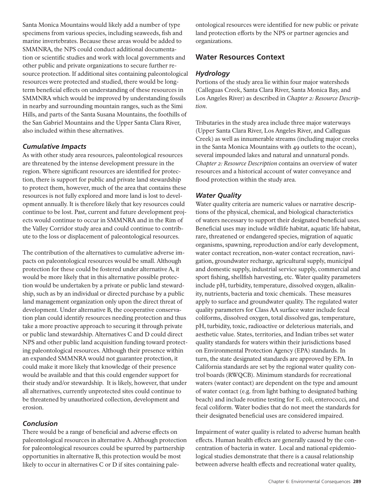Santa Monica Mountains would likely add a number of type specimens from various species, including seaweeds, fish and marine invertebrates. Because these areas would be added to SMMNRA, the NPS could conduct additional documentation or scientific studies and work with local governments and other public and private organizations to secure further resource protection. If additional sites containing paleontological resources were protected and studied, there would be longterm beneficial effects on understanding of these resources in SMMNRA which would be improved by understanding fossils in nearby and surrounding mountain ranges, such as the Simi Hills, and parts of the Santa Susana Mountains, the foothills of the San Gabriel Mountains and the Upper Santa Clara River, also included within these alternatives.

### *Cumulative Impacts*

As with other study area resources, paleontological resources are threatened by the intense development pressure in the region. Where significant resources are identified for protection, there is support for public and private land stewardship to protect them, however, much of the area that contains these resources is not fully explored and more land is lost to development annually. It is therefore likely that key resources could continue to be lost. Past, current and future development projects would continue to occur in SMMNRA and in the Rim of the Valley Corridor study area and could continue to contribute to the loss or displacement of paleontological resources.

The contribution of the alternatives to cumulative adverse impacts on paleontological resources would be small. Although protection for these could be fostered under alternative A, it would be more likely that in this alternative possible protection would be undertaken by a private or public land stewardship, such as by an individual or directed purchase by a public land management organization only upon the direct threat of development. Under alternative B, the cooperative conservation plan could identify resources needing protection and thus take a more proactive approach to securing it through private or public land stewardship. Alternatives C and D could direct NPS and other public land acquisition funding toward protecting paleontological resources. Although their presence within an expanded SMMNRA would not guarantee protection, it could make it more likely that knowledge of their presence would be available and that this could engender support for their study and/or stewardship. It is likely, however, that under all alternatives, currently unprotected sites could continue to be threatened by unauthorized collection, development and erosion.

## *Conclusion*

There would be a range of beneficial and adverse effects on paleontological resources in alternative A. Although protection for paleontological resources could be spurred by partnership opportunities in alternative B, this protection would be most likely to occur in alternatives C or D if sites containing paleontological resources were identified for new public or private land protection efforts by the NPS or partner agencies and organizations.

## **Water Resources Context**

### *Hydrology*

Portions of the study area lie within four major watersheds (Calleguas Creek, Santa Clara River, Santa Monica Bay, and Los Angeles River) as described in *Chapter 2: Resource Description*.

Tributaries in the study area include three major waterways (Upper Santa Clara River, Los Angeles River, and Calleguas Creek) as well as innumerable streams (including major creeks in the Santa Monica Mountains with 49 outlets to the ocean), several impounded lakes and natural and unnatural ponds. *Chapter 2: Resource Description* contains an overview of water resources and a historical account of water conveyance and flood protection within the study area.

## *Water Quality*

Water quality criteria are numeric values or narrative descriptions of the physical, chemical, and biological characteristics of waters necessary to support their designated beneficial uses. Beneficial uses may include wildlife habitat, aquatic life habitat, rare, threatened or endangered species, migration of aquatic organisms, spawning, reproduction and/or early development, water contact recreation, non-water contact recreation, navigation, groundwater recharge, agricultural supply, municipal and domestic supply, industrial service supply, commercial and sport fishing, shellfish harvesting, etc. Water quality parameters include pH, turbidity, temperature, dissolved oxygen, alkalinity, nutrients, bacteria and toxic chemicals. These measures apply to surface and groundwater quality. The regulated water quality parameters for Class AA surface water include fecal coliforms, dissolved oxygen, total dissolved gas, temperature, pH, turbidity, toxic, radioactive or deleterious materials, and aesthetic value. States, territories, and Indian tribes set water quality standards for waters within their jurisdictions based on Environmental Protection Agency (EPA) standards. In turn, the state designated standards are approved by EPA. In California standards are set by the regional water quality control boards (RWQCB). Minimum standards for recreational waters (water contact) are dependent on the type and amount of water contact (e.g. from light bathing to designated bathing beach) and include routine testing for E. coli, enterococci, and fecal coliform. Water bodies that do not meet the standards for their designated beneficial uses are considered impaired.

Impairment of water quality is related to adverse human health effects. Human health effects are generally caused by the concentration of bacteria in water. Local and national epidemiological studies demonstrate that there is a causal relationship between adverse health effects and recreational water quality,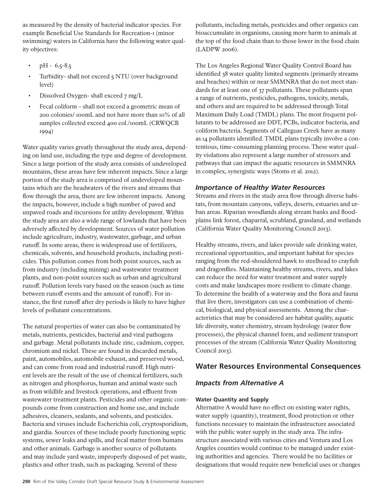as measured by the density of bacterial indicator species. For example Beneficial Use Standards for Recreation-1 (minor swimming) waters in California have the following water quality objectives:

- $pH 6.5 8.5$
- Turbidity- shall not exceed 5 NTU (over background level)
- Dissolved Oxygen- shall exceed 7 mg/L
- Fecal coliform shall not exceed a geometric mean of 200 colonies/ 100mL and not have more than 10% of all samples collected exceed 400 col./100mL (CRWQCB 1994)

Water quality varies greatly throughout the study area, depending on land use, including the type and degree of development. Since a large portion of the study area consists of undeveloped mountains, these areas have few inherent impacts. Since a large portion of the study area is comprised of undeveloped mountains which are the headwaters of the rivers and streams that flow through the area, there are few inherent impacts. Among the impacts, however, include a high number of paved and unpaved roads and incursions for utility development. Within the study area are also a wide range of lowlands that have been adversely affected by development. Sources of water pollution include agriculture, industry, wastewater, garbage, and urban runoff. In some areas, there is widespread use of fertilizers, chemicals, solvents, and household products, including pesticides. This pollution comes from both point sources, such as from industry (including mining) and wastewater treatment plants, and non-point sources such as urban and agricultural runoff. Pollution levels vary based on the season (such as time between runoff events and the amount of runoff). For instance, the first runoff after dry periods is likely to have higher levels of pollutant concentrations.

The natural properties of water can also be contaminated by metals, nutrients, pesticides, bacterial and viral pathogens and garbage. Metal pollutants include zinc, cadmium, copper, chromium and nickel. These are found in discarded metals, paint, automobiles, automobile exhaust, and preserved wood, and can come from road and industrial runoff. High nutrient levels are the result of the use of chemical fertilizers, such as nitrogen and phosphorus, human and animal waste such as from wildlife and livestock operations, and effluent from wastewater treatment plants. Pesticides and other organic compounds come from construction and home use, and include adhesives, cleaners, sealants, and solvents, and pesticides. Bacteria and viruses include Escherichia coli, cryptosporidium, and giardia. Sources of these include poorly functioning septic systems, sewer leaks and spills, and fecal matter from humans and other animals. Garbage is another source of pollutants and may include yard waste, improperly disposed of pet waste, plastics and other trash, such as packaging. Several of these

pollutants, including metals, pesticides and other organics can bioaccumulate in organisms, causing more harm to animals at the top of the food chain than to those lower in the food chain (LADPW 2006).

The Los Angeles Regional Water Quality Control Board has identified 38 water quality limited segments (primarily streams and beaches) within or near SMMNRA that do not meet standards for at least one of 37 pollutants. These pollutants span a range of nutrients, pesticides, pathogens, toxicity, metals, and others and are required to be addressed through Total Maximum Daily Load (TMDL) plans. The most frequent pollutants to be addressed are DDT, PCBs, indicator bacteria, and coliform bacteria. Segments of Calleguas Creek have as many as 14 pollutants identified. TMDL plans typically involve a contentious, time-consuming planning process. These water quality violations also represent a large number of stressors and pathways that can impact the aquatic resources in SMMNRA in complex, synergistic ways (Stoms et al. 2012).

## *Importance of Healthy Water Resources*

Streams and rivers in the study area flow through diverse habitats, from mountain canyons, valleys, deserts, estuaries and urban areas. Riparian woodlands along stream banks and floodplains link forest, chaparral, scrubland, grassland, and wetlands (California Water Quality Monitoring Council 2013).

Healthy streams, rivers, and lakes provide safe drinking water, recreational opportunities, and important habitat for species ranging from the red-shouldered hawk to steelhead to crayfish and dragonflies. Maintaining healthy streams, rivers, and lakes can reduce the need for water treatment and water supply costs and make landscapes more resilient to climate change. To determine the health of a waterway and the flora and fauna that live there, investigators can use a combination of chemical, biological, and physical assessments. Among the characteristics that may be considered are habitat quality, aquatic life diversity, water chemistry, stream hydrology (water flow processes), the physical channel form, and sediment transport processes of the stream (California Water Quality Monitoring Council 2013).

# **Water Resources Environmental Consequences**

## *Impacts from Alternative A*

## **Water Quantity and Supply**

Alternative A would have no effect on existing water rights, water supply (quantity), treatment, flood protection or other functions necessary to maintain the infrastructure associated with the public water supply in the study area. The infrastructure associated with various cities and Ventura and Los Angeles counties would continue to be managed under existing authorities and agencies. There would be no facilities or designations that would require new beneficial uses or changes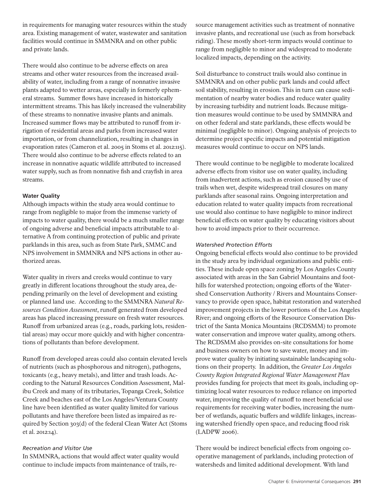in requirements for managing water resources within the study area. Existing management of water, wastewater and sanitation facilities would continue in SMMNRA and on other public and private lands.

There would also continue to be adverse effects on area streams and other water resources from the increased availability of water, including from a range of nonnative invasive plants adapted to wetter areas, especially in formerly ephemeral streams. Summer flows have increased in historically intermittent streams. This has likely increased the vulnerability of these streams to nonnative invasive plants and animals. Increased summer flows may be attributed to runoff from irrigation of residential areas and parks from increased water importation, or from channelization, resulting in changes in evaporation rates (Cameron et al. 2005 in Stoms et al. 2012:115). There would also continue to be adverse effects related to an increase in nonnative aquatic wildlife attributed to increased water supply, such as from nonnative fish and crayfish in area streams.

### **Water Quality**

Although impacts within the study area would continue to range from negligible to major from the immense variety of impacts to water quality, there would be a much smaller range of ongoing adverse and beneficial impacts attributable to alternative A from continuing protection of public and private parklands in this area, such as from State Park, SMMC and NPS involvement in SMMNRA and NPS actions in other authorized areas.

Water quality in rivers and creeks would continue to vary greatly in different locations throughout the study area, depending primarily on the level of development and existing or planned land use. According to the SMMNRA *Natural Resources Condition Assessment*, runoff generated from developed areas has placed increasing pressure on fresh water resources. Runoff from urbanized areas (e.g., roads, parking lots, residential areas) may occur more quickly and with higher concentrations of pollutants than before development.

Runoff from developed areas could also contain elevated levels of nutrients (such as phosphorous and nitrogen), pathogens, toxicants (e.g., heavy metals), and litter and trash loads. According to the Natural Resources Condition Assessment, Malibu Creek and many of its tributaries, Topanga Creek, Solstice Creek and beaches east of the Los Angeles/Ventura County line have been identified as water quality limited for various pollutants and have therefore been listed as impaired as required by Section 303(d) of the federal Clean Water Act (Stoms et al. 2012:14).

### *Recreation and Visitor Use*

In SMMNRA, actions that would affect water quality would continue to include impacts from maintenance of trails, resource management activities such as treatment of nonnative invasive plants, and recreational use (such as from horseback riding). These mostly short-term impacts would continue to range from negligible to minor and widespread to moderate localized impacts, depending on the activity.

Soil disturbance to construct trails would also continue in SMMNRA and on other public park lands and could affect soil stability, resulting in erosion. This in turn can cause sedimentation of nearby water bodies and reduce water quality by increasing turbidity and nutrient loads. Because mitigation measures would continue to be used by SMMNRA and on other federal and state parklands, these effects would be minimal (negligible to minor). Ongoing analysis of projects to determine project specific impacts and potential mitigation measures would continue to occur on NPS lands.

There would continue to be negligible to moderate localized adverse effects from visitor use on water quality, including from inadvertent actions, such as erosion caused by use of trails when wet, despite widespread trail closures on many parklands after seasonal rains. Ongoing interpretation and education related to water quality impacts from recreational use would also continue to have negligible to minor indirect beneficial effects on water quality by educating visitors about how to avoid impacts prior to their occurrence.

#### *Watershed Protection Efforts*

Ongoing beneficial effects would also continue to be provided in the study area by individual organizations and public entities. These include open space zoning by Los Angeles County associated with areas in the San Gabriel Mountains and foothills for watershed protection; ongoing efforts of the Watershed Conservation Authority / Rivers and Mountains Conservancy to provide open space, habitat restoration and watershed improvement projects in the lower portions of the Los Angeles River; and ongoing efforts of the Resource Conservation District of the Santa Monica Mountains (RCDSMM) to promote water conservation and improve water quality, among others. The RCDSMM also provides on-site consultations for home and business owners on how to save water, money and improve water quality by initiating sustainable landscaping solutions on their property. In addition, the *Greater Los Angeles County Region Integrated Regional Water Management Plan* provides funding for projects that meet its goals, including optimizing local water resources to reduce reliance on imported water, improving the quality of runoff to meet beneficial use requirements for receiving water bodies, increasing the number of wetlands, aquatic buffers and wildlife linkages, increasing watershed friendly open space, and reducing flood risk (LADPW 2006).

There would be indirect beneficial effects from ongoing cooperative management of parklands, including protection of watersheds and limited additional development. With land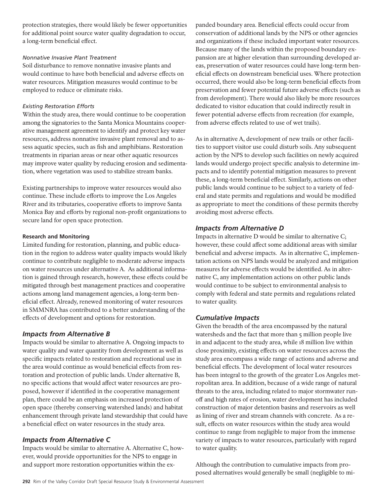protection strategies, there would likely be fewer opportunities for additional point source water quality degradation to occur, a long-term beneficial effect.

#### *Nonnative Invasive Plant Treatment*

Soil disturbance to remove nonnative invasive plants and would continue to have both beneficial and adverse effects on water resources. Mitigation measures would continue to be employed to reduce or eliminate risks.

### *Existing Restoration Efforts*

Within the study area, there would continue to be cooperation among the signatories to the Santa Monica Mountains cooperative management agreement to identify and protect key water resources, address nonnative invasive plant removal and to assess aquatic species, such as fish and amphibians. Restoration treatments in riparian areas or near other aquatic resources may improve water quality by reducing erosion and sedimentation, where vegetation was used to stabilize stream banks.

Existing partnerships to improve water resources would also continue. These include efforts to improve the Los Angeles River and its tributaries, cooperative efforts to improve Santa Monica Bay and efforts by regional non-profit organizations to secure land for open space protection.

#### **Research and Monitoring**

Limited funding for restoration, planning, and public education in the region to address water quality impacts would likely continue to contribute negligible to moderate adverse impacts on water resources under alternative A. As additional information is gained through research, however, these effects could be mitigated through best management practices and cooperative actions among land management agencies, a long-term beneficial effect. Already, renewed monitoring of water resources in SMMNRA has contributed to a better understanding of the effects of development and options for restoration.

## *Impacts from Alternative B*

Impacts would be similar to alternative A. Ongoing impacts to water quality and water quantity from development as well as specific impacts related to restoration and recreational use in the area would continue as would beneficial effects from restoration and protection of public lands. Under alternative B, no specific actions that would affect water resources are proposed, however if identified in the cooperative management plan, there could be an emphasis on increased protection of open space (thereby conserving watershed lands) and habitat enhancement through private land stewardship that could have a beneficial effect on water resources in the study area.

## *Impacts from Alternative C*

Impacts would be similar to alternative A. Alternative C, however, would provide opportunities for the NPS to engage in and support more restoration opportunities within the expanded boundary area. Beneficial effects could occur from conservation of additional lands by the NPS or other agencies and organizations if these included important water resources. Because many of the lands within the proposed boundary expansion are at higher elevation than surrounding developed areas, preservation of water resources could have long-term beneficial effects on downstream beneficial uses. Where protection occurred, there would also be long-term beneficial effects from preservation and fewer potential future adverse effects (such as from development). There would also likely be more resources dedicated to visitor education that could indirectly result in fewer potential adverse effects from recreation (for example, from adverse effects related to use of wet trails).

As in alternative A, development of new trails or other facilities to support visitor use could disturb soils. Any subsequent action by the NPS to develop such facilities on newly acquired lands would undergo project specific analysis to determine impacts and to identify potential mitigation measures to prevent these, a long-term beneficial effect. Similarly, actions on other public lands would continue to be subject to a variety of federal and state permits and regulations and would be modified as appropriate to meet the conditions of these permits thereby avoiding most adverse effects.

### *Impacts from Alternative D*

Impacts in alternative D would be similar to alternative C; however, these could affect some additional areas with similar beneficial and adverse impacts. As in alternative C, implementation actions on NPS lands would be analyzed and mitigation measures for adverse effects would be identified. As in alternative C, any implementation actions on other public lands would continue to be subject to environmental analysis to comply with federal and state permits and regulations related to water quality.

### *Cumulative Impacts*

Given the breadth of the area encompassed by the natural watersheds and the fact that more than 5 million people live in and adjacent to the study area, while 18 million live within close proximity, existing effects on water resources across the study area encompass a wide range of actions and adverse and beneficial effects. The development of local water resources has been integral to the growth of the greater Los Angeles metropolitan area. In addition, because of a wide range of natural threats to the area, including related to major stormwater runoff and high rates of erosion, water development has included construction of major detention basins and reservoirs as well as lining of river and stream channels with concrete. As a result, effects on water resources within the study area would continue to range from negligible to major from the immense variety of impacts to water resources, particularly with regard to water quality.

Although the contribution to cumulative impacts from proposed alternatives would generally be small (negligible to mi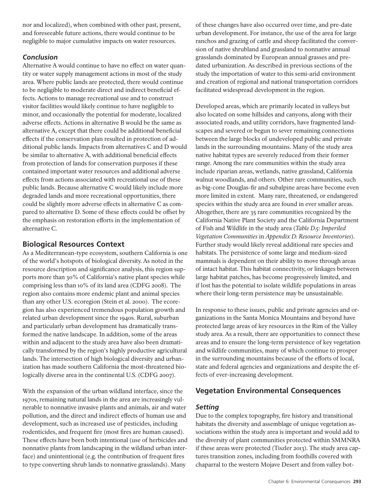nor and localized), when combined with other past, present, and foreseeable future actions, there would continue to be negligible to major cumulative impacts on water resources.

## *Conclusion*

Alternative A would continue to have no effect on water quantity or water supply management actions in most of the study area. Where public lands are protected, there would continue to be negligible to moderate direct and indirect beneficial effects. Actions to manage recreational use and to construct visitor facilities would likely continue to have negligible to minor, and occasionally the potential for moderate, localized adverse effects. Actions in alternative B would be the same as alternative A, except that there could be additional beneficial effects if the conservation plan resulted in protection of additional public lands. Impacts from alternatives C and D would be similar to alternative A, with additional beneficial effects from protection of lands for conservation purposes if these contained important water resources and additional adverse effects from actions associated with recreational use of these public lands. Because alternative C would likely include more degraded lands and more recreational opportunities, there could be slightly more adverse effects in alternative C as compared to alternative D. Some of these effects could be offset by the emphasis on restoration efforts in the implementation of alternative C.

# **Biological Resources Context**

As a Mediterranean-type ecosystem, southern California is one of the world's hotspots of biological diversity. As noted in the resource description and significance analysis, this region supports more than 30% of California's native plant species while comprising less than 10% of its land area (CDFG 2008). The region also contains more endemic plant and animal species than any other U.S. ecoregion (Stein et al. 2000). The ecoregion has also experienced tremendous population growth and related urban development since the 1940s. Rural, suburban and particularly urban development has dramatically transformed the native landscape. In addition, some of the areas within and adjacent to the study area have also been dramatically transformed by the region's highly productive agricultural lands. The intersection of high biological diversity and urbanization has made southern California the most-threatened biologically diverse area in the continental U.S. (CDFG 2007).

With the expansion of the urban wildland interface, since the 1970s, remaining natural lands in the area are increasingly vulnerable to nonnative invasive plants and animals, air and water pollution, and the direct and indirect effects of human use and development, such as increased use of pesticides, including rodenticides, and frequent fire (most fires are human caused). These effects have been both intentional (use of herbicides and nonnative plants from landscaping in the wildland urban interface) and unintentional (e.g. the contribution of frequent fires to type converting shrub lands to nonnative grasslands). Many

of these changes have also occurred over time, and pre-date urban development. For instance, the use of the area for large ranchos and grazing of cattle and sheep facilitated the conversion of native shrubland and grassland to nonnative annual grasslands dominated by European annual grasses and predated urbanization. As described in previous sections of the study the importation of water to this semi-arid environment and creation of regional and national transportation corridors facilitated widespread development in the region.

Developed areas, which are primarily located in valleys but also located on some hillsides and canyons, along with their associated roads, and utility corridors, have fragmented landscapes and severed or begun to sever remaining connections between the large blocks of undeveloped public and private lands in the surrounding mountains. Many of the study area native habitat types are severely reduced from their former range. Among the rare communities within the study area include riparian areas, wetlands, native grassland, California walnut woodlands, and others. Other rare communities, such as big-cone Douglas-fir and subalpine areas have become even more limited in extent. Many rare, threatened, or endangered species within the study area are found in ever smaller areas. Altogether, there are 35 rare communities recognized by the California Native Plant Society and the California Department of Fish and Wildlife in the study area (*Table D.5: Imperiled Vegetation Communities* in *Appendix D: Resource Inventories*). Further study would likely reveal additional rare species and habitats. The persistence of some large and medium-sized mammals is dependent on their ability to move through areas of intact habitat. This habitat connectivity, or linkages between large habitat patches, has become progressively limited, and if lost has the potential to isolate wildlife populations in areas where their long-term persistence may be unsustainable.

In response to these issues, public and private agencies and organizations in the Santa Monica Mountains and beyond have protected large areas of key resources in the Rim of the Valley study area. As a result, there are opportunities to connect these areas and to ensure the long-term persistence of key vegetation and wildlife communities, many of which continue to prosper in the surrounding mountains because of the efforts of local, state and federal agencies and organizations and despite the effects of ever-increasing development.

# **Vegetation Environmental Consequences**

## *Setting*

Due to the complex topography, fire history and transitional habitats the diversity and assemblage of unique vegetation associations within the study area is important and would add to the diversity of plant communities protected within SMMNRA if these areas were protected (Tiszler 2013). The study area captures transition zones, including from foothills covered with chaparral to the western Mojave Desert and from valley bot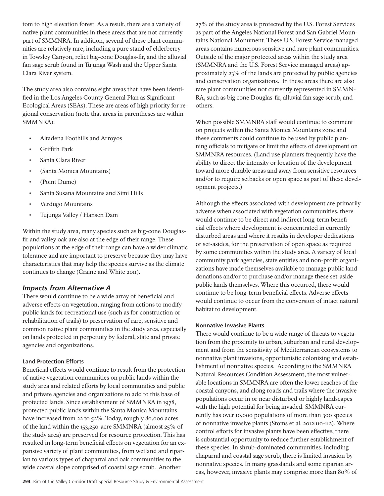tom to high elevation forest. As a result, there are a variety of native plant communities in these areas that are not currently part of SMMNRA. In addition, several of these plant communities are relatively rare, including a pure stand of elderberry in Towsley Canyon, relict big-cone Douglas-fir, and the alluvial fan sage scrub found in Tujunga Wash and the Upper Santa Clara River system.

The study area also contains eight areas that have been identified in the Los Angeles County General Plan as Significant Ecological Areas (SEAs). These are areas of high priority for regional conservation (note that areas in parentheses are within SMMNRA):

- Altadena Foothills and Arroyos
- **Griffith Park**
- Santa Clara River
- (Santa Monica Mountains)
- (Point Dume)
- • Santa Susana Mountains and Simi Hills
- Verdugo Mountains
- Tujunga Valley / Hansen Dam

Within the study area, many species such as big-cone Douglasfir and valley oak are also at the edge of their range. These populations at the edge of their range can have a wider climatic tolerance and are important to preserve because they may have characteristics that may help the species survive as the climate continues to change (Craine and White 2011).

## *Impacts from Alternative A*

There would continue to be a wide array of beneficial and adverse effects on vegetation, ranging from actions to modify public lands for recreational use (such as for construction or rehabilitation of trails) to preservation of rare, sensitive and common native plant communities in the study area, especially on lands protected in perpetuity by federal, state and private agencies and organizations.

### **Land Protection Efforts**

Beneficial effects would continue to result from the protection of native vegetation communities on public lands within the study area and related efforts by local communities and public and private agencies and organizations to add to this base of protected lands. Since establishment of SMMNRA in 1978, protected public lands within the Santa Monica Mountains have increased from 22 to 52%. Today, roughly 80,000 acres of the land within the 153,250-acre SMMNRA (almost 25% of the study area) are preserved for resource protection. This has resulted in long-term beneficial effects on vegetation for an expansive variety of plant communities, from wetland and riparian to various types of chaparral and oak communities to the wide coastal slope comprised of coastal sage scrub. Another

27% of the study area is protected by the U.S. Forest Services as part of the Angeles National Forest and San Gabriel Mountains National Monument. These U.S. Forest Service managed areas contains numerous sensitive and rare plant communities. Outside of the major protected areas within the study area (SMMNRA and the U.S. Forest Service managed areas) approximately 23% of the lands are protected by public agencies and conservation organizations. In these areas there are also rare plant communities not currently represented in SMMN-RA, such as big cone Douglas-fir, alluvial fan sage scrub, and others.

When possible SMMNRA staff would continue to comment on projects within the Santa Monica Mountains zone and these comments could continue to be used by public planning officials to mitigate or limit the effects of development on SMMNRA resources. (Land use planners frequently have the ability to direct the intensity or location of the development toward more durable areas and away from sensitive resources and/or to require setbacks or open space as part of these development projects.)

Although the effects associated with development are primarily adverse when associated with vegetation communities, there would continue to be direct and indirect long-term beneficial effects where development is concentrated in currently disturbed areas and where it results in developer dedications or set-asides, for the preservation of open space as required by some communities within the study area. A variety of local community park agencies, state entities and non-profit organizations have made themselves available to manage public land donations and/or to purchase and/or manage these set-aside public lands themselves. Where this occurred, there would continue to be long-term beneficial effects. Adverse effects would continue to occur from the conversion of intact natural habitat to development.

### **Nonnative Invasive Plants**

There would continue to be a wide range of threats to vegetation from the proximity to urban, suburban and rural development and from the sensitivity of Mediterranean ecosystems to nonnative plant invasions, opportunistic colonizing and establishment of nonnative species. According to the SMMNRA Natural Resources Condition Assessment, the most vulnerable locations in SMMNRA are often the lower reaches of the coastal canyons, and along roads and trails where the invasive populations occur in or near disturbed or highly landscapes with the high potential for being invaded. SMMNRA currently has over 10,000 populations of more than 300 species of nonnative invasive plants (Stoms et al. 2012:110-112). Where control efforts for invasive plants have been effective, there is substantial opportunity to reduce further establishment of these species. In shrub-dominated communities, including chaparral and coastal sage scrub, there is limited invasion by nonnative species. In many grasslands and some riparian areas, however, invasive plants may comprise more than 80% of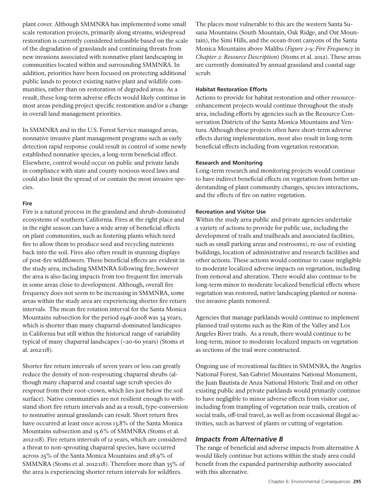plant cover. Although SMMNRA has implemented some small scale restoration projects, primarily along streams, widespread restoration is currently considered infeasible based on the scale of the degradation of grasslands and continuing threats from new invasions associated with nonnative plant landscaping in communities located within and surrounding SMMNRA. In addition, priorities have been focused on protecting additional public lands to protect existing native plant and wildlife communities, rather than on restoration of degraded areas. As a result, these long-term adverse effects would likely continue in most areas pending project specific restoration and/or a change in overall land management priorities.

In SMMNRA and in the U.S. Forest Service managed areas, nonnative invasive plant management programs such as early detection rapid response could result in control of some newly established nonnative species, a long-term beneficial effect. Elsewhere, control would occur on public and private lands in compliance with state and county noxious weed laws and could also limit the spread of or contain the most invasive species.

#### **Fire**

Fire is a natural process in the grassland and shrub-dominated ecosystems of southern California. Fires at the right place and in the right season can have a wide array of beneficial effects on plant communities, such as fostering plants which need fire to allow them to produce seed and recycling nutrients back into the soil. Fires also often result in stunning displays of post-fire wildflowers. These beneficial effects are evident in the study area, including SMMNRA following fire; however the area is also facing impacts from too frequent fire intervals in some areas close to development. Although, overall fire frequency does not seem to be increasing in SMMNRA, some areas within the study area are experiencing shorter fire return intervals. The mean fire rotation interval for the Santa Monica Mountains subsection for the period 1946-2008 was 34 years, which is shorter than many chaparral-dominated landscapes in California but still within the historical range of variability typical of many chaparral landscapes (~20-60 years) (Stoms et al. 2012:118).

Shorter fire return intervals of seven years or less can greatly reduce the density of non-resprouting chaparral shrubs (although many chaparral and coastal sage scrub species do resprout from their root-crown, which lies just below the soil surface). Native communities are not resilient enough to withstand short fire return intervals and as a result, type-conversion to nonnative annual grasslands can result. Short return fires have occurred at least once across 13.8% of the Santa Monica Mountains subsection and 15.6% of SMMNRA (Stoms et al. 2012:118). Fire return intervals of 12 years, which are considered a threat to non-sprouting chaparral species, have occurred across 25% of the Santa Monica Mountains and 28.9% of SMMNRA (Stoms et al. 2012:118). Therefore more than 35% of the area is experiencing shorter return intervals for wildfires.

The places most vulnerable to this are the western Santa Susana Mountains (South Mountain, Oak Ridge, and Oat Mountain), the Simi Hills, and the ocean-front canyons of the Santa Monica Mountains above Malibu (*Figure 2-9: Fire Frequency* in *Chapter 2: Resource Description*) (Stoms et al. 2012). These areas are currently dominated by annual grassland and coastal sage scrub.

#### **Habitat Restoration Efforts**

Actions to provide for habitat restoration and other resourceenhancement projects would continue throughout the study area, including efforts by agencies such as the Resource Conservation Districts of the Santa Monica Mountains and Ventura. Although these projects often have short-term adverse effects during implementation, most also result in long-term beneficial effects including from vegetation restoration.

#### **Research and Monitoring**

Long-term research and monitoring projects would continue to have indirect beneficial effects on vegetation from better understanding of plant community changes, species interactions, and the effects of fire on native vegetation.

#### **Recreation and Visitor Use**

Within the study area public and private agencies undertake a variety of actions to provide for public use, including the development of trails and trailheads and associated facilities, such as small parking areas and restrooms), re-use of existing buildings, location of administrative and research facilities and other actions. These actions would continue to cause negligible to moderate localized adverse impacts on vegetation, including from removal and alteration. There would also continue to be long-term minor to moderate localized beneficial effects where vegetation was restored, native landscaping planted or nonnative invasive plants removed.

Agencies that manage parklands would continue to implement planned trail systems such as the Rim of the Valley and Los Angeles River trails. As a result, there would continue to be long-term, minor to moderate localized impacts on vegetation as sections of the trail were constructed.

Ongoing use of recreational facilities in SMMNRA, the Angeles National Forest, San Gabriel Mountains National Monument, the Juan Bautista de Anza National Historic Trail and on other existing public and private parklands would primarily continue to have negligible to minor adverse effects from visitor use, including from trampling of vegetation near trails, creation of social trails, off-trail travel, as well as from occasional illegal activities, such as harvest of plants or cutting of vegetation.

### *Impacts from Alternative B*

The range of beneficial and adverse impacts from alternative A would likely continue but actions within the study area could benefit from the expanded partnership authority associated with this alternative.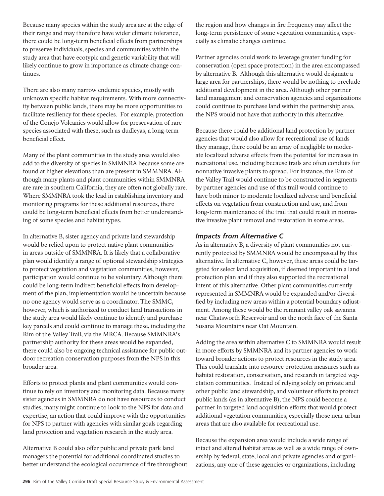Because many species within the study area are at the edge of their range and may therefore have wider climatic tolerance, there could be long-term beneficial effects from partnerships to preserve individuals, species and communities within the study area that have ecotypic and genetic variability that will likely continue to grow in importance as climate change continues.

There are also many narrow endemic species, mostly with unknown specific habitat requirements. With more connectivity between public lands, there may be more opportunities to facilitate resiliency for these species. For example, protection of the Conejo Volcanics would allow for preservation of rare species associated with these, such as dudleyas, a long-term beneficial effect.

Many of the plant communities in the study area would also add to the diversity of species in SMMNRA because some are found at higher elevations than are present in SMMNRA. Although many plants and plant communities within SMMNRA are rare in southern California, they are often not globally rare. Where SMMNRA took the lead in establishing inventory and monitoring programs for these additional resources, there could be long-term beneficial effects from better understanding of some species and habitat types.

In alternative B, sister agency and private land stewardship would be relied upon to protect native plant communities in areas outside of SMMNRA. It is likely that a collaborative plan would identify a range of optional stewardship strategies to protect vegetation and vegetation communities, however, participation would continue to be voluntary. Although there could be long-term indirect beneficial effects from development of the plan, implementation would be uncertain because no one agency would serve as a coordinator. The SMMC, however, which is authorized to conduct land transactions in the study area would likely continue to identify and purchase key parcels and could continue to manage these, including the Rim of the Valley Trail, via the MRCA. Because SMMNRA's partnership authority for these areas would be expanded, there could also be ongoing technical assistance for public outdoor recreation conservation purposes from the NPS in this broader area.

Efforts to protect plants and plant communities would continue to rely on inventory and monitoring data. Because many sister agencies in SMMNRA do not have resources to conduct studies, many might continue to look to the NPS for data and expertise, an action that could improve with the opportunities for NPS to partner with agencies with similar goals regarding land protection and vegetation research in the study area.

Alternative B could also offer public and private park land managers the potential for additional coordinated studies to better understand the ecological occurrence of fire throughout the region and how changes in fire frequency may affect the long-term persistence of some vegetation communities, especially as climatic changes continue.

Partner agencies could work to leverage greater funding for conservation (open space protection) in the area encompassed by alternative B. Although this alternative would designate a large area for partnerships, there would be nothing to preclude additional development in the area. Although other partner land management and conservation agencies and organizations could continue to purchase land within the partnership area, the NPS would not have that authority in this alternative.

Because there could be additional land protection by partner agencies that would also allow for recreational use of lands they manage, there could be an array of negligible to moderate localized adverse effects from the potential for increases in recreational use, including because trails are often conduits for nonnative invasive plants to spread. For instance, the Rim of the Valley Trail would continue to be constructed in segments by partner agencies and use of this trail would continue to have both minor to moderate localized adverse and beneficial effects on vegetation from construction and use, and from long-term maintenance of the trail that could result in nonnative invasive plant removal and restoration in some areas.

## *Impacts from Alternative C*

As in alternative B, a diversity of plant communities not currently protected by SMMNRA would be encompassed by this alternative. In alternative C, however, these areas could be targeted for select land acquisition, if deemed important in a land protection plan and if they also supported the recreational intent of this alternative. Other plant communities currently represented in SMMNRA would be expanded and/or diversified by including new areas within a potential boundary adjustment. Among these would be the remnant valley oak savanna near Chatsworth Reservoir and on the north face of the Santa Susana Mountains near Oat Mountain.

Adding the area within alternative C to SMMNRA would result in more efforts by SMMNRA and its partner agencies to work toward broader actions to protect resources in the study area. This could translate into resource protection measures such as habitat restoration, conservation, and research in targeted vegetation communities. Instead of relying solely on private and other public land stewardship, and volunteer efforts to protect public lands (as in alternative B), the NPS could become a partner in targeted land acquisition efforts that would protect additional vegetation communities, especially those near urban areas that are also available for recreational use.

Because the expansion area would include a wide range of intact and altered habitat areas as well as a wide range of ownership by federal, state, local and private agencies and organizations, any one of these agencies or organizations, including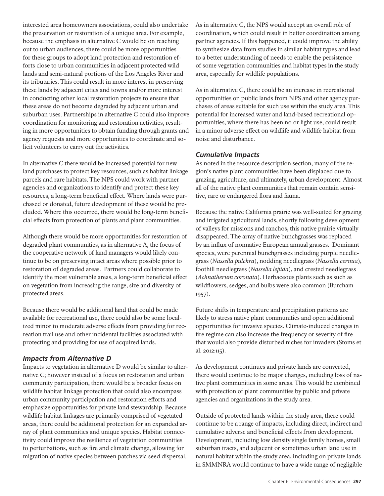interested area homeowners associations, could also undertake the preservation or restoration of a unique area. For example, because the emphasis in alternative C would be on reaching out to urban audiences, there could be more opportunities for these groups to adopt land protection and restoration efforts close to urban communities in adjacent protected wild lands and semi-natural portions of the Los Angeles River and its tributaries. This could result in more interest in preserving these lands by adjacent cities and towns and/or more interest in conducting other local restoration projects to ensure that these areas do not become degraded by adjacent urban and suburban uses. Partnerships in alternative C could also improve coordination for monitoring and restoration activities, resulting in more opportunities to obtain funding through grants and agency requests and more opportunities to coordinate and solicit volunteers to carry out the activities.

In alternative C there would be increased potential for new land purchases to protect key resources, such as habitat linkage parcels and rare habitats. The NPS could work with partner agencies and organizations to identify and protect these key resources, a long-term beneficial effect. Where lands were purchased or donated, future development of these would be precluded. Where this occurred, there would be long-term beneficial effects from protection of plants and plant communities.

Although there would be more opportunities for restoration of degraded plant communities, as in alternative A, the focus of the cooperative network of land managers would likely continue to be on preserving intact areas where possible prior to restoration of degraded areas. Partners could collaborate to identify the most vulnerable areas, a long-term beneficial effect on vegetation from increasing the range, size and diversity of protected areas.

Because there would be additional land that could be made available for recreational use, there could also be some localized minor to moderate adverse effects from providing for recreation trail use and other incidental facilities associated with protecting and providing for use of acquired lands.

## *Impacts from Alternative D*

Impacts to vegetation in alternative D would be similar to alternative C; however instead of a focus on restoration and urban community participation, there would be a broader focus on wildlife habitat linkage protection that could also encompass urban community participation and restoration efforts and emphasize opportunities for private land stewardship. Because wildlife habitat linkages are primarily comprised of vegetated areas, there could be additional protection for an expanded array of plant communities and unique species. Habitat connectivity could improve the resilience of vegetation communities to perturbations, such as fire and climate change, allowing for migration of native species between patches via seed dispersal.

As in alternative C, the NPS would accept an overall role of coordination, which could result in better coordination among partner agencies. If this happened, it could improve the ability to synthesize data from studies in similar habitat types and lead to a better understanding of needs to enable the persistence of some vegetation communities and habitat types in the study area, especially for wildlife populations.

As in alternative C, there could be an increase in recreational opportunities on public lands from NPS and other agency purchases of areas suitable for such use within the study area. This potential for increased water and land-based recreational opportunities, where there has been no or light use, could result in a minor adverse effect on wildlife and wildlife habitat from noise and disturbance.

## *Cumulative Impacts*

As noted in the resource description section, many of the region's native plant communities have been displaced due to grazing, agriculture, and ultimately, urban development. Almost all of the native plant communities that remain contain sensitive, rare or endangered flora and fauna.

Because the native California prairie was well-suited for grazing and irrigated agricultural lands, shortly following development of valleys for missions and ranchos, this native prairie virtually disappeared. The array of native bunchgrasses was replaced by an influx of nonnative European annual grasses. Dominant species, were perennial bunchgrasses including purple needlegrass (*Nassella pulchra*), nodding needlegrass (*Nassella cernua*), foothill needlegrass (*Nassella lepida*), and crested needlegrass (*Achnatherum coronata*). Herbaceous plants such as such as wildflowers, sedges, and bulbs were also common (Burcham 1957).

Future shifts in temperature and precipitation patterns are likely to stress native plant communities and open additional opportunities for invasive species. Climate-induced changes in fire regime can also increase the frequency or severity of fire that would also provide disturbed niches for invaders (Stoms et al. 2012:115).

As development continues and private lands are converted, there would continue to be major changes, including loss of native plant communities in some areas. This would be combined with protection of plant communities by public and private agencies and organizations in the study area.

Outside of protected lands within the study area, there could continue to be a range of impacts, including direct, indirect and cumulative adverse and beneficial effects from development. Development, including low density single family homes, small suburban tracts, and adjacent or sometimes urban land use in natural habitat within the study area, including on private lands in SMMNRA would continue to have a wide range of negligible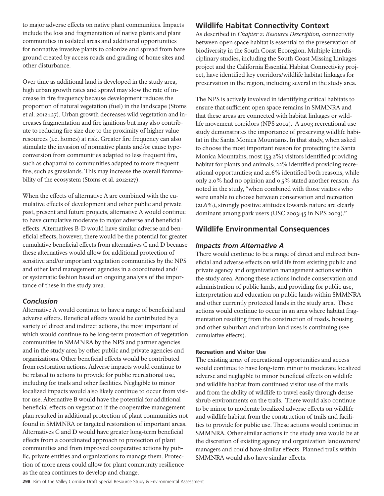to major adverse effects on native plant communities. Impacts include the loss and fragmentation of native plants and plant communities in isolated areas and additional opportunities for nonnative invasive plants to colonize and spread from bare ground created by access roads and grading of home sites and other disturbance.

Over time as additional land is developed in the study area, high urban growth rates and sprawl may slow the rate of increase in fire frequency because development reduces the proportion of natural vegetation (fuel) in the landscape (Stoms et al. 2012:127). Urban growth decreases wild vegetation and increases fragmentation and fire ignitions but may also contribute to reducing fire size due to the proximity of higher value resources (i.e. homes) at risk. Greater fire frequency can also stimulate the invasion of nonnative plants and/or cause typeconversion from communities adapted to less frequent fire, such as chaparral to communities adapted to more frequent fire, such as grasslands. This may increase the overall flammability of the ecosystem (Stoms et al. 2012:127).

When the effects of alternative A are combined with the cumulative effects of development and other public and private past, present and future projects, alternative A would continue to have cumulative moderate to major adverse and beneficial effects. Alternatives B-D would have similar adverse and beneficial effects, however, there would be the potential for greater cumulative beneficial effects from alternatives C and D because these alternatives would allow for additional protection of sensitive and/or important vegetation communities by the NPS and other land management agencies in a coordinated and/ or systematic fashion based on ongoing analysis of the importance of these in the study area.

## *Conclusion*

Alternative A would continue to have a range of beneficial and adverse effects. Beneficial effects would be contributed by a variety of direct and indirect actions, the most important of which would continue to be long-term protection of vegetation communities in SMMNRA by the NPS and partner agencies and in the study area by other public and private agencies and organizations. Other beneficial effects would be contributed from restoration actions. Adverse impacts would continue to be related to actions to provide for public recreational use, including for trails and other facilities. Negligible to minor localized impacts would also likely continue to occur from visitor use. Alternative B would have the potential for additional beneficial effects on vegetation if the cooperative management plan resulted in additional protection of plant communities not found in SMMNRA or targeted restoration of important areas. Alternatives C and D would have greater long-term beneficial effects from a coordinated approach to protection of plant communities and from improved cooperative actions by public, private entities and organizations to manage them. Protection of more areas could allow for plant community resilience as the area continues to develop and change.

## **Wildlife Habitat Connectivity Context**

As described in *Chapter 2: Resource Description,* connectivity between open space habitat is essential to the preservation of biodiversity in the South Coast Ecoregion. Multiple interdisciplinary studies, including the South Coast Missing Linkages project and the California Essential Habitat Connectivity project, have identified key corridors/wildlife habitat linkages for preservation in the region, including several in the study area.

The NPS is actively involved in identifying critical habitats to ensure that sufficient open space remains in SMMNRA and that these areas are connected with habitat linkages or wildlife movement corridors (NPS 2002). A 2003 recreational use study demonstrates the importance of preserving wildlife habitat in the Santa Monica Mountains. In that study, when asked to choose the most important reason for protecting the Santa Monica Mountains, most (53.2%) visitors identified providing habitat for plants and animals; 22% identified providing recreational opportunities; and 21.6% identified both reasons, while only 2.0% had no opinion and 0.5% stated another reason. As noted in the study, "when combined with those visitors who were unable to choose between conservation and recreation (21.6%), strongly positive attitudes towards nature are clearly dominant among park users (USC 2003:45 in NPS 2003)."

## **Wildlife Environmental Consequences**

## *Impacts from Alternative A*

There would continue to be a range of direct and indirect beneficial and adverse effects on wildlife from existing public and private agency and organization management actions within the study area. Among these actions include conservation and administration of public lands, and providing for public use, interpretation and education on public lands within SMMNRA and other currently protected lands in the study area. These actions would continue to occur in an area where habitat fragmentation resulting from the construction of roads, housing and other suburban and urban land uses is continuing (see cumulative effects).

### **Recreation and Visitor Use**

The existing array of recreational opportunities and access would continue to have long-term minor to moderate localized adverse and negligible to minor beneficial effects on wildlife and wildlife habitat from continued visitor use of the trails and from the ability of wildlife to travel easily through dense shrub environments on the trails. There would also continue to be minor to moderate localized adverse effects on wildlife and wildlife habitat from the construction of trails and facilities to provide for public use. These actions would continue in SMMNRA. Other similar actions in the study area would be at the discretion of existing agency and organization landowners/ managers and could have similar effects. Planned trails within SMMNRA would also have similar effects.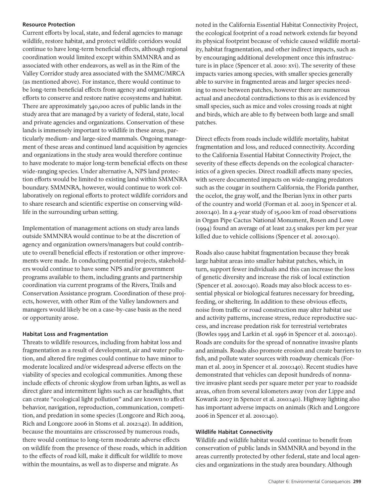#### **Resource Protection**

Current efforts by local, state, and federal agencies to manage wildlife, restore habitat, and protect wildlife corridors would continue to have long-term beneficial effects, although regional coordination would limited except within SMMNRA and as associated with other endeavors, as well as in the Rim of the Valley Corridor study area associated with the SMMC/MRCA (as mentioned above). For instance, there would continue to be long-term beneficial effects from agency and organization efforts to conserve and restore native ecosystems and habitat. There are approximately 340,000 acres of public lands in the study area that are managed by a variety of federal, state, local and private agencies and organizations. Conservation of these lands is immensely important to wildlife in these areas, particularly medium- and large-sized mammals. Ongoing management of these areas and continued land acquisition by agencies and organizations in the study area would therefore continue to have moderate to major long-term beneficial effects on these wide-ranging species. Under alternative A, NPS land protection efforts would be limited to existing land within SMMNRA boundary. SMMNRA, however, would continue to work collaboratively on regional efforts to protect wildlife corridors and to share research and scientific expertise on conserving wildlife in the surrounding urban setting.

Implementation of management actions on study area lands outside SMMNRA would continue to be at the discretion of agency and organization owners/managers but could contribute to overall beneficial effects if restoration or other improvements were made. In conducting potential projects, stakeholders would continue to have some NPS and/or government programs available to them, including grants and partnership coordination via current programs of the Rivers, Trails and Conservation Assistance program. Coordination of these projects, however, with other Rim of the Valley landowners and managers would likely be on a case-by-case basis as the need or opportunity arose.

### **Habitat Loss and Fragmentation**

Threats to wildlife resources, including from habitat loss and fragmentation as a result of development, air and water pollution, and altered fire regimes could continue to have minor to moderate localized and/or widespread adverse effects on the viability of species and ecological communities. Among these include effects of chronic skyglow from urban lights, as well as direct glare and intermittent lights such as car headlights, that can create "ecological light pollution" and are known to affect behavior, navigation, reproduction, communication, competition, and predation in some species (Longcore and Rich 2004, Rich and Longcore 2006 in Stoms et al. 2012:142). In addition, because the mountains are crisscrossed by numerous roads, there would continue to long-term moderate adverse effects on wildlife from the presence of these roads, which in addition to the effects of road kill, make it difficult for wildlife to move within the mountains, as well as to disperse and migrate. As

noted in the California Essential Habitat Connectivity Project, the ecological footprint of a road network extends far beyond its physical footprint because of vehicle caused wildlife mortality, habitat fragmentation, and other indirect impacts, such as by encouraging additional development once this infrastructure is in place (Spencer et al. 2010: xvi). The severity of these impacts varies among species, with smaller species generally able to survive in fragmented areas and larger species needing to move between patches, however there are numerous actual and anecdotal contradictions to this as is evidenced by small species, such as mice and voles crossing roads at night and birds, which are able to fly between both large and small patches.

Direct effects from roads include wildlife mortality, habitat fragmentation and loss, and reduced connectivity. According to the California Essential Habitat Connectivity Project, the severity of these effects depends on the ecological characteristics of a given species. Direct roadkill affects many species, with severe documented impacts on wide-ranging predators such as the cougar in southern California, the Florida panther, the ocelot, the gray wolf, and the Iberian lynx in other parts of the country and world (Forman et al. 2003 in Spencer et al. 2010:140). In a 4-year study of 15,000 km of road observations in Organ Pipe Cactus National Monument, Rosen and Lowe (1994) found an average of at least 22.5 snakes per km per year killed due to vehicle collisions (Spencer et al. 2010:140).

Roads also cause habitat fragmentation because they break large habitat areas into smaller habitat patches, which, in turn, support fewer individuals and this can increase the loss of genetic diversity and increase the risk of local extinction (Spencer et al. 2010:140). Roads may also block access to essential physical or biological features necessary for breeding, feeding, or sheltering. In addition to these obvious effects, noise from traffic or road construction may alter habitat use and activity patterns, increase stress, reduce reproductive success, and increase predation risk for terrestrial vertebrates (Bowles 1995 and Larkin et al. 1996 in Spencer et al. 2010:140). Roads are conduits for the spread of nonnative invasive plants and animals. Roads also promote erosion and create barriers to fish, and pollute water sources with roadway chemicals (Forman et al. 2003 in Spencer et al. 2010:140). Recent studies have demonstrated that vehicles can deposit hundreds of nonnative invasive plant seeds per square meter per year to roadside areas, often from several kilometers away (von der Lippe and Kowarik 2007 in Spencer et al. 2010:140). Highway lighting also has important adverse impacts on animals (Rich and Longcore 2006 in Spencer et al. 2010:140).

### **Wildlife Habitat Connectivity**

Wildlife and wildlife habitat would continue to benefit from conservation of public lands in SMMNRA and beyond in the areas currently protected by other federal, state and local agencies and organizations in the study area boundary. Although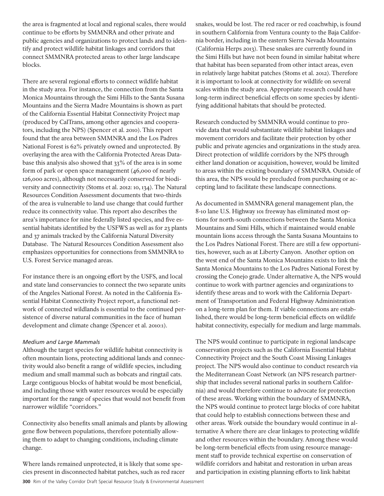the area is fragmented at local and regional scales, there would continue to be efforts by SMMNRA and other private and public agencies and organizations to protect lands and to identify and protect wildlife habitat linkages and corridors that connect SMMNRA protected areas to other large landscape blocks.

There are several regional efforts to connect wildlife habitat in the study area. For instance, the connection from the Santa Monica Mountains through the Simi Hills to the Santa Susana Mountains and the Sierra Madre Mountains is shown as part of the California Essential Habitat Connectivity Project map (produced by CalTrans, among other agencies and cooperators, including the NPS) (Spencer et al. 2010). This report found that the area between SMMNRA and the Los Padres National Forest is 62% privately owned and unprotected. By overlaying the area with the California Protected Areas Database this analysis also showed that 33% of the area is in some form of park or open space management (46,000 of nearly 126,000 acres), although not necessarily conserved for biodiversity and connectivity (Stoms et al. 2012: 10, 134). The Natural Resources Condition Assessment documents that two-thirds of the area is vulnerable to land use change that could further reduce its connectivity value. This report also describes the area's importance for nine federally listed species, and five essential habitats identified by the USFWS as well as for 23 plants and 37 animals tracked by the California Natural Diversity Database. The Natural Resources Condition Assessment also emphasizes opportunities for connections from SMMNRA to U.S. Forest Service managed areas.

For instance there is an ongoing effort by the USFS, and local and state land conservancies to connect the two separate units of the Angeles National Forest. As noted in the California Essential Habitat Connectivity Project report, a functional network of connected wildlands is essential to the continued persistence of diverse natural communities in the face of human development and climate change (Spencer et al. 2010:1).

### *Medium and Large Mammals*

Although the target species for wildlife habitat connectivity is often mountain lions, protecting additional lands and connectivity would also benefit a range of wildlife species, including medium and small mammal such as bobcats and ringtail cats. Large contiguous blocks of habitat would be most beneficial, and including those with water resources would be especially important for the range of species that would not benefit from narrower wildlife "corridors."

Connectivity also benefits small animals and plants by allowing gene flow between populations, therefore potentially allowing them to adapt to changing conditions, including climate change.

Where lands remained unprotected, it is likely that some species present in disconnected habitat patches, such as red racer snakes, would be lost. The red racer or red coachwhip, is found in southern California from Ventura county to the Baja California border, including in the eastern Sierra Nevada Mountains (California Herps 2013). These snakes are currently found in the Simi Hills but have not been found in similar habitat where that habitat has been separated from other intact areas, even in relatively large habitat patches (Stoms et al. 2012). Therefore it is important to look at connectivity for wildlife on several scales within the study area. Appropriate research could have long-term indirect beneficial effects on some species by identifying additional habitats that should be protected.

Research conducted by SMMNRA would continue to provide data that would substantiate wildlife habitat linkages and movement corridors and facilitate their protection by other public and private agencies and organizations in the study area. Direct protection of wildlife corridors by the NPS through either land donation or acquisition, however, would be limited to areas within the existing boundary of SMMNRA. Outside of this area, the NPS would be precluded from purchasing or accepting land to facilitate these landscape connections.

As documented in SMMNRA general management plan, the 8-10 lane U.S. Highway 101 freeway has eliminated most options for north-south connections between the Santa Monica Mountains and Simi Hills, which if maintained would enable mountain lions access through the Santa Susana Mountains to the Los Padres National Forest. There are still a few opportunities, however, such as at Liberty Canyon. Another option on the west end of the Santa Monica Mountains exists to link the Santa Monica Mountains to the Los Padres National Forest by crossing the Conejo grade. Under alternative A, the NPS would continue to work with partner agencies and organizations to identify these areas and to work with the California Department of Transportation and Federal Highway Administration on a long-term plan for them. If viable connections are established, there would be long-term beneficial effects on wildlife habitat connectivity, especially for medium and large mammals.

The NPS would continue to participate in regional landscape conservation projects such as the California Essential Habitat Connectivity Project and the South Coast Missing Linkages project. The NPS would also continue to conduct research via the Mediterranean Coast Network (an NPS research partnership that includes several national parks in southern California) and would therefore continue to advocate for protection of these areas. Working within the boundary of SMMNRA, the NPS would continue to protect large blocks of core habitat that could help to establish connections between these and other areas. Work outside the boundary would continue in alternative A where there are clear linkages to protecting wildlife and other resources within the boundary. Among these would be long-term beneficial effects from using resource management staff to provide technical expertise on conservation of wildlife corridors and habitat and restoration in urban areas and participation in existing planning efforts to link habitat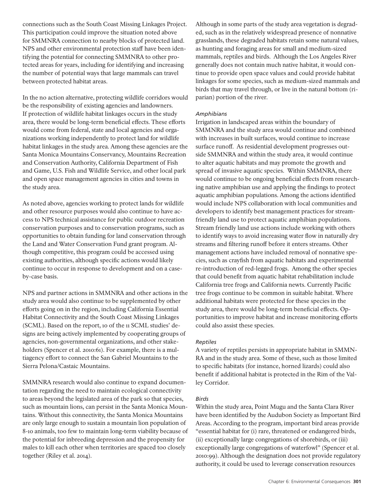connections such as the South Coast Missing Linkages Project. This participation could improve the situation noted above for SMMNRA connection to nearby blocks of protected land. NPS and other environmental protection staff have been identifying the potential for connecting SMMNRA to other protected areas for years, including for identifying and increasing the number of potential ways that large mammals can travel between protected habitat areas.

In the no action alternative, protecting wildlife corridors would be the responsibility of existing agencies and landowners. If protection of wildlife habitat linkages occurs in the study area, there would be long-term beneficial effects. These efforts would come from federal, state and local agencies and organizations working independently to protect land for wildlife habitat linkages in the study area. Among these agencies are the Santa Monica Mountains Conservancy, Mountains Recreation and Conservation Authority, California Department of Fish and Game, U.S. Fish and Wildlife Service, and other local park and open space management agencies in cities and towns in the study area.

As noted above, agencies working to protect lands for wildlife and other resource purposes would also continue to have access to NPS technical assistance for public outdoor recreation conservation purposes and to conservation programs, such as opportunities to obtain funding for land conservation through the Land and Water Conservation Fund grant program. Although competitive, this program could be accessed using existing authorities, although specific actions would likely continue to occur in response to development and on a caseby-case basis.

NPS and partner actions in SMMNRA and other actions in the study area would also continue to be supplemented by other efforts going on in the region, including California Essential Habitat Connectivity and the South Coast Missing Linkages (SCML). Based on the report, 10 of the 11 SCML studies' designs are being actively implemented by cooperating groups of agencies, non-governmental organizations, and other stakeholders (Spencer et al. 2010:61). For example, there is a multiagency effort to connect the San Gabriel Mountains to the Sierra Pelona/Castaic Mountains.

SMMNRA research would also continue to expand documentation regarding the need to maintain ecological connectivity to areas beyond the legislated area of the park so that species, such as mountain lions, can persist in the Santa Monica Mountains. Without this connectivity, the Santa Monica Mountains are only large enough to sustain a mountain lion population of 8-10 animals, too few to maintain long-term viability because of the potential for inbreeding depression and the propensity for males to kill each other when territories are spaced too closely together (Riley et al. 2014).

Although in some parts of the study area vegetation is degraded, such as in the relatively widespread presence of nonnative grasslands, these degraded habitats retain some natural values, as hunting and foraging areas for small and medium-sized mammals, reptiles and birds. Although the Los Angeles River generally does not contain much native habitat, it would continue to provide open space values and could provide habitat linkages for some species, such as medium-sized mammals and birds that may travel through, or live in the natural bottom (riparian) portion of the river.

### *Amphibians*

Irrigation in landscaped areas within the boundary of SMMNRA and the study area would continue and combined with increases in built surfaces, would continue to increase surface runoff. As residential development progresses outside SMMNRA and within the study area, it would continue to alter aquatic habitats and may promote the growth and spread of invasive aquatic species. Within SMMNRA, there would continue to be ongoing beneficial effects from researching native amphibian use and applying the findings to protect aquatic amphibian populations. Among the actions identified would include NPS collaboration with local communities and developers to identify best management practices for streamfriendly land use to protect aquatic amphibian populations. Stream friendly land use actions include working with others to identify ways to avoid increasing water flow in naturally dry streams and filtering runoff before it enters streams. Other management actions have included removal of nonnative species, such as crayfish from aquatic habitats and experimental re-introduction of red-legged frogs. Among the other species that could benefit from aquatic habitat rehabilitation include California tree frogs and California newts. Currently Pacific tree frogs continue to be common in suitable habitat. Where additional habitats were protected for these species in the study area, there would be long-term beneficial effects. Opportunities to improve habitat and increase monitoring efforts could also assist these species.

### *Reptiles*

A variety of reptiles persists in appropriate habitat in SMMN-RA and in the study area. Some of these, such as those limited to specific habitats (for instance, horned lizards) could also benefit if additional habitat is protected in the Rim of the Valley Corridor.

### *Birds*

Within the study area, Point Mugu and the Santa Clara River have been identified by the Audubon Society as Important Bird Areas. According to the program, important bird areas provide "essential habitat for (i) rare, threatened or endangered birds, (ii) exceptionally large congregations of shorebirds, or (iii) exceptionally large congregations of waterfowl" (Spencer et al. 2010:99). Although the designation does not provide regulatory authority, it could be used to leverage conservation resources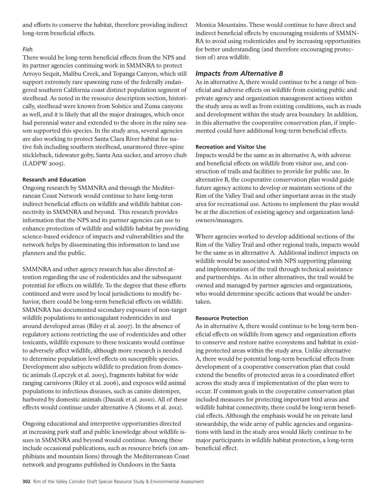and efforts to conserve the habitat, therefore providing indirect long-term beneficial effects.

### *Fish*

There would be long-term beneficial effects from the NPS and its partner agencies continuing work in SMMNRA to protect Arroyo Sequit, Malibu Creek, and Topanga Canyon, which still support extremely rare spawning runs of the federally endangered southern California coast distinct population segment of steelhead. As noted in the resource description section, historically, steelhead were known from Solstice and Zuma canyons as well, and it is likely that all the major drainages, which once had perennial water and extended to the shore in the rainy season supported this species. In the study area, several agencies are also working to protect Santa Clara River habitat for native fish including southern steelhead, unarmored three-spine stickleback, tidewater goby, Santa Ana sucker, and arroyo chub (LADPW 2005).

### **Research and Education**

Ongoing research by SMMNRA and through the Mediterranean Coast Network would continue to have long-term indirect beneficial effects on wildlife and wildlife habitat connectivity in SMMNRA and beyond. This research provides information that the NPS and its partner agencies can use to enhance protection of wildlife and wildlife habitat by providing science-based evidence of impacts and vulnerabilities and the network helps by disseminating this information to land use planners and the public.

SMMNRA and other agency research has also directed attention regarding the use of rodenticides and the subsequent potential for effects on wildlife. To the degree that these efforts continued and were used by local jurisdictions to modify behavior, there could be long-term beneficial effects on wildlife. SMMNRA has documented secondary exposure of non-target wildlife populations to anticoagulant rodenticides in and around developed areas (Riley et al. 2007). In the absence of regulatory actions restricting the use of rodenticides and other toxicants, wildlife exposure to these toxicants would continue to adversely affect wildlife, although more research is needed to determine population level effects on susceptible species. Development also subjects wildlife to predation from domestic animals (Lepczyk et al. 2003), fragments habitat for wide ranging carnivores (Riley et al. 2006), and exposes wild animal populations to infectious diseases, such as canine distemper, harbored by domestic animals (Daszak et al. 2000). All of these effects would continue under alternative A (Stoms et al. 2012).

Ongoing educational and interpretive opportunities directed at increasing park staff and public knowledge about wildlife issues in SMMNRA and beyond would continue. Among these include occasional publications, such as resource briefs (on amphibians and mountain lions) through the Mediterranean Coast network and programs published in Outdoors in the Santa

Monica Mountains. These would continue to have direct and indirect beneficial effects by encouraging residents of SMMN-RA to avoid using rodenticides and by increasing opportunities for better understanding (and therefore encouraging protection of) area wildlife.

## *Impacts from Alternative B*

As in alternative A, there would continue to be a range of beneficial and adverse effects on wildlife from existing public and private agency and organization management actions within the study area as well as from existing conditions, such as roads and development within the study area boundary. In addition, in this alternative the cooperative conservation plan, if implemented could have additional long-term beneficial effects.

## **Recreation and Visitor Use**

Impacts would be the same as in alternative A, with adverse and beneficial effects on wildlife from visitor use, and construction of trails and facilities to provide for public use. In alternative B, the cooperative conservation plan would guide future agency actions to develop or maintain sections of the Rim of the Valley Trail and other important areas in the study area for recreational use. Actions to implement the plan would be at the discretion of existing agency and organization landowners/managers.

Where agencies worked to develop additional sections of the Rim of the Valley Trail and other regional trails, impacts would be the same as in alternative A. Additional indirect impacts on wildlife would be associated with NPS supporting planning and implementation of the trail through technical assistance and partnerships. As in other alternatives, the trail would be owned and managed by partner agencies and organizations, who would determine specific actions that would be undertaken.

### **Resource Protection**

As in alternative A, there would continue to be long-term beneficial effects on wildlife from agency and organization efforts to conserve and restore native ecosystems and habitat in existing protected areas within the study area. Unlike alternative A, there would be potential long-term beneficial effects from development of a cooperative conservation plan that could extend the benefits of protected areas in a coordinated effort across the study area if implementation of the plan were to occur. If common goals in the cooperative conservation plan included measures for protecting important bird areas and wildlife habitat connectivity, there could be long-term beneficial effects. Although the emphasis would be on private land stewardship, the wide array of public agencies and organizations with land in the study area would likely continue to be major participants in wildlife habitat protection, a long-term beneficial effect.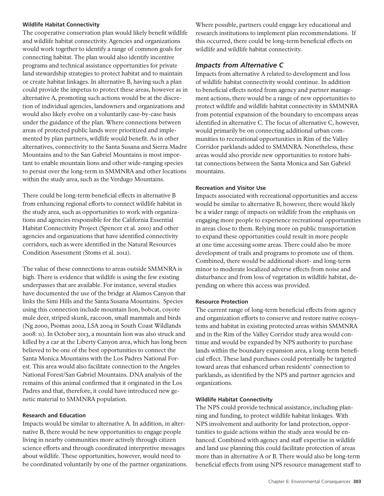#### **Wildlife Habitat Connectivity**

The cooperative conservation plan would likely benefit wildlife and wildlife habitat connectivity. Agencies and organizations would work together to identify a range of common goals for connecting habitat. The plan would also identify incentive programs and technical assistance opportunities for private land stewardship strategies to protect habitat and to maintain or create habitat linkages. In alternative B, having such a plan could provide the impetus to protect these areas, however as in alternative A, promoting such actions would be at the discretion of individual agencies, landowners and organizations and would also likely evolve on a voluntarily case-by-case basis under the guidance of the plan. Where connections between areas of protected public lands were prioritized and implemented by plan partners, wildlife would benefit. As in other alternatives, connectivity to the Santa Susana and Sierra Madre Mountains and to the San Gabriel Mountains is most important to enable mountain lions and other wide-ranging species to persist over the long-term in SMMNRA and other locations within the study area, such as the Verdugo Mountains.

There could be long-term beneficial effects in alternative B from enhancing regional efforts to connect wildlife habitat in the study area, such as opportunities to work with organizations and agencies responsible for the California Essential Habitat Connectivity Project (Spencer et al. 2010) and other agencies and organizations that have identified connectivity corridors, such as were identified in the Natural Resources Condition Assessment (Stoms et al. 2012).

The value of these connections to areas outside SMMNRA is high. There is evidence that wildlife is using the few existing underpasses that are available. For instance, several studies have documented the use of the bridge at Alamos Canyon that links the Simi Hills and the Santa Susana Mountains. Species using this connection include mountain lion, bobcat, coyote mule deer, striped skunk, raccoon, small mammals and birds (Ng 2000, Psomas 2002, LSA 2004 in South Coast Wildlands 2008: 11). In October 2013, a mountain lion was also struck and killed by a car at the Liberty Canyon area, which has long been believed to be one of the best opportunities to connect the Santa Monica Mountains with the Los Padres National Forest. This area would also facilitate connection to the Angeles National Forest/San Gabriel Mountains. DNA analysis of the remains of this animal confirmed that it originated in the Los Padres and that, therefore, it could have introduced new genetic material to SMMNRA population.

#### **Research and Education**

Impacts would be similar to alternative A. In addition, in alternative B, there would be new opportunities to engage people living in nearby communities more actively through citizen science efforts and through coordinated interpretive messages about wildlife. These opportunities, however, would need to be coordinated voluntarily by one of the partner organizations. Where possible, partners could engage key educational and research institutions to implement plan recommendations. If this occurred, there could be long-term beneficial effects on wildlife and wildlife habitat connectivity.

## *Impacts from Alternative C*

Impacts from alternative A related to development and loss of wildlife habitat connectivity would continue. In addition to beneficial effects noted from agency and partner management actions, there would be a range of new opportunities to protect wildlife and wildlife habitat connectivity in SMMNRA from potential expansion of the boundary to encompass areas identified in alternative C. The focus of alternative C, however, would primarily be on connecting additional urban communities to recreational opportunities in Rim of the Valley Corridor parklands added to SMMNRA. Nonetheless, these areas would also provide new opportunities to restore habitat connections between the Santa Monica and San Gabriel mountains.

### **Recreation and Visitor Use**

Impacts associated with recreational opportunities and access would be similar to alternative B, however, there would likely be a wider range of impacts on wildlife from the emphasis on engaging more people to experience recreational opportunities in areas close to them. Relying more on public transportation to expand these opportunities could result in more people at one time accessing some areas. There could also be more development of trails and programs to promote use of them. Combined, there would be additional short- and long-term minor to moderate localized adverse effects from noise and disturbance and from loss of vegetation in wildlife habitat, depending on where this access was provided.

#### **Resource Protection**

The current range of long-term beneficial effects from agency and organization efforts to conserve and restore native ecosystems and habitat in existing protected areas within SMMNRA and in the Rim of the Valley Corridor study area would continue and would be expanded by NPS authority to purchase lands within the boundary expansion area, a long-term beneficial effect. These land purchases could potentially be targeted toward areas that enhanced urban residents' connection to parklands, as identified by the NPS and partner agencies and organizations.

### **Wildlife Habitat Connectivity**

The NPS could provide technical assistance, including planning and funding, to protect wildlife habitat linkages. With NPS involvement and authority for land protection, opportunities to guide actions within the study area would be enhanced. Combined with agency and staff expertise in wildlife and land use planning this could facilitate protection of areas more than in alternative A or B. There would also be long-term beneficial effects from using NPS resource management staff to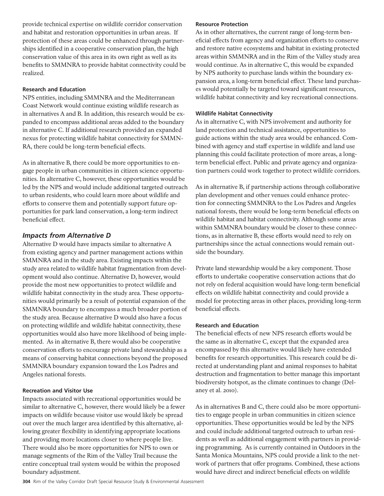provide technical expertise on wildlife corridor conservation and habitat and restoration opportunities in urban areas. If protection of these areas could be enhanced through partnerships identified in a cooperative conservation plan, the high conservation value of this area in its own right as well as its benefits to SMMNRA to provide habitat connectivity could be realized.

### **Research and Education**

NPS entities, including SMMNRA and the Mediterranean Coast Network would continue existing wildlife research as in alternatives A and B. In addition, this research would be expanded to encompass additional areas added to the boundary in alternative C. If additional research provided an expanded nexus for protecting wildlife habitat connectivity for SMMN-RA, there could be long-term beneficial effects.

As in alternative B, there could be more opportunities to engage people in urban communities in citizen science opportunities. In alternative C, however, these opportunities would be led by the NPS and would include additional targeted outreach to urban residents, who could learn more about wildlife and efforts to conserve them and potentially support future opportunities for park land conservation, a long-term indirect beneficial effect.

### *Impacts from Alternative D*

Alternative D would have impacts similar to alternative A from existing agency and partner management actions within SMMNRA and in the study area. Existing impacts within the study area related to wildlife habitat fragmentation from development would also continue. Alternative D, however, would provide the most new opportunities to protect wildlife and wildlife habitat connectivity in the study area. These opportunities would primarily be a result of potential expansion of the SMMNRA boundary to encompass a much broader portion of the study area. Because alternative D would also have a focus on protecting wildlife and wildlife habitat connectivity, these opportunities would also have more likelihood of being implemented. As in alternative B, there would also be cooperative conservation efforts to encourage private land stewardship as a means of conserving habitat connections beyond the proposed SMMNRA boundary expansion toward the Los Padres and Angeles national forests.

#### **Recreation and Visitor Use**

Impacts associated with recreational opportunities would be similar to alternative C, however, there would likely be a fewer impacts on wildlife because visitor use would likely be spread out over the much larger area identified by this alternative, allowing greater flexibility in identifying appropriate locations and providing more locations closer to where people live. There would also be more opportunities for NPS to own or manage segments of the Rim of the Valley Trail because the entire conceptual trail system would be within the proposed boundary adjustment.

#### **Resource Protection**

As in other alternatives, the current range of long-term beneficial effects from agency and organization efforts to conserve and restore native ecosystems and habitat in existing protected areas within SMMNRA and in the Rim of the Valley study area would continue. As in alternative C, this would be expanded by NPS authority to purchase lands within the boundary expansion area, a long-term beneficial effect. These land purchases would potentially be targeted toward significant resources, wildlife habitat connectivity and key recreational connections.

#### **Wildlife Habitat Connectivity**

As in alternative C, with NPS involvement and authority for land protection and technical assistance, opportunities to guide actions within the study area would be enhanced. Combined with agency and staff expertise in wildlife and land use planning this could facilitate protection of more areas, a longterm beneficial effect. Public and private agency and organization partners could work together to protect wildlife corridors.

As in alternative B, if partnership actions through collaborative plan development and other venues could enhance protection for connecting SMMNRA to the Los Padres and Angeles national forests, there would be long-term beneficial effects on wildlife habitat and habitat connectivity. Although some areas within SMMNRA boundary would be closer to these connections, as in alternative B, these efforts would need to rely on partnerships since the actual connections would remain outside the boundary.

Private land stewardship would be a key component. Those efforts to undertake cooperative conservation actions that do not rely on federal acquisition would have long-term beneficial effects on wildlife habitat connectivity and could provide a model for protecting areas in other places, providing long-term beneficial effects.

### **Research and Education**

The beneficial effects of new NPS research efforts would be the same as in alternative C, except that the expanded area encompassed by this alternative would likely have extended benefits for research opportunities. This research could be directed at understanding plant and animal responses to habitat destruction and fragmentation to better manage this important biodiversity hotspot, as the climate continues to change (Delaney et al. 2010).

As in alternatives B and C, there could also be more opportunities to engage people in urban communities in citizen science opportunities. These opportunities would be led by the NPS and could include additional targeted outreach to urban residents as well as additional engagement with partners in providing programming. As is currently contained in Outdoors in the Santa Monica Mountains, NPS could provide a link to the network of partners that offer programs. Combined, these actions would have direct and indirect beneficial effects on wildlife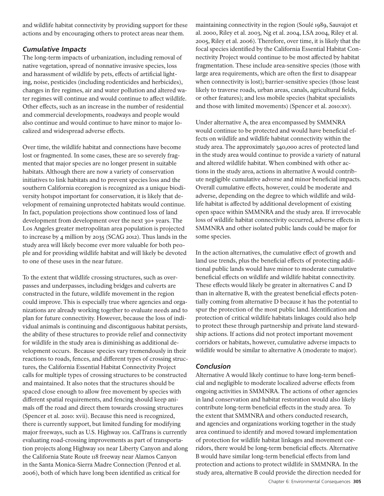and wildlife habitat connectivity by providing support for these actions and by encouraging others to protect areas near them.

## *Cumulative Impacts*

The long-term impacts of urbanization, including removal of native vegetation, spread of nonnative invasive species, loss and harassment of wildlife by pets, effects of artificial lighting, noise, pesticides (including rodenticides and herbicides), changes in fire regimes, air and water pollution and altered water regimes will continue and would continue to affect wildlife. Other effects, such as an increase in the number of residential and commercial developments, roadways and people would also continue and would continue to have minor to major localized and widespread adverse effects.

Over time, the wildlife habitat and connections have become lost or fragmented. In some cases, these are so severely fragmented that major species are no longer present in suitable habitats. Although there are now a variety of conservation initiatives to link habitats and to prevent species loss and the southern California ecoregion is recognized as a unique biodiversity hotspot important for conservation, it is likely that development of remaining unprotected habitats would continue. In fact, population projections show continued loss of land development from development over the next 30+ years. The Los Angeles greater metropolitan area population is projected to increase by 4 million by 2035 (SCAG 2012). Thus lands in the study area will likely become ever more valuable for both people and for providing wildlife habitat and will likely be devoted to one of these uses in the near future.

To the extent that wildlife crossing structures, such as overpasses and underpasses, including bridges and culverts are constructed in the future, wildlife movement in the region could improve. This is especially true where agencies and organizations are already working together to evaluate needs and to plan for future connectivity. However, because the loss of individual animals is continuing and discontiguous habitat persists, the ability of these structures to provide relief and connectivity for wildlife in the study area is diminishing as additional development occurs. Because species vary tremendously in their reactions to roads, fences, and different types of crossing structures, the California Essential Habitat Connectivity Project calls for multiple types of crossing structures to be constructed and maintained. It also notes that the structures should be spaced close enough to allow free movement by species with different spatial requirements, and fencing should keep animals off the road and direct them towards crossing structures (Spencer et al. 2010: xvii). Because this need is recognized, there is currently support, but limited funding for modifying major freeways, such as U.S. Highway 101. CalTrans is currently evaluating road-crossing improvements as part of transportation projects along Highway 101 near Liberty Canyon and along the California State Route 118 freeway near Alamos Canyon in the Santa Monica-Sierra Madre Connection (Penrod et al. 2006), both of which have long been identified as critical for

maintaining connectivity in the region (Soulé 1989, Sauvajot et al. 2000, Riley et al. 2003, Ng et al. 2004, LSA 2004, Riley et al. 2005, Riley et al. 2006). Therefore, over time, it is likely that the focal species identified by the California Essential Habitat Connectivity Project would continue to be most affected by habitat fragmentation. These include area-sensitive species (those with large area requirements, which are often the first to disappear when connectivity is lost); barrier-sensitive species (those least likely to traverse roads, urban areas, canals, agricultural fields, or other features); and less mobile species (habitat specialists and those with limited movements) (Spencer et al. 2010:xv).

Under alternative A, the area encompassed by SMMNRA would continue to be protected and would have beneficial effects on wildlife and wildlife habitat connectivity within the study area. The approximately 340,000 acres of protected land in the study area would continue to provide a variety of natural and altered wildlife habitat. When combined with other actions in the study area, actions in alternative A would contribute negligible cumulative adverse and minor beneficial impacts. Overall cumulative effects, however, could be moderate and adverse, depending on the degree to which wildlife and wildlife habitat is affected by additional development of existing open space within SMMNRA and the study area. If irrevocable loss of wildlife habitat connectivity occurred, adverse effects in SMMNRA and other isolated public lands could be major for some species.

In the action alternatives, the cumulative effect of growth and land use trends, plus the beneficial effects of protecting additional public lands would have minor to moderate cumulative beneficial effects on wildlife and wildlife habitat connectivity. These effects would likely be greater in alternatives C and D than in alternative B, with the greatest beneficial effects potentially coming from alternative D because it has the potential to spur the protection of the most public land. Identification and protection of critical wildlife habitats linkages could also help to protect these through partnership and private land stewardship actions. If actions did not protect important movement corridors or habitats, however, cumulative adverse impacts to wildlife would be similar to alternative A (moderate to major).

## *Conclusion*

Alternative A would likely continue to have long-term beneficial and negligible to moderate localized adverse effects from ongoing activities in SMMNRA. The actions of other agencies in land conservation and habitat restoration would also likely contribute long-term beneficial effects in the study area. To the extent that SMMNRA and others conducted research, and agencies and organizations working together in the study area continued to identify and moved toward implementation of protection for wildlife habitat linkages and movement corridors, there would be long-term beneficial effects. Alternative B would have similar long-term beneficial effects from land protection and actions to protect wildlife in SMMNRA. In the study area, alternative B could provide the direction needed for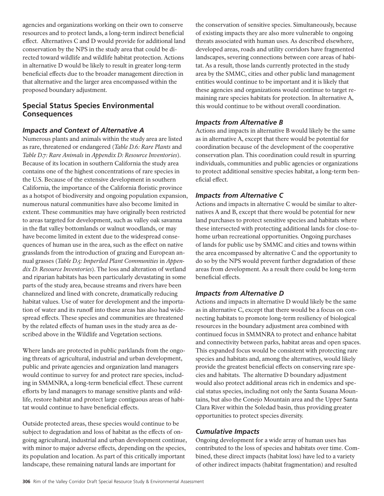agencies and organizations working on their own to conserve resources and to protect lands, a long-term indirect beneficial effect. Alternatives C and D would provide for additional land conservation by the NPS in the study area that could be directed toward wildlife and wildlife habitat protection. Actions in alternative D would be likely to result in greater long-term beneficial effects due to the broader management direction in that alternative and the larger area encompassed within the proposed boundary adjustment.

## **Special Status Species Environmental Consequences**

## *Impacts and Context of Alternative A*

Numerous plants and animals within the study area are listed as rare, threatened or endangered (*Table D.6: Rare Plants* and *Table D.7: Rare Animals* in *Appendix D: Resource Inventories*). Because of its location in southern California the study area contains one of the highest concentrations of rare species in the U.S. Because of the extensive development in southern California, the importance of the California floristic province as a hotspot of biodiversity and ongoing population expansion, numerous natural communities have also become limited in extent. These communities may have originally been restricted to areas targeted for development, such as valley oak savanna in the flat valley bottomlands or walnut woodlands, or may have become limited in extent due to the widespread consequences of human use in the area, such as the effect on native grasslands from the introduction of grazing and European annual grasses (*Table D.5: Imperiled Plant Communities* in *Appendix D: Resource Inventories*). The loss and alteration of wetland and riparian habitats has been particularly devastating in some parts of the study area, because streams and rivers have been channelized and lined with concrete, dramatically reducing habitat values. Use of water for development and the importation of water and its runoff into these areas has also had widespread effects. These species and communities are threatened by the related effects of human uses in the study area as described above in the Wildlife and Vegetation sections.

Where lands are protected in public parklands from the ongoing threats of agricultural, industrial and urban development, public and private agencies and organization land managers would continue to survey for and protect rare species, including in SMMNRA, a long-term beneficial effect. These current efforts by land managers to manage sensitive plants and wildlife, restore habitat and protect large contiguous areas of habitat would continue to have beneficial effects.

Outside protected areas, these species would continue to be subject to degradation and loss of habitat as the effects of ongoing agricultural, industrial and urban development continue, with minor to major adverse effects, depending on the species, its population and location. As part of this critically important landscape, these remaining natural lands are important for

the conservation of sensitive species. Simultaneously, because of existing impacts they are also more vulnerable to ongoing threats associated with human uses. As described elsewhere, developed areas, roads and utility corridors have fragmented landscapes, severing connections between core areas of habitat. As a result, those lands currently protected in the study area by the SMMC, cities and other public land management entities would continue to be important and it is likely that these agencies and organizations would continue to target remaining rare species habitats for protection. In alternative A, this would continue to be without overall coordination.

## *Impacts from Alternative B*

Actions and impacts in alternative B would likely be the same as in alternative A, except that there would be potential for coordination because of the development of the cooperative conservation plan. This coordination could result in spurring individuals, communities and public agencies or organizations to protect additional sensitive species habitat, a long-term beneficial effect.

## *Impacts from Alternative C*

Actions and impacts in alternative C would be similar to alternatives A and B, except that there would be potential for new land purchases to protect sensitive species and habitats where these intersected with protecting additional lands for close-tohome urban recreational opportunities. Ongoing purchases of lands for public use by SMMC and cities and towns within the area encompassed by alternative C and the opportunity to do so by the NPS would prevent further degradation of these areas from development. As a result there could be long-term beneficial effects.

## *Impacts from Alternative D*

Actions and impacts in alternative D would likely be the same as in alternative C, except that there would be a focus on connecting habitats to promote long-term resiliency of biological resources in the boundary adjustment area combined with continued focus in SMMNRA to protect and enhance habitat and connectivity between parks, habitat areas and open spaces. This expanded focus would be consistent with protecting rare species and habitats and, among the alternatives, would likely provide the greatest beneficial effects on conserving rare species and habitats. The alternative D boundary adjustment would also protect additional areas rich in endemics and special status species, including not only the Santa Susana Mountains, but also the Conejo Mountain area and the Upper Santa Clara River within the Soledad basin, thus providing greater opportunities to protect species diversity.

## *Cumulative Impacts*

Ongoing development for a wide array of human uses has contributed to the loss of species and habitats over time. Combined, these direct impacts (habitat loss) have led to a variety of other indirect impacts (habitat fragmentation) and resulted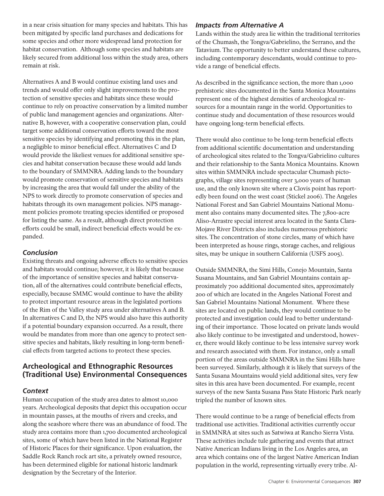in a near crisis situation for many species and habitats. This has been mitigated by specific land purchases and dedications for some species and other more widespread land protection for habitat conservation. Although some species and habitats are likely secured from additional loss within the study area, others remain at risk.

Alternatives A and B would continue existing land uses and trends and would offer only slight improvements to the protection of sensitive species and habitats since these would continue to rely on proactive conservation by a limited number of public land management agencies and organizations. Alternative B, however, with a cooperative conservation plan, could target some additional conservation efforts toward the most sensitive species by identifying and promoting this in the plan, a negligible to minor beneficial effect. Alternatives C and D would provide the likeliest venues for additional sensitive species and habitat conservation because these would add lands to the boundary of SMMNRA. Adding lands to the boundary would promote conservation of sensitive species and habitats by increasing the area that would fall under the ability of the NPS to work directly to promote conservation of species and habitats through its own management policies. NPS management policies promote treating species identified or proposed for listing the same. As a result, although direct protection efforts could be small, indirect beneficial effects would be expanded.

## *Conclusion*

Existing threats and ongoing adverse effects to sensitive species and habitats would continue; however, it is likely that because of the importance of sensitive species and habitat conservation, all of the alternatives could contribute beneficial effects, especially, because SMMC would continue to have the ability to protect important resource areas in the legislated portions of the Rim of the Valley study area under alternatives A and B. In alternatives C and D, the NPS would also have this authority if a potential boundary expansion occurred. As a result, there would be mandates from more than one agency to protect sensitive species and habitats, likely resulting in long-term beneficial effects from targeted actions to protect these species.

## **Archeological and Ethnographic Resources (Traditional Use) Environmental Consequences**

## *Context*

Human occupation of the study area dates to almost 10,000 years. Archeological deposits that depict this occupation occur in mountain passes, at the mouths of rivers and creeks, and along the seashore where there was an abundance of food. The study area contains more than 1,700 documented archeological sites, some of which have been listed in the National Register of Historic Places for their significance. Upon evaluation, the Saddle Rock Ranch rock art site, a privately owned resource, has been determined eligible for national historic landmark designation by the Secretary of the Interior.

## *Impacts from Alternative A*

Lands within the study area lie within the traditional territories of the Chumash, the Tongva/Gabrielino, the Serrano, and the Tatavium. The opportunity to better understand these cultures, including contemporary descendants, would continue to provide a range of beneficial effects.

As described in the significance section, the more than 1,000 prehistoric sites documented in the Santa Monica Mountains represent one of the highest densities of archeological resources for a mountain range in the world. Opportunities to continue study and documentation of these resources would have ongoing long-term beneficial effects.

There would also continue to be long-term beneficial effects from additional scientific documentation and understanding of archeological sites related to the Tongva/Gabrielino cultures and their relationship to the Santa Monica Mountains. Known sites within SMMNRA include spectacular Chumash pictographs, village sites representing over 3,000 years of human use, and the only known site where a Clovis point has reportedly been found on the west coast (Stickel 2006). The Angeles National Forest and San Gabriel Mountains National Monument also contains many documented sites. The 7,800-acre Aliso-Arrastre special interest area located in the Santa Clara-Mojave River Districts also includes numerous prehistoric sites. The concentration of stone circles, many of which have been interpreted as house rings, storage caches, and religious sites, may be unique in southern California (USFS 2005).

Outside SMMNRA, the Simi Hills, Conejo Mountain, Santa Susana Mountains, and San Gabriel Mountains contain approximately 700 additional documented sites, approximately 200 of which are located in the Angeles National Forest and San Gabriel Mountains National Monument. Where these sites are located on public lands, they would continue to be protected and investigation could lead to better understanding of their importance. Those located on private lands would also likely continue to be investigated and understood, however, there would likely continue to be less intensive survey work and research associated with them. For instance, only a small portion of the areas outside SMMNRA in the Simi Hills have been surveyed. Similarly, although it is likely that surveys of the Santa Susana Mountains would yield additional sites, very few sites in this area have been documented. For example, recent surveys of the new Santa Susana Pass State Historic Park nearly tripled the number of known sites.

There would continue to be a range of beneficial effects from traditional use activities. Traditional activities currently occur in SMMNRA at sites such as Satwiwa at Rancho Sierra Vista. These activities include tule gathering and events that attract Native American Indians living in the Los Angeles area, an area which contains one of the largest Native American Indian population in the world, representing virtually every tribe. Al-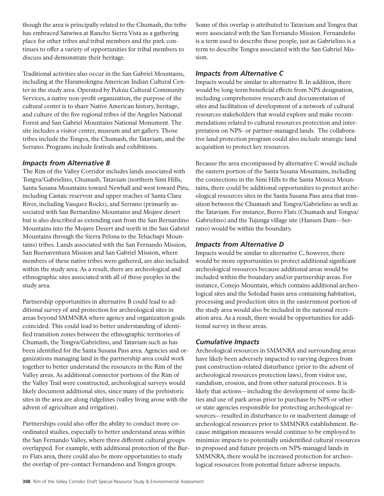though the area is principally related to the Chumash, the tribe has embraced Satwiwa at Rancho Sierra Vista as a gathering place for other tribes and tribal members and the park continues to offer a variety of opportunities for tribal members to discuss and demonstrate their heritage.

Traditional activities also occur in the San Gabriel Mountains, including at the Haramokngna American Indian Cultural Center in the study area. Operated by Pukúu Cultural Community Services, a native non-profit organization, the purpose of the cultural center is to share Native American history, heritage, and culture of the five regional tribes of the Angeles National Forest and San Gabriel Mountains National Monument. The site includes a visitor center, museum and art gallery. Those tribes include the Tongva, the Chumash, the Tataviam, and the Serrano. Programs include festivals and exhibitions.

## *Impacts from Alternative B*

The Rim of the Valley Corridor includes lands associated with Tongva/Gabrielino, Chumash, Tataviam (northern Simi Hills, Santa Susana Mountains toward Newhall and west toward Piru, including Castaic reservoir and upper reaches of Santa Clara River, including Vasquez Rocks), and Serrano (primarily associated with San Bernardino Mountains and Mojave desert but is also described as extending east from the San Bernardino Mountains into the Mojave Desert and north in the San Gabriel Mountains through the Sierra Pelona to the Tehachapi Mountains) tribes. Lands associated with the San Fernando Mission, San Buenaventura Mission and San Gabriel Mission, where members of these native tribes were gathered, are also included within the study area. As a result, there are archeological and ethnographic sites associated with all of these peoples in the study area.

Partnership opportunities in alternative B could lead to additional survey of and protection for archeological sites in areas beyond SMMNRA where agency and organization goals coincided. This could lead to better understanding of identified transition zones between the ethnographic territories of Chumash, the Tongva/Gabrielino, and Tataviam such as has been identified for the Santa Susana Pass area. Agencies and organizations managing land in the partnership area could work together to better understand the resources in the Rim of the Valley areas. As additional connector portions of the Rim of the Valley Trail were constructed, archeological surveys would likely document additional sites, since many of the prehistoric sites in the area are along ridgelines (valley living arose with the advent of agriculture and irrigation).

Partnerships could also offer the ability to conduct more coordinated studies, especially to better understand areas within the San Fernando Valley, where three different cultural groups overlapped. For example, with additional protection of the Burro Flats area, there could also be more opportunities to study the overlap of pre-contact Fernandeno and Tongva groups.

Some of this overlap is attributed to Tatavium and Tongva that were associated with the San Fernando Mission. Fernandeño is a term used to describe these people, just as Gabrielino is a term to describe Tongva associated with the San Gabriel Mission.

## *Impacts from Alternative C*

Impacts would be similar to alternative B. In addition, there would be long-term beneficial effects from NPS designation, including comprehensive research and documentation of sites and facilitation of development of a network of cultural resources stakeholders that would explore and make recommendations related to cultural resources protection and interpretation on NPS- or partner-managed lands. The collaborative land protection program could also include strategic land acquisition to protect key resources.

Because the area encompassed by alternative C would include the eastern portion of the Santa Susana Mountains, including the connections in the Simi Hills to the Santa Monica Mountains, there could be additional opportunities to protect archeological resources sites in the Santa Susana Pass area that transition between the Chumash and Tongva/Gabrielino as well as the Tataviam. For instance, Burro Flats (Chumash and Tongva/ Gabrielino) and the Tujunga village site (Hansen Dam—Serrano) would be within the boundary.

## *Impacts from Alternative D*

Impacts would be similar to alternative C, however, there would be more opportunities to protect additional significant archeological resources because additional areas would be included within the boundary and/or partnership areas. For instance, Conejo Mountain, which contains additional archeological sites and the Soledad basin area containing habitation, processing and production sites in the easternmost portion of the study area would also be included in the national recreation area. As a result, there would be opportunities for additional survey in these areas.

## *Cumulative Impacts*

Archeological resources in SMMNRA and surrounding areas have likely been adversely impacted to varying degrees from past construction-related disturbance (prior to the advent of archeological resources protection laws), from visitor use, vandalism, erosion, and from other natural processes. It is likely that actions—including the development of some facilities and use of park areas prior to purchase by NPS or other or state agencies responsible for protecting archeological resources—resulted in disturbance to or inadvertent damage of archeological resources prior to SMMNRA establishment. Because mitigation measures would continue to be employed to minimize impacts to potentially unidentified cultural resources in proposed and future projects on NPS-managed lands in SMMNRA, there would be increased protection for archeological resources from potential future adverse impacts.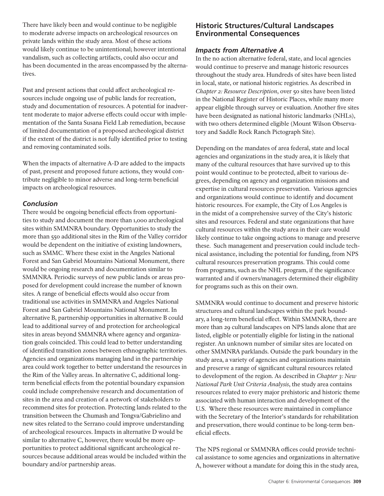There have likely been and would continue to be negligible to moderate adverse impacts on archeological resources on private lands within the study area. Most of these actions would likely continue to be unintentional; however intentional vandalism, such as collecting artifacts, could also occur and has been documented in the areas encompassed by the alternatives.

Past and present actions that could affect archeological resources include ongoing use of public lands for recreation, study and documentation of resources. A potential for inadvertent moderate to major adverse effects could occur with implementation of the Santa Susana Field Lab remediation, because of limited documentation of a proposed archeological district if the extent of the district is not fully identified prior to testing and removing contaminated soils.

When the impacts of alternative A-D are added to the impacts of past, present and proposed future actions, they would contribute negligible to minor adverse and long-term beneficial impacts on archeological resources.

## *Conclusion*

There would be ongoing beneficial effects from opportunities to study and document the more than 1,000 archeological sites within SMMNRA boundary. Opportunities to study the more than 550 additional sites in the Rim of the Valley corridor would be dependent on the initiative of existing landowners, such as SMMC. Where these exist in the Angeles National Forest and San Gabriel Mountains National Monument, there would be ongoing research and documentation similar to SMMNRA. Periodic surveys of new public lands or areas proposed for development could increase the number of known sites. A range of beneficial effects would also occur from traditional use activities in SMMNRA and Angeles National Forest and San Gabriel Mountains National Monument. In alternative B, partnership opportunities in alternative B could lead to additional survey of and protection for archeological sites in areas beyond SMMNRA where agency and organization goals coincided. This could lead to better understanding of identified transition zones between ethnographic territories. Agencies and organizations managing land in the partnership area could work together to better understand the resources in the Rim of the Valley areas. In alternative C, additional longterm beneficial effects from the potential boundary expansion could include comprehensive research and documentation of sites in the area and creation of a network of stakeholders to recommend sites for protection. Protecting lands related to the transition between the Chumash and Tongva/Gabrielino and new sites related to the Serrano could improve understanding of archeological resources. Impacts in alternative D would be similar to alternative C, however, there would be more opportunities to protect additional significant archeological resources because additional areas would be included within the boundary and/or partnership areas.

## **Historic Structures/Cultural Landscapes Environmental Consequences**

## *Impacts from Alternative A*

In the no action alternative federal, state, and local agencies would continue to preserve and manage historic resources throughout the study area. Hundreds of sites have been listed in local, state, or national historic registries. As described in *Chapter 2: Resource Description*, over 50 sites have been listed in the National Register of Historic Places, while many more appear eligible through survey or evaluation. Another five sites have been designated as national historic landmarks (NHLs), with two others determined eligible (Mount Wilson Observatory and Saddle Rock Ranch Pictograph Site).

Depending on the mandates of area federal, state and local agencies and organizations in the study area, it is likely that many of the cultural resources that have survived up to this point would continue to be protected, albeit to various degrees, depending on agency and organization missions and expertise in cultural resources preservation. Various agencies and organizations would continue to identify and document historic resources. For example, the City of Los Angeles is in the midst of a comprehensive survey of the City's historic sites and resources. Federal and state organizations that have cultural resources within the study area in their care would likely continue to take ongoing actions to manage and preserve these. Such management and preservation could include technical assistance, including the potential for funding, from NPS cultural resources preservation programs. This could come from programs, such as the NHL program, if the significance warranted and if owners/managers determined their eligibility for programs such as this on their own.

SMMNRA would continue to document and preserve historic structures and cultural landscapes within the park boundary, a long-term beneficial effect. Within SMMNRA, there are more than 29 cultural landscapes on NPS lands alone that are listed, eligible or potentially eligible for listing in the national register. An unknown number of similar sites are located on other SMMNRA parklands. Outside the park boundary in the study area, a variety of agencies and organizations maintain and preserve a range of significant cultural resources related to development of the region. As described in *Chapter 3: New National Park Unit Criteria Analysis*, the study area contains resources related to every major prehistoric and historic theme associated with human interaction and development of the U.S. Where these resources were maintained in compliance with the Secretary of the Interior's standards for rehabilitation and preservation, there would continue to be long-term beneficial effects.

The NPS regional or SMMNRA offices could provide technical assistance to some agencies and organizations in alternative A, however without a mandate for doing this in the study area,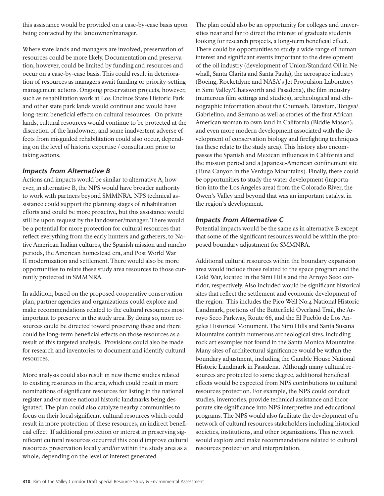this assistance would be provided on a case-by-case basis upon being contacted by the landowner/manager.

Where state lands and managers are involved, preservation of resources could be more likely. Documentation and preservation, however, could be limited by funding and resources and occur on a case-by-case basis. This could result in deterioration of resources as managers await funding or priority-setting management actions. Ongoing preservation projects, however, such as rehabilitation work at Los Encinos State Historic Park and other state park lands would continue and would have long-term beneficial effects on cultural resources. On private lands, cultural resources would continue to be protected at the discretion of the landowner, and some inadvertent adverse effects from misguided rehabilitation could also occur, depending on the level of historic expertise / consultation prior to taking actions.

## *Impacts from Alternative B*

Actions and impacts would be similar to alternative A, however, in alternative B, the NPS would have broader authority to work with partners beyond SMMNRA. NPS technical assistance could support the planning stages of rehabilitation efforts and could be more proactive, but this assistance would still be upon request by the landowner/manager. There would be a potential for more protection for cultural resources that reflect everything from the early hunters and gatherers, to Native American Indian cultures, the Spanish mission and rancho periods, the American homestead era, and Post World War II modernization and settlement. There would also be more opportunities to relate these study area resources to those currently protected in SMMNRA.

In addition, based on the proposed cooperative conservation plan, partner agencies and organizations could explore and make recommendations related to the cultural resources most important to preserve in the study area. By doing so, more resources could be directed toward preserving these and there could be long-term beneficial effects on those resources as a result of this targeted analysis. Provisions could also be made for research and inventories to document and identify cultural resources.

More analysis could also result in new theme studies related to existing resources in the area, which could result in more nominations of significant resources for listing in the national register and/or more national historic landmarks being designated. The plan could also catalyze nearby communities to focus on their local significant cultural resources which could result in more protection of these resources, an indirect beneficial effect. If additional protection or interest in preserving significant cultural resources occurred this could improve cultural resources preservation locally and/or within the study area as a whole, depending on the level of interest generated.

The plan could also be an opportunity for colleges and universities near and far to direct the interest of graduate students looking for research projects, a long-term beneficial effect. There could be opportunities to study a wide range of human interest and significant events important to the development of the oil industry (development of Union/Standard Oil in Newhall, Santa Clarita and Santa Paula), the aerospace industry (Boeing, Rocketdyne and NASA's Jet Propulsion Laboratory in Simi Valley/Chatsworth and Pasadena), the film industry (numerous film settings and studios), archeological and ethnographic information about the Chumash, Tatavium, Tongva/ Gabrielino, and Serrano as well as stories of the first African American woman to own land in California (Biddie Mason), and even more modern development associated with the development of conservation biology and firefighting techniques (as these relate to the study area). This history also encompasses the Spanish and Mexican influences in California and the mission period and a Japanese-American confinement site (Tuna Canyon in the Verdugo Mountains). Finally, there could be opportunities to study the water development (importation into the Los Angeles area) from the Colorado River, the Owen's Valley and beyond that was an important catalyst in the region's development.

## *Impacts from Alternative C*

Potential impacts would be the same as in alternative B except that some of the significant resources would be within the proposed boundary adjustment for SMMNRA.

Additional cultural resources within the boundary expansion area would include those related to the space program and the Cold War, located in the Simi Hills and the Arroyo Seco corridor, respectively. Also included would be significant historical sites that reflect the settlement and economic development of the region. This includes the Pico Well No.4 National Historic Landmark, portions of the Butterfield Overland Trail, the Arroyo Seco Parkway, Route 66, and the El Pueblo de Los Angeles Historical Monument. The Simi Hills and Santa Susana Mountains contain numerous archeological sites, including rock art examples not found in the Santa Monica Mountains. Many sites of architectural significance would be within the boundary adjustment, including the Gamble House National Historic Landmark in Pasadena. Although many cultural resources are protected to some degree, additional beneficial effects would be expected from NPS contributions to cultural resources protection. For example, the NPS could conduct studies, inventories, provide technical assistance and incorporate site significance into NPS interpretive and educational programs. The NPS would also facilitate the development of a network of cultural resources stakeholders including historical societies, institutions, and other organizations. This network would explore and make recommendations related to cultural resources protection and interpretation.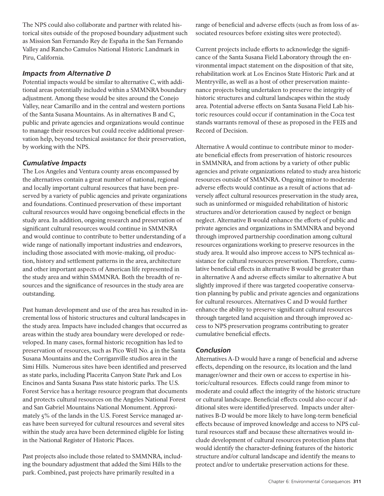The NPS could also collaborate and partner with related historical sites outside of the proposed boundary adjustment such as Mission San Fernando Rey de España in the San Fernando Valley and Rancho Camulos National Historic Landmark in Piru, California.

## *Impacts from Alternative D*

Potential impacts would be similar to alternative C, with additional areas potentially included within a SMMNRA boundary adjustment. Among these would be sites around the Conejo Valley, near Camarillo and in the central and western portions of the Santa Susana Mountains. As in alternatives B and C, public and private agencies and organizations would continue to manage their resources but could receive additional preservation help, beyond technical assistance for their preservation, by working with the NPS.

## *Cumulative Impacts*

The Los Angeles and Ventura county areas encompassed by the alternatives contain a great number of national, regional and locally important cultural resources that have been preserved by a variety of public agencies and private organizations and foundations. Continued preservation of these important cultural resources would have ongoing beneficial effects in the study area. In addition, ongoing research and preservation of significant cultural resources would continue in SMMNRA and would continue to contribute to better understanding of a wide range of nationally important industries and endeavors, including those associated with movie-making, oil production, history and settlement patterns in the area, architecture and other important aspects of American life represented in the study area and within SMMNRA. Both the breadth of resources and the significance of resources in the study area are outstanding.

Past human development and use of the area has resulted in incremental loss of historic structures and cultural landscapes in the study area. Impacts have included changes that occurred as areas within the study area boundary were developed or redeveloped. In many cases, formal historic recognition has led to preservation of resources, such as Pico Well No. 4 in the Santa Susana Mountains and the Corriganville studios area in the Simi Hills. Numerous sites have been identified and preserved as state parks, including Placerita Canyon State Park and Los Encinos and Santa Susana Pass state historic parks. The U.S. Forest Service has a heritage resource program that documents and protects cultural resources on the Angeles National Forest and San Gabriel Mountains National Monument. Approximately 5% of the lands in the U.S. Forest Service managed areas have been surveyed for cultural resources and several sites within the study area have been determined eligible for listing in the National Register of Historic Places.

Past projects also include those related to SMMNRA, including the boundary adjustment that added the Simi Hills to the park. Combined, past projects have primarily resulted in a

range of beneficial and adverse effects (such as from loss of associated resources before existing sites were protected).

Current projects include efforts to acknowledge the significance of the Santa Susana Field Laboratory through the environmental impact statement on the disposition of that site, rehabilitation work at Los Encinos State Historic Park and at Mentryville, as well as a host of other preservation maintenance projects being undertaken to preserve the integrity of historic structures and cultural landscapes within the study area. Potential adverse effects on Santa Susana Field Lab historic resources could occur if contamination in the Coca test stands warrants removal of these as proposed in the FEIS and Record of Decision.

Alternative A would continue to contribute minor to moderate beneficial effects from preservation of historic resources in SMMNRA, and from actions by a variety of other public agencies and private organizations related to study area historic resources outside of SMMNRA. Ongoing minor to moderate adverse effects would continue as a result of actions that adversely affect cultural resources preservation in the study area, such as uninformed or misguided rehabilitation of historic structures and/or deterioration caused by neglect or benign neglect. Alternative B would enhance the efforts of public and private agencies and organizations in SMMNRA and beyond through improved partnership coordination among cultural resources organizations working to preserve resources in the study area. It would also improve access to NPS technical assistance for cultural resources preservation. Therefore, cumulative beneficial effects in alternative B would be greater than in alternative A and adverse effects similar to alternative A but slightly improved if there was targeted cooperative conservation planning by public and private agencies and organizations for cultural resources. Alternatives C and D would further enhance the ability to preserve significant cultural resources through targeted land acquisition and through improved access to NPS preservation programs contributing to greater cumulative beneficial effects.

## *Conclusion*

Alternatives A-D would have a range of beneficial and adverse effects, depending on the resource, its location and the land manager/owner and their own or access to expertise in historic/cultural resources. Effects could range from minor to moderate and could affect the integrity of the historic structure or cultural landscape. Beneficial effects could also occur if additional sites were identified/preserved. Impacts under alternatives B-D would be more likely to have long-term beneficial effects because of improved knowledge and access to NPS cultural resources staff and because these alternatives would include development of cultural resources protection plans that would identify the character-defining features of the historic structure and/or cultural landscape and identify the means to protect and/or to undertake preservation actions for these.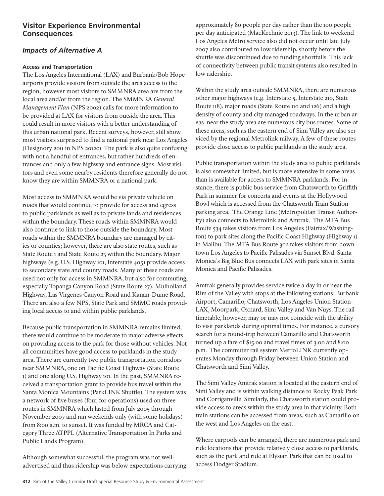## **Visitor Experience Environmental Consequences**

## *Impacts of Alternative A*

### **Access and Transportation**

The Los Angeles International (LAX) and Burbank/Bob Hope airports provide visitors from outside the area access to the region, however most visitors to SMMNRA area are from the local area and/or from the region. The SMMNRA *General Management Plan* (NPS 2002) calls for more information to be provided at LAX for visitors from outside the area. This could result in more visitors with a better understanding of this urban national park. Recent surveys, however, still show most visitors surprised to find a national park near Los Angeles (Designory 2011 in NPS 2012c). The park is also quite confusing with not a handful of entrances, but rather hundreds of entrances and only a few highway and entrance signs. Most visitors and even some nearby residents therefore generally do not know they are within SMMNRA or a national park.

Most access to SMMNRA would be via private vehicle on roads that would continue to provide for access and egress to public parklands as well as to private lands and residences within the boundary. These roads within SMMNRA would also continue to link to those outside the boundary. Most roads within the SMMNRA boundary are managed by cities or counties; however, there are also state routes, such as State Route 1 and State Route 23 within the boundary. Major highways (e.g. U.S. Highway 101, Interstate 405) provide access to secondary state and county roads. Many of these roads are used not only for access in SMMNRA, but also for commuting, especially Topanga Canyon Road (State Route 27), Mulholland Highway, Las Virgenes Canyon Road and Kanan-Dume Road. There are also a few NPS, State Park and SMMC roads providing local access to and within public parklands.

Because public transportation in SMMNRA remains limited, there would continue to be moderate to major adverse effects on providing access to the park for those without vehicles. Not all communities have good access to parklands in the study area. There are currently two public transportation corridors near SMMNRA, one on Pacific Coast Highway (State Route 1) and one along U.S. Highway 101. In the past, SMMNRA received a transportation grant to provide bus travel within the Santa Monica Mountains (ParkLINK Shuttle). The system was a network of five buses (four for operations) used on three routes in SMMNRA which lasted from July 2005 through November 2007 and ran weekends only (with some holidays) from 8:00 a.m. to sunset. It was funded by MRCA and Category Three ATPPL (Alternative Transportation In Parks and Public Lands Program).

Although somewhat successful, the program was not welladvertised and thus ridership was below expectations carrying approximately 80 people per day rather than the 100 people per day anticipated (MacKechnie 2013). The link to weekend Los Angeles Metro service also did not occur until late July 2007 also contributed to low ridership, shortly before the shuttle was discontinued due to funding shortfalls. This lack of connectivity between public transit systems also resulted in low ridership.

Within the study area outside SMMNRA, there are numerous other major highways (e.g. Interstate 5, Interstate 210, State Route 118), major roads (State Route 110 and 126) and a high density of county and city managed roadways. In the urban areas near the study area are numerous city bus routes. Some of these areas, such as the eastern end of Simi Valley are also serviced by the regional Metrolink railway. A few of these routes provide close access to public parklands in the study area.

Public transportation within the study area to public parklands is also somewhat limited, but is more extensive in some areas than is available for access to SMMNRA parklands. For instance, there is public bus service from Chatsworth to Griffith Park in summer for concerts and events at the Hollywood Bowl which is accessed from the Chatsworth Train Station parking area. The Orange Line (Metropolitan Transit Authority) also connects to Metrolink and Amtrak. The MTA Bus Route 534 takes visitors from Los Angeles (Fairfax/Washington) to park sites along the Pacific Coast Highway (Highway 1) in Malibu. The MTA Bus Route 302 takes visitors from downtown Los Angeles to Pacific Palisades via Sunset Blvd. Santa Monica's Big Blue Bus connects LAX with park sites in Santa Monica and Pacific Palisades.

Amtrak generally provides service twice a day in or near the Rim of the Valley with stops at the following stations: Burbank Airport, Camarillo, Chatsworth, Los Angeles Union Station-LAX, Moorpark, Oxnard, Simi Valley and Van Nuys. The rail timetable, however, may or may not coincide with the ability to visit parklands during optimal times. For instance, a cursory search for a round-trip between Camarillo and Chatsworth turned up a fare of \$15.00 and travel times of 3:00 and 8:00 p.m. The commuter rail system MetroLINK currently operates Monday through Friday between Union Station and Chatsworth and Simi Valley.

The Simi Valley Amtrak station is located at the eastern end of Simi Valley and is within walking distance to Rocky Peak Park and Corriganville. Similarly, the Chatsworth station could provide access to areas within the study area in that vicinity. Both train stations can be accessed from areas, such as Camarillo on the west and Los Angeles on the east.

Where carpools can be arranged, there are numerous park and ride locations that provide relatively close access to parklands, such as the park and ride at Elysian Park that can be used to access Dodger Stadium.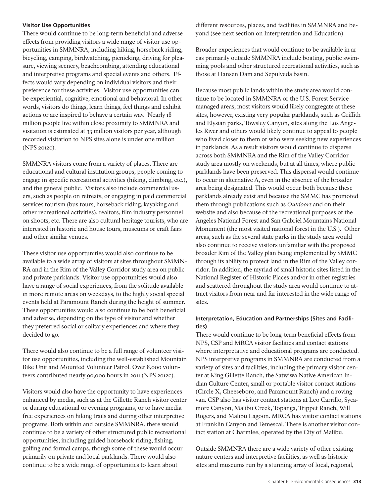#### **Visitor Use Opportunities**

There would continue to be long-term beneficial and adverse effects from providing visitors a wide range of visitor use opportunities in SMMNRA, including hiking, horseback riding, bicycling, camping, birdwatching, picnicking, driving for pleasure, viewing scenery, beachcombing, attending educational and interpretive programs and special events and others. Effects would vary depending on individual visitors and their preference for these activities. Visitor use opportunities can be experiential, cognitive, emotional and behavioral. In other words, visitors do things, learn things, feel things and exhibit actions or are inspired to behave a certain way. Nearly 18 million people live within close proximity to SMMNRA and visitation is estimated at 33 million visitors per year, although recorded visitation to NPS sites alone is under one million (NPS 2012c).

SMMNRA visitors come from a variety of places. There are educational and cultural institution groups, people coming to engage in specific recreational activities (hiking, climbing, etc.), and the general public. Visitors also include commercial users, such as people on retreats, or engaging in paid commercial services tourism (bus tours, horseback riding, kayaking and other recreational activities), realtors, film industry personnel on shoots, etc. There are also cultural heritage tourists, who are interested in historic and house tours, museums or craft fairs and other similar venues.

These visitor use opportunities would also continue to be available to a wide array of visitors at sites throughout SMMN-RA and in the Rim of the Valley Corridor study area on public and private parklands. Visitor use opportunities would also have a range of social experiences, from the solitude available in more remote areas on weekdays, to the highly social special events held at Paramount Ranch during the height of summer. These opportunities would also continue to be both beneficial and adverse, depending on the type of visitor and whether they preferred social or solitary experiences and where they decided to go.

There would also continue to be a full range of volunteer visitor use opportunities, including the well-established Mountain Bike Unit and Mounted Volunteer Patrol. Over 8,000 volunteers contributed nearly 90,000 hours in 2011 (NPS 2012c).

Visitors would also have the opportunity to have experiences enhanced by media, such as at the Gillette Ranch visitor center or during educational or evening programs, or to have media free experiences on hiking trails and during other interpretive programs. Both within and outside SMMNRA, there would continue to be a variety of other structured public recreational opportunities, including guided horseback riding, fishing, golfing and formal camps, though some of these would occur primarily on private and local parklands. There would also continue to be a wide range of opportunities to learn about

different resources, places, and facilities in SMMNRA and beyond (see next section on Interpretation and Education).

Broader experiences that would continue to be available in areas primarily outside SMMNRA include boating, public swimming pools and other structured recreational activities, such as those at Hansen Dam and Sepulveda basin.

Because most public lands within the study area would continue to be located in SMMNRA or the U.S. Forest Service managed areas, most visitors would likely congregate at these sites, however, existing very popular parklands, such as Griffith and Elysian parks, Towsley Canyon, sites along the Los Angeles River and others would likely continue to appeal to people who lived closer to them or who were seeking new experiences in parklands. As a result visitors would continue to disperse across both SMMNRA and the Rim of the Valley Corridor study area mostly on weekends, but at all times, where public parklands have been preserved. This dispersal would continue to occur in alternative A, even in the absence of the broader area being designated. This would occur both because these parklands already exist and because the SMMC has promoted them through publications such as *Outdoors* and on their website and also because of the recreational purposes of the Angeles National Forest and San Gabriel Mountains National Monument (the most visited national forest in the U.S.). Other areas, such as the several state parks in the study area would also continue to receive visitors unfamiliar with the proposed broader Rim of the Valley plan being implemented by SMMC through its ability to protect land in the Rim of the Valley corridor. In addition, the myriad of small historic sites listed in the National Register of Historic Places and/or in other registries and scattered throughout the study area would continue to attract visitors from near and far interested in the wide range of sites.

## **Interpretation, Education and Partnerships (Sites and Facilities)**

There would continue to be long-term beneficial effects from NPS, CSP and MRCA visitor facilities and contact stations where interpretative and educational programs are conducted. NPS interpretive programs in SMMNRA are conducted from a variety of sites and facilities, including the primary visitor center at King Gillette Ranch, the Satwiwa Native American Indian Culture Center, small or portable visitor contact stations (Circle X, Cheeseboro, and Paramount Ranch) and a roving van. CSP also has visitor contact stations at Leo Carrillo, Sycamore Canyon, Malibu Creek, Topanga, Trippet Ranch, Will Rogers, and Malibu Lagoon. MRCA has visitor contact stations at Franklin Canyon and Temescal. There is another visitor contact station at Charmlee, operated by the City of Malibu.

Outside SMMNRA there are a wide variety of other existing nature centers and interpretive facilities, as well as historic sites and museums run by a stunning array of local, regional,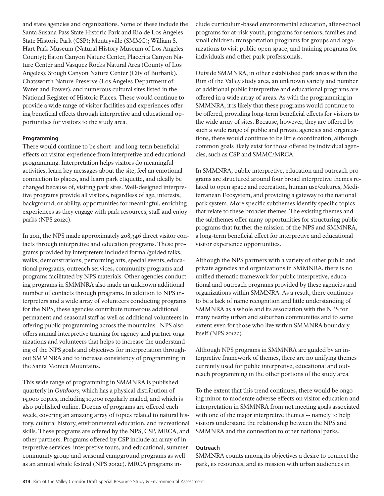and state agencies and organizations. Some of these include the Santa Susana Pass State Historic Park and Rio de Los Angeles State Historic Park (CSP); Mentryville (SMMC); William S. Hart Park Museum (Natural History Museum of Los Angeles County); Eaton Canyon Nature Center, Placerita Canyon Nature Center and Vasquez Rocks Natural Area (County of Los Angeles); Stough Canyon Nature Center (City of Burbank), Chatsworth Nature Preserve (Los Angeles Department of Water and Power), and numerous cultural sites listed in the National Register of Historic Places. These would continue to provide a wide range of visitor facilities and experiences offering beneficial effects through interpretive and educational opportunities for visitors to the study area.

#### **Programming**

There would continue to be short- and long-term beneficial effects on visitor experience from interpretive and educational programming. Interpretation helps visitors do meaningful activities, learn key messages about the site, feel an emotional connection to places, and learn park etiquette, and ideally be changed because of, visiting park sites. Well-designed interpretive programs provide all visitors, regardless of age, interests, background, or ability, opportunities for meaningful, enriching experiences as they engage with park resources, staff and enjoy parks (NPS 2012c).

In 2011, the NPS made approximately 208,346 direct visitor contacts through interpretive and education programs. These programs provided by interpreters included formal/guided talks, walks, demonstrations, performing arts, special events, educational programs, outreach services, community programs and programs facilitated by NPS materials. Other agencies conducting programs in SMMNRA also made an unknown additional number of contacts through programs. In addition to NPS interpreters and a wide array of volunteers conducting programs for the NPS, these agencies contribute numerous additional permanent and seasonal staff as well as additional volunteers in offering public programming across the mountains. NPS also offers annual interpretive training for agency and partner organizations and volunteers that helps to increase the understanding of the NPS goals and objectives for interpretation throughout SMMNRA and to increase consistency of programming in the Santa Monica Mountains.

This wide range of programming in SMMNRA is published quarterly in *Outdoors*, which has a physical distribution of 15,000 copies, including 10,000 regularly mailed, and which is also published online. Dozens of programs are offered each week, covering an amazing array of topics related to natural history, cultural history, environmental education, and recreational skills. These programs are offered by the NPS, CSP, MRCA, and other partners. Programs offered by CSP include an array of interpretive services: interpretive tours, and educational, summer community group and seasonal campground programs as well as an annual whale festival (NPS 2012c). MRCA programs include curriculum-based environmental education, after-school programs for at-risk youth, programs for seniors, families and small children; transportation programs for groups and organizations to visit public open space, and training programs for individuals and other park professionals.

Outside SMMNRA, in other established park areas within the Rim of the Valley study area, an unknown variety and number of additional public interpretive and educational programs are offered in a wide array of areas. As with the programming in SMMNRA, it is likely that these programs would continue to be offered, providing long-term beneficial effects for visitors to the wide array of sites. Because, however, they are offered by such a wide range of public and private agencies and organizations, there would continue to be little coordination, although common goals likely exist for those offered by individual agencies, such as CSP and SMMC/MRCA.

In SMMNRA, public interpretive, education and outreach programs are structured around four broad interpretive themes related to open space and recreation, human use/cultures, Mediterranean Ecosystem, and providing a gateway to the national park system. More specific subthemes identify specific topics that relate to these broader themes. The existing themes and the subthemes offer many opportunities for structuring public programs that further the mission of the NPS and SMMNRA, a long-term beneficial effect for interpretive and educational visitor experience opportunities.

Although the NPS partners with a variety of other public and private agencies and organizations in SMMNRA, there is no unified thematic framework for public interpretive, educational and outreach programs provided by these agencies and organizations within SMMNRA. As a result, there continues to be a lack of name recognition and little understanding of SMMNRA as a whole and its association with the NPS for many nearby urban and suburban communities and to some extent even for those who live within SMMNRA boundary itself (NPS 2012c).

Although NPS programs in SMMNRA are guided by an interpretive framework of themes, there are no unifying themes currently used for public interpretive, educational and outreach programming in the other portions of the study area.

To the extent that this trend continues, there would be ongoing minor to moderate adverse effects on visitor education and interpretation in SMMNRA from not meeting goals associated with one of the major interpretive themes -- namely to help visitors understand the relationship between the NPS and SMMNRA and the connection to other national parks.

### **Outreach**

SMMNRA counts among its objectives a desire to connect the park, its resources, and its mission with urban audiences in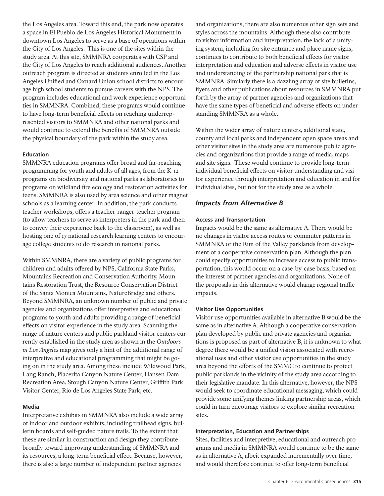the Los Angeles area. Toward this end, the park now operates a space in El Pueblo de Los Angeles Historical Monument in downtown Los Angeles to serve as a base of operations within the City of Los Angeles. This is one of the sites within the study area. At this site, SMMNRA cooperates with CSP and the City of Los Angeles to reach additional audiences. Another outreach program is directed at students enrolled in the Los Angeles Unified and Oxnard Union school districts to encourage high school students to pursue careers with the NPS. The program includes educational and work experience opportunities in SMMNRA. Combined, these programs would continue to have long-term beneficial effects on reaching underrepresented visitors to SMMNRA and other national parks and would continue to extend the benefits of SMMNRA outside the physical boundary of the park within the study area.

### **Education**

SMMNRA education programs offer broad and far-reaching programming for youth and adults of all ages, from the K-12 programs on biodiversity and national parks as laboratories to programs on wildland fire ecology and restoration activities for teens. SMMNRA is also used by area science and other magnet schools as a learning center. In addition, the park conducts teacher workshops, offers a teacher-ranger-teacher program (to allow teachers to serve as interpreters in the park and then to convey their experience back to the classroom), as well as hosting one of 17 national research learning centers to encourage college students to do research in national parks.

Within SMMNRA, there are a variety of public programs for children and adults offered by NPS, California State Parks, Mountains Recreation and Conservation Authority, Mountains Restoration Trust, the Resource Conservation District of the Santa Monica Mountains, NatureBridge and others. Beyond SMMNRA, an unknown number of public and private agencies and organizations offer interpretive and educational programs to youth and adults providing a range of beneficial effects on visitor experience in the study area. Scanning the range of nature centers and public parkland visitor centers currently established in the study area as shown in the *Outdoors in Los Angeles* map gives only a hint of the additional range of interpretive and educational programming that might be going on in the study area. Among these include Wildwood Park, Lang Ranch, Placerita Canyon Nature Center, Hansen Dam Recreation Area, Stough Canyon Nature Center, Griffith Park Visitor Center, Rio de Los Angeles State Park, etc.

#### **Media**

Interpretative exhibits in SMMNRA also include a wide array of indoor and outdoor exhibits, including trailhead signs, bulletin boards and self-guided nature trails. To the extent that these are similar in construction and design they contribute broadly toward improving understanding of SMMNRA and its resources, a long-term beneficial effect. Because, however, there is also a large number of independent partner agencies

and organizations, there are also numerous other sign sets and styles across the mountains. Although these also contribute to visitor information and interpretation, the lack of a unifying system, including for site entrance and place name signs, continues to contribute to both beneficial effects for visitor interpretation and education and adverse effects in visitor use and understanding of the partnership national park that is SMMNRA. Similarly there is a dazzling array of site bulletins, flyers and other publications about resources in SMMNRA put forth by the array of partner agencies and organizations that have the same types of beneficial and adverse effects on understanding SMMNRA as a whole.

Within the wider array of nature centers, additional state, county and local parks and independent open space areas and other visitor sites in the study area are numerous public agencies and organizations that provide a range of media, maps and site signs. These would continue to provide long-term individual beneficial effects on visitor understanding and visitor experience through interpretation and education in and for individual sites, but not for the study area as a whole.

# *Impacts from Alternative B*

## **Access and Transportation**

Impacts would be the same as alternative A. There would be no changes in visitor access routes or commuter patterns in SMMNRA or the Rim of the Valley parklands from development of a cooperative conservation plan. Although the plan could specify opportunities to increase access to public transportation, this would occur on a case-by-case basis, based on the interest of partner agencies and organizations. None of the proposals in this alternative would change regional traffic impacts.

## **Visitor Use Opportunities**

Visitor use opportunities available in alternative B would be the same as in alternative A. Although a cooperative conservation plan developed by public and private agencies and organizations is proposed as part of alternative B, it is unknown to what degree there would be a unified vision associated with recreational uses and other visitor use opportunities in the study area beyond the efforts of the SMMC to continue to protect public parklands in the vicinity of the study area according to their legislative mandate. In this alternative, however, the NPS would seek to coordinate educational messaging, which could provide some unifying themes linking partnership areas, which could in turn encourage visitors to explore similar recreation sites.

## **Interpretation, Education and Partnerships**

Sites, facilities and interpretive, educational and outreach programs and media in SMMNRA would continue to be the same as in alternative A, albeit expanded incrementally over time, and would therefore continue to offer long-term beneficial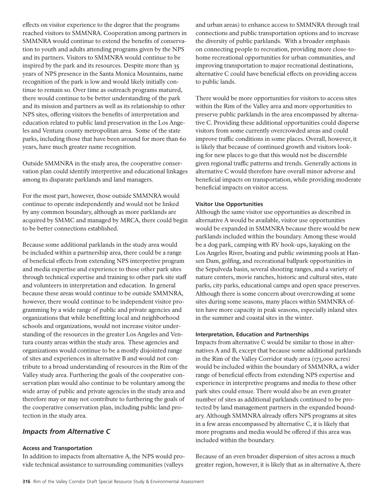effects on visitor experience to the degree that the programs reached visitors to SMMNRA. Cooperation among partners in SMMNRA would continue to extend the benefits of conservation to youth and adults attending programs given by the NPS and its partners. Visitors to SMMNRA would continue to be inspired by the park and its resources. Despite more than 35 years of NPS presence in the Santa Monica Mountains, name recognition of the park is low and would likely initially continue to remain so. Over time as outreach programs matured, there would continue to be better understanding of the park and its mission and partners as well as its relationship to other NPS sites, offering visitors the benefits of interpretation and education related to public land preservation in the Los Angeles and Ventura county metropolitan area. Some of the state parks, including those that have been around for more than 60 years, have much greater name recognition.

Outside SMMNRA in the study area, the cooperative conservation plan could identify interpretive and educational linkages among its disparate parklands and land managers.

For the most part, however, those outside SMMNRA would continue to operate independently and would not be linked by any common boundary, although as more parklands are acquired by SMMC and managed by MRCA, there could begin to be better connections established.

Because some additional parklands in the study area would be included within a partnership area, there could be a range of beneficial effects from extending NPS interpretive program and media expertise and experience to these other park sites through technical expertise and training to other park site staff and volunteers in interpretation and education. In general because these areas would continue to be outside SMMNRA, however, there would continue to be independent visitor programming by a wide range of public and private agencies and organizations that while benefitting local and neighborhood schools and organizations, would not increase visitor understanding of the resources in the greater Los Angeles and Ventura county areas within the study area. These agencies and organizations would continue to be a mostly disjointed range of sites and experiences in alternative B and would not contribute to a broad understanding of resources in the Rim of the Valley study area. Furthering the goals of the cooperative conservation plan would also continue to be voluntary among the wide array of public and private agencies in the study area and therefore may or may not contribute to furthering the goals of the cooperative conservation plan, including public land protection in the study area.

### *Impacts from Alternative C*

#### **Access and Transportation**

In addition to impacts from alternative A, the NPS would provide technical assistance to surrounding communities (valleys

and urban areas) to enhance access to SMMNRA through trail connections and public transportation options and to increase the diversity of public parklands. With a broader emphasis on connecting people to recreation, providing more close-tohome recreational opportunities for urban communities, and improving transportation to major recreational destinations, alternative C could have beneficial effects on providing access to public lands.

There would be more opportunities for visitors to access sites within the Rim of the Valley area and more opportunities to preserve public parklands in the area encompassed by alternative C. Providing these additional opportunities could disperse visitors from some currently overcrowded areas and could improve traffic conditions in some places. Overall, however, it is likely that because of continued growth and visitors looking for new places to go that this would not be discernible given regional traffic patterns and trends. Generally actions in alternative C would therefore have overall minor adverse and beneficial impacts on transportation, while providing moderate beneficial impacts on visitor access.

#### **Visitor Use Opportunities**

Although the same visitor use opportunities as described in alternative A would be available, visitor use opportunities would be expanded in SMMNRA because there would be new parklands included within the boundary. Among these would be a dog park, camping with RV hook-ups, kayaking on the Los Angeles River, boating and public swimming pools at Hansen Dam, golfing, and recreational ballpark opportunities in the Sepulveda basin, several shooting ranges, and a variety of nature centers, movie ranches, historic and cultural sites, state parks, city parks, educational camps and open space preserves. Although there is some concern about overcrowding at some sites during some seasons, many places within SMMNRA often have more capacity in peak seasons, especially inland sites in the summer and coastal sites in the winter.

#### **Interpretation, Education and Partnerships**

Impacts from alternative C would be similar to those in alternatives A and B, except that because some additional parklands in the Rim of the Valley Corridor study area (173,000 acres) would be included within the boundary of SMMNRA, a wider range of beneficial effects from extending NPS expertise and experience in interpretive programs and media to these other park sites could ensue. There would also be an even greater number of sites as additional parklands continued to be protected by land management partners in the expanded boundary. Although SMMNRA already offers NPS programs at sites in a few areas encompassed by alternative C, it is likely that more programs and media would be offered if this area was included within the boundary.

Because of an even broader dispersion of sites across a much greater region, however, it is likely that as in alternative A, there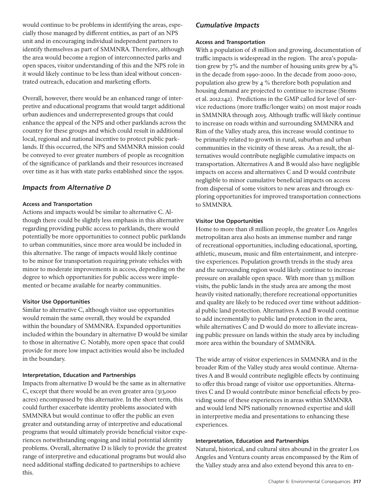would continue to be problems in identifying the areas, especially those managed by different entities, as part of an NPS unit and in encouraging individual independent partners to identify themselves as part of SMMNRA. Therefore, although the area would become a region of interconnected parks and open spaces, visitor understanding of this and the NPS role in it would likely continue to be less than ideal without concentrated outreach, education and marketing efforts.

Overall, however, there would be an enhanced range of interpretive and educational programs that would target additional urban audiences and underrepresented groups that could enhance the appeal of the NPS and other parklands across the country for these groups and which could result in additional local, regional and national incentive to protect public parklands. If this occurred, the NPS and SMMNRA mission could be conveyed to ever greater numbers of people as recognition of the significance of parklands and their resources increased over time as it has with state parks established since the 1950s.

## *Impacts from Alternative D*

#### **Access and Transportation**

Actions and impacts would be similar to alternative C. Although there could be slightly less emphasis in this alternative regarding providing public access to parklands, there would potentially be more opportunities to connect public parklands to urban communities, since more area would be included in this alternative. The range of impacts would likely continue to be minor for transportation requiring private vehicles with minor to moderate improvements in access, depending on the degree to which opportunities for public access were implemented or became available for nearby communities.

### **Visitor Use Opportunities**

Similar to alternative C, although visitor use opportunities would remain the same overall, they would be expanded within the boundary of SMMNRA. Expanded opportunities included within the boundary in alternative D would be similar to those in alternative C. Notably, more open space that could provide for more low impact activities would also be included in the boundary.

#### **Interpretation, Education and Partnerships**

Impacts from alternative D would be the same as in alternative C, except that there would be an even greater area (313,000 acres) encompassed by this alternative. In the short term, this could further exacerbate identity problems associated with SMMNRA but would continue to offer the public an even greater and outstanding array of interpretive and educational programs that would ultimately provide beneficial visitor experiences notwithstanding ongoing and initial potential identity problems. Overall, alternative D is likely to provide the greatest range of interpretive and educational programs but would also need additional staffing dedicated to partnerships to achieve this.

### *Cumulative Impacts*

#### **Access and Transportation**

With a population of 18 million and growing, documentation of traffic impacts is widespread in the region. The area's population grew by 7% and the number of housing units grew by 4% in the decade from 1990-2000. In the decade from 2000-2010, population also grew by 4 % therefore both population and housing demand are projected to continue to increase (Stoms et al. 2012:142). Predictions in the GMP called for level of service reductions (more traffic/longer waits) on most major roads in SMMNRA through 2015. Although traffic will likely continue to increase on roads within and surrounding SMMNRA and Rim of the Valley study area, this increase would continue to be primarily related to growth in rural, suburban and urban communities in the vicinity of these areas. As a result, the alternatives would contribute negligible cumulative impacts on transportation. Alternatives A and B would also have negligible impacts on access and alternatives C and D would contribute negligible to minor cumulative beneficial impacts on access from dispersal of some visitors to new areas and through exploring opportunities for improved transportation connections to SMMNRA.

#### **Visitor Use Opportunities**

Home to more than 18 million people, the greater Los Angeles metropolitan area also hosts an immense number and range of recreational opportunities, including educational, sporting, athletic, museum, music and film entertainment, and interpretive experiences. Population growth trends in the study area and the surrounding region would likely continue to increase pressure on available open space. With more than 33 million visits, the public lands in the study area are among the most heavily visited nationally; therefore recreational opportunities and quality are likely to be reduced over time without additional public land protection. Alternatives A and B would continue to add incrementally to public land protection in the area, while alternatives C and D would do more to alleviate increasing public pressure on lands within the study area by including more area within the boundary of SMMNRA.

The wide array of visitor experiences in SMMNRA and in the broader Rim of the Valley study area would continue. Alternatives A and B would contribute negligible effects by continuing to offer this broad range of visitor use opportunities. Alternatives C and D would contribute minor beneficial effects by providing some of these experiences in areas within SMMNRA and would lend NPS nationally renowned expertise and skill in interpretive media and presentations to enhancing these experiences.

#### **Interpretation, Education and Partnerships**

Natural, historical, and cultural sites abound in the greater Los Angeles and Ventura county areas encompassed by the Rim of the Valley study area and also extend beyond this area to en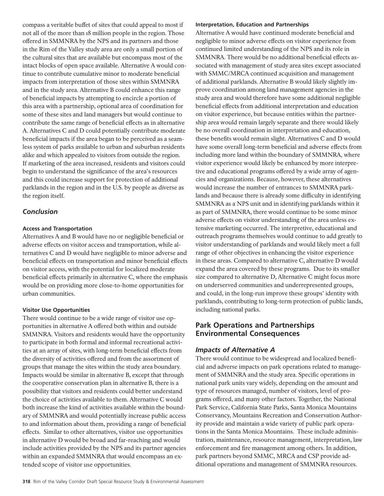compass a veritable buffet of sites that could appeal to most if not all of the more than 18 million people in the region. Those offered in SMMNRA by the NPS and its partners and those in the Rim of the Valley study area are only a small portion of the cultural sites that are available but encompass most of the intact blocks of open space available. Alternative A would continue to contribute cumulative minor to moderate beneficial impacts from interpretation of those sites within SMMNRA and in the study area. Alternative B could enhance this range of beneficial impacts by attempting to encircle a portion of this area with a partnership, optional area of coordination for some of these sites and land managers but would continue to contribute the same range of beneficial effects as in alternative A. Alternatives C and D could potentially contribute moderate beneficial impacts if the area began to be perceived as a seamless system of parks available to urban and suburban residents alike and which appealed to visitors from outside the region. If marketing of the area increased, residents and visitors could begin to understand the significance of the area's resources and this could increase support for protection of additional parklands in the region and in the U.S. by people as diverse as the region itself.

## *Conclusion*

### **Access and Transportation**

Alternatives A and B would have no or negligible beneficial or adverse effects on visitor access and transportation, while alternatives C and D would have negligible to minor adverse and beneficial effects on transportation and minor beneficial effects on visitor access, with the potential for localized moderate beneficial effects primarily in alternative C, where the emphasis would be on providing more close-to-home opportunities for urban communities.

### **Visitor Use Opportunities**

There would continue to be a wide range of visitor use opportunities in alternative A offered both within and outside SMMNRA. Visitors and residents would have the opportunity to participate in both formal and informal recreational activities at an array of sites, with long-term beneficial effects from the diversity of activities offered and from the assortment of groups that manage the sites within the study area boundary. Impacts would be similar in alternative B, except that through the cooperative conservation plan in alternative B, there is a possibility that visitors and residents could better understand the choice of activities available to them. Alternative C would both increase the kind of activities available within the boundary of SMMNRA and would potentially increase public access to and information about them, providing a range of beneficial effects. Similar to other alternatives, visitor use opportunities in alternative D would be broad and far-reaching and would include activities provided by the NPS and its partner agencies within an expanded SMMNRA that would encompass an extended scope of visitor use opportunities.

#### **Interpretation, Education and Partnerships**

Alternative A would have continued moderate beneficial and negligible to minor adverse effects on visitor experience from continued limited understanding of the NPS and its role in SMMNRA. There would be no additional beneficial effects associated with management of study area sites except associated with SMMC/MRCA continued acquisition and management of additional parklands. Alternative B would likely slightly improve coordination among land management agencies in the study area and would therefore have some additional negligible beneficial effects from additional interpretation and education on visitor experience, but because entities within the partnership area would remain largely separate and there would likely be no overall coordination in interpretation and education, these benefits would remain slight. Alternatives C and D would have some overall long-term beneficial and adverse effects from including more land within the boundary of SMMNRA, where visitor experience would likely be enhanced by more interpretive and educational programs offered by a wide array of agencies and organizations. Because, however, these alternatives would increase the number of entrances to SMMNRA parklands and because there is already some difficulty in identifying SMMNRA as a NPS unit and in identifying parklands within it as part of SMMNRA, there would continue to be some minor adverse effects on visitor understanding of the area unless extensive marketing occurred. The interpretive, educational and outreach programs themselves would continue to add greatly to visitor understanding of parklands and would likely meet a full range of other objectives in enhancing the visitor experience in these areas. Compared to alternative C, alternative D would expand the area covered by these programs. Due to its smaller size compared to alternative D, Alternative C might focus more on underserved communities and underrepresented groups, and could, in the long-run improve these groups' identity with parklands, contributing to long-term protection of public lands, including national parks.

# **Park Operations and Partnerships Environmental Consequences**

## *Impacts of Alternative A*

There would continue to be widespread and localized beneficial and adverse impacts on park operations related to management of SMMNRA and the study area. Specific operations in national park units vary widely, depending on the amount and type of resources managed, number of visitors, level of programs offered, and many other factors. Together, the National Park Service, California State Parks, Santa Monica Mountains Conservancy, Mountains Recreation and Conservation Authority provide and maintain a wide variety of public park operations in the Santa Monica Mountains. These include administration, maintenance, resource management, interpretation, law enforcement and fire management among others. In addition, park partners beyond SMMC, MRCA and CSP provide additional operations and management of SMMNRA resources.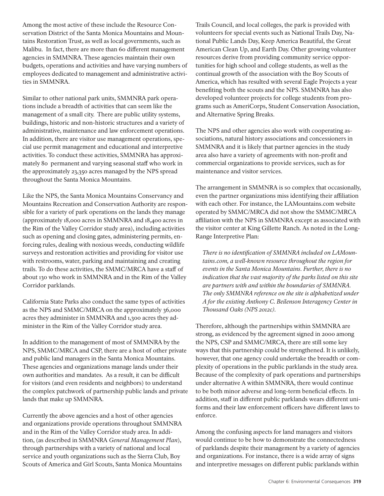Among the most active of these include the Resource Conservation District of the Santa Monica Mountains and Mountains Restoration Trust, as well as local governments, such as Malibu. In fact, there are more than 60 different management agencies in SMMNRA. These agencies maintain their own budgets, operations and activities and have varying numbers of employees dedicated to management and administrative activities in SMMNRA.

Similar to other national park units, SMMNRA park operations include a breadth of activities that can seem like the management of a small city. There are public utility systems, buildings, historic and non-historic structures and a variety of administrative, maintenance and law enforcement operations. In addition, there are visitor use management operations, special use permit management and educational and interpretive activities. To conduct these activities, SMMNRA has approximately 80 permanent and varying seasonal staff who work in the approximately 23,350 acres managed by the NPS spread throughout the Santa Monica Mountains.

Like the NPS, the Santa Monica Mountains Conservancy and Mountains Recreation and Conservation Authority are responsible for a variety of park operations on the lands they manage (approximately 18,000 acres in SMMNRA and 18,400 acres in the Rim of the Valley Corridor study area), including activities such as opening and closing gates, administering permits, enforcing rules, dealing with noxious weeds, conducting wildlife surveys and restoration activities and providing for visitor use with restrooms, water, parking and maintaining and creating trails. To do these activities, the SMMC/MRCA have a staff of about 130 who work in SMMNRA and in the Rim of the Valley Corridor parklands.

California State Parks also conduct the same types of activities as the NPS and SMMC/MRCA on the approximately 36,000 acres they administer in SMMNRA and 1,300 acres they administer in the Rim of the Valley Corridor study area.

In addition to the management of most of SMMNRA by the NPS, SMMC/MRCA and CSP, there are a host of other private and public land managers in the Santa Monica Mountains. These agencies and organizations manage lands under their own authorities and mandates. As a result, it can be difficult for visitors (and even residents and neighbors) to understand the complex patchwork of partnership public lands and private lands that make up SMMNRA.

Currently the above agencies and a host of other agencies and organizations provide operations throughout SMMNRA and in the Rim of the Valley Corridor study area. In addition, (as described in SMMNRA *General Management Plan*), through partnerships with a variety of national and local service and youth organizations such as the Sierra Club, Boy Scouts of America and Girl Scouts, Santa Monica Mountains Trails Council, and local colleges, the park is provided with volunteers for special events such as National Trails Day, National Public Lands Day, Keep America Beautiful, the Great American Clean Up, and Earth Day. Other growing volunteer resources derive from providing community service opportunities for high school and college students, as well as the continual growth of the association with the Boy Scouts of America, which has resulted with several Eagle Projects a year benefiting both the scouts and the NPS. SMMNRA has also developed volunteer projects for college students from programs such as AmeriCorps, Student Conservation Association, and Alternative Spring Breaks.

The NPS and other agencies also work with cooperating associations, natural history associations and concessioners in SMMNRA and it is likely that partner agencies in the study area also have a variety of agreements with non-profit and commercial organizations to provide services, such as for maintenance and visitor services.

The arrangement in SMMNRA is so complex that occasionally, even the partner organizations miss identifying their affiliation with each other. For instance, the LAMountains.com website operated by SMMC/MRCA did not show the SMMC/MRCA affiliation with the NPS in SMMNRA except as associated with the visitor center at King Gillette Ranch. As noted in the Long-Range Interpretive Plan:

*There is no identification of SMMNRA included on LAMountains.com, a well-known resource throughout the region for events in the Santa Monica Mountains. Further, there is no indication that the vast majority of the parks listed on this site are partners with and within the boundaries of SMMNRA. The only SMMNRA reference on the site is alphabetized under A for the existing Anthony C. Beilenson Interagency Center in Thousand Oaks (NPS 2012c).*

Therefore, although the partnerships within SMMNRA are strong, as evidenced by the agreement signed in 2000 among the NPS, CSP and SMMC/MRCA, there are still some key ways that this partnership could be strengthened. It is unlikely, however, that one agency could undertake the breadth or complexity of operations in the public parklands in the study area. Because of the complexity of park operations and partnerships under alternative A within SMMNRA, there would continue to be both minor adverse and long-term beneficial effects. In addition, staff in different public parklands wears different uniforms and their law enforcement officers have different laws to enforce.

Among the confusing aspects for land managers and visitors would continue to be how to demonstrate the connectedness of parklands despite their management by a variety of agencies and organizations. For instance, there is a wide array of signs and interpretive messages on different public parklands within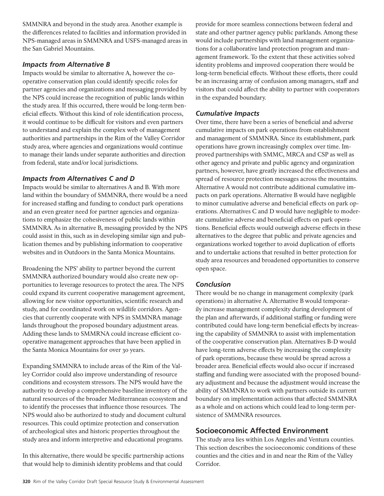SMMNRA and beyond in the study area. Another example is the differences related to facilities and information provided in NPS-managed areas in SMMNRA and USFS-managed areas in the San Gabriel Mountains.

## *Impacts from Alternative B*

Impacts would be similar to alternative A, however the cooperative conservation plan could identify specific roles for partner agencies and organizations and messaging provided by the NPS could increase the recognition of public lands within the study area. If this occurred, there would be long-term beneficial effects. Without this kind of role identification process, it would continue to be difficult for visitors and even partners to understand and explain the complex web of management authorities and partnerships in the Rim of the Valley Corridor study area, where agencies and organizations would continue to manage their lands under separate authorities and direction from federal, state and/or local jurisdictions.

## *Impacts from Alternatives C and D*

Impacts would be similar to alternatives A and B. With more land within the boundary of SMMNRA, there would be a need for increased staffing and funding to conduct park operations and an even greater need for partner agencies and organizations to emphasize the cohesiveness of public lands within SMMNRA. As in alternative B, messaging provided by the NPS could assist in this, such as in developing similar sign and publication themes and by publishing information to cooperative websites and in Outdoors in the Santa Monica Mountains.

Broadening the NPS' ability to partner beyond the current SMMNRA authorized boundary would also create new opportunities to leverage resources to protect the area. The NPS could expand its current cooperative management agreement, allowing for new visitor opportunities, scientific research and study, and for coordinated work on wildlife corridors. Agencies that currently cooperate with NPS in SMMNRA manage lands throughout the proposed boundary adjustment areas. Adding these lands to SMMRNA could increase efficient cooperative management approaches that have been applied in the Santa Monica Mountains for over 30 years.

Expanding SMMNRA to include areas of the Rim of the Valley Corridor could also improve understanding of resource conditions and ecosystem stressors. The NPS would have the authority to develop a comprehensive baseline inventory of the natural resources of the broader Mediterranean ecosystem and to identify the processes that influence those resources. The NPS would also be authorized to study and document cultural resources. This could optimize protection and conservation of archeological sites and historic properties throughout the study area and inform interpretive and educational programs.

In this alternative, there would be specific partnership actions that would help to diminish identity problems and that could

provide for more seamless connections between federal and state and other partner agency public parklands. Among these would include partnerships with land management organizations for a collaborative land protection program and management framework. To the extent that these activities solved identity problems and improved cooperation there would be long-term beneficial effects. Without these efforts, there could be an increasing array of confusion among managers, staff and visitors that could affect the ability to partner with cooperators in the expanded boundary.

## *Cumulative Impacts*

Over time, there have been a series of beneficial and adverse cumulative impacts on park operations from establishment and management of SMMNRA. Since its establishment, park operations have grown increasingly complex over time. Improved partnerships with SMMC, MRCA and CSP as well as other agency and private and public agency and organization partners, however, have greatly increased the effectiveness and spread of resource protection messages across the mountains. Alternative A would not contribute additional cumulative impacts on park operations. Alternative B would have negligible to minor cumulative adverse and beneficial effects on park operations. Alternatives C and D would have negligible to moderate cumulative adverse and beneficial effects on park operations. Beneficial effects would outweigh adverse effects in these alternatives to the degree that public and private agencies and organizations worked together to avoid duplication of efforts and to undertake actions that resulted in better protection for study area resources and broadened opportunities to conserve open space.

## *Conclusion*

There would be no change in management complexity (park operations) in alternative A. Alternative B would temporarily increase management complexity during development of the plan and afterwards, if additional staffing or funding were contributed could have long-term beneficial effects by increasing the capability of SMMNRA to assist with implementation of the cooperative conservation plan. Alternatives B-D would have long-term adverse effects by increasing the complexity of park operations, because these would be spread across a broader area. Beneficial effects would also occur if increased staffing and funding were associated with the proposed boundary adjustment and because the adjustment would increase the ability of SMMNRA to work with partners outside its current boundary on implementation actions that affected SMMNRA as a whole and on actions which could lead to long-term persistence of SMMNRA resources.

## **Socioeconomic Affected Environment**

The study area lies within Los Angeles and Ventura counties. This section describes the socioeconomic conditions of these counties and the cities and in and near the Rim of the Valley Corridor.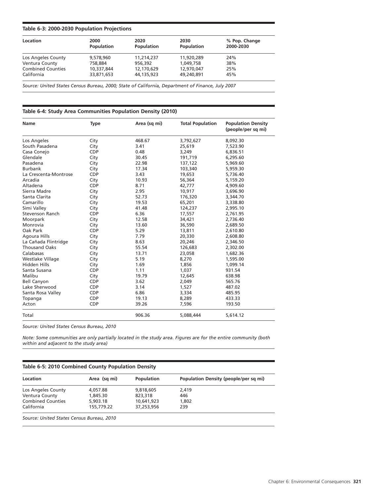#### **Table 6-3: 2000-2030 Population Projections**

| Location                 | 2000<br><b>Population</b> | 2020<br><b>Population</b> | 2030<br>Population | % Pop. Change<br>2000-2030 |
|--------------------------|---------------------------|---------------------------|--------------------|----------------------------|
| Los Angeles County       | 9,578,960                 | 11,214,237                | 11,920,289         | 24%                        |
| Ventura County           | 758,884                   | 956.392                   | 1.049.758          | 38%                        |
| <b>Combined Counties</b> | 10.337.844                | 12,170,629                | 12,970,047         | 25%                        |
| California               | 33,871,653                | 44,135,923                | 49.240.891         | 45%                        |

*Source: United States Census Bureau, 2000; State of California, Department of Finance, July 2007*

#### **Table 6-4: Study Area Communities Population Density (2010)**

| <b>Name</b>           | <b>Type</b> | Area (sq mi) | <b>Total Population</b> | <b>Population Density</b><br>(people/per sq mi) |
|-----------------------|-------------|--------------|-------------------------|-------------------------------------------------|
| Los Angeles           | City        | 468.67       | 3,792,627               | 8,092.30                                        |
| South Pasadena        | City        | 3.41         | 25,619                  | 7,523.90                                        |
| Casa Conejo           | <b>CDP</b>  | 0.48         | 3,249                   | 6,836.51                                        |
| Glendale              | City        | 30.45        | 191,719                 | 6,295.60                                        |
| Pasadena              | City        | 22.98        | 137,122                 | 5,969.60                                        |
| <b>Burbank</b>        | City        | 17.34        | 103,340                 | 5,959.30                                        |
| La Crescenta-Montrose | <b>CDP</b>  | 3.43         | 19,653                  | 5,736.40                                        |
| Arcadia               | City        | 10.93        | 56,364                  | 5,159.20                                        |
| Altadena              | <b>CDP</b>  | 8.71         | 42,777                  | 4,909.60                                        |
| Sierra Madre          | City        | 2.95         | 10,917                  | 3,696.90                                        |
| Santa Clarita         | City        | 52.73        | 176,320                 | 3,344.70                                        |
| Camarillo             | City        | 19.53        | 65,201                  | 3,338.80                                        |
| Simi Valley           | City        | 41.48        | 124,237                 | 2,995.10                                        |
| Stevenson Ranch       | CDP         | 6.36         | 17,557                  | 2,761.95                                        |
| Moorpark              | City        | 12.58        | 34,421                  | 2,736.40                                        |
| Monrovia              | City        | 13.60        | 36,590                  | 2,689.50                                        |
| Oak Park              | <b>CDP</b>  | 5.29         | 13,811                  | 2,610.80                                        |
| Agoura Hills          | City        | 7.79         | 20,330                  | 2,608.80                                        |
| La Cañada Flintridge  | City        | 8.63         | 20,246                  | 2,346.50                                        |
| <b>Thousand Oaks</b>  | City        | 55.54        | 126,683                 | 2,302.00                                        |
| Calabasas             | City        | 13.71        | 23,058                  | 1,682.36                                        |
| Westlake Village      | City        | 5.19         | 8,270                   | 1,595.00                                        |
| <b>Hidden Hills</b>   | City        | 1.69         | 1,856                   | 1,099.14                                        |
| Santa Susana          | <b>CDP</b>  | 1.11         | 1,037                   | 931.54                                          |
| Malibu                | City        | 19.79        | 12,645                  | 638.98                                          |
| <b>Bell Canyon</b>    | <b>CDP</b>  | 3.62         | 2,049                   | 565.76                                          |
| Lake Sherwood         | <b>CDP</b>  | 3.14         | 1,527                   | 487.02                                          |
| Santa Rosa Valley     | <b>CDP</b>  | 6.86         | 3,334                   | 485.95                                          |
| Topanga               | <b>CDP</b>  | 19.13        | 8,289                   | 433.33                                          |
| Acton                 | <b>CDP</b>  | 39.26        | 7,596                   | 193.50                                          |
| Total                 |             | 906.36       | 5,088,444               | 5,614.12                                        |

*Source: United States Census Bureau, 2010* 

*Note: Some communities are only partially located in the study area. Figures are for the entire community (both within and adjacent to the study area)*

| Location                 | Area (sq mi) | Population | Population Density (people/per sq mi) |
|--------------------------|--------------|------------|---------------------------------------|
| Los Angeles County       | 4.057.88     | 9,818,605  | 2.419                                 |
| Ventura County           | 1.845.30     | 823,318    | 446                                   |
| <b>Combined Counties</b> | 5,903.18     | 10.641.923 | 1,802                                 |
| California               | 155,779.22   | 37.253.956 | 239                                   |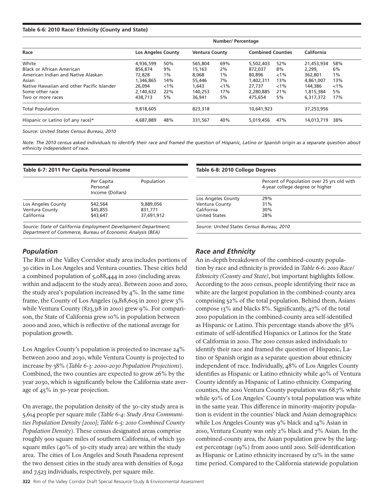#### **Table 6-6: 2010 Race/ Ethnicity (County and State)**

|                                            | Number/ Percentage        |         |                       |         |                          |         |            |         |
|--------------------------------------------|---------------------------|---------|-----------------------|---------|--------------------------|---------|------------|---------|
| Race                                       | <b>Los Angeles County</b> |         | <b>Ventura County</b> |         | <b>Combined Counties</b> |         | California |         |
| White                                      | 4,936,599                 | 50%     | 565,804               | 69%     | 5,502,403                | 52%     | 21,453,934 | 58%     |
| Black or African American                  | 856.874                   | 9%      | 15,163                | 2%      | 872,037                  | 8%      | 2.299.     | 6%      |
| American Indian and Native Alaskan         | 72,828                    | 1%      | 8.068                 | 1%      | 80,896                   | $< 1\%$ | 362,801    | $1\%$   |
| Asian                                      | 1.346.865                 | 14%     | 55,446                | 7%      | 1.402.311                | 13%     | 4,861,007  | 13%     |
| Native Hawaiian and other Pacific Islander | 26.094                    | $< 1\%$ | 1.643                 | $< 1\%$ | 27.737                   | $< 1\%$ | 144,386    | $< 1\%$ |
| Some other race                            | 2,140,632                 | 22%     | 140.253               | 17%     | 2.280.885                | 21%     | 1.815.384  | 5%      |
| Two or more races                          | 438,713                   | 5%      | 36,941                | 5%      | 475.654                  | 5%      | 6.317.372  | 17%     |
| <b>Total Population</b>                    | 9,818,605                 |         | 823,318               |         | 10,641,923               |         | 37,253,956 |         |
| Hispanic or Latino (of any race)*          | 4.687.889                 | 48%     | 331.567               | 40%     | 5.019.456                | 47%     | 14.013.719 | 38%     |

*Source: United States Census Bureau, 2010*

*Note: The 2010 census asked individuals to identify their race and framed the question of Hispanic, Latino or Spanish origin as a separate question about ethnicity independent of race.* 

| Table 6-7: 2011 Per Capita Personal Income |                                            |            |  |  |  |
|--------------------------------------------|--------------------------------------------|------------|--|--|--|
|                                            | Per Capita<br>Personal<br>Income (Dollars) | Population |  |  |  |
| Los Angeles County                         | \$42,564                                   | 9,889,056  |  |  |  |
| Ventura County                             | \$45,855                                   | 831,771    |  |  |  |
| California                                 | \$43.647                                   | 37.691.912 |  |  |  |

*Source: State of California Employment Development Department; Department of Commerce, Bureau of Economic Analysis (BEA)*

## *Population*

The Rim of the Valley Corridor study area includes portions of 30 cities in Los Angeles and Ventura counties. These cities held a combined population of 5,088,444 in 2010 (including areas within and adjacent to the study area). Between 2000 and 2010, the study area's population increased by  $4\%$ . In the same time frame, the County of Los Angeles  $(9,818,605)$  in 2010) grew 3% while Ventura County (823,318 in 2010) grew 9%. For comparison, the State of California grew 10% in population between 2000 and 2010, which is reflective of the national average for population growth.

Los Angeles County's population is projected to increase 24% between 2000 and 2030, while Ventura County is projected to increase by 38% (*Table 6-3: 2000-2030 Population Projections*). Combined, the two counties are expected to grow 26% by the year 2030, which is significantly below the California state average of 45% in 30-year projection.

On average, the population density of the 30-city study area is 5,614 people per square mile (*Table 6-4: Study Area Communities Population Density [2010]; Table 6-5: 2010 Combined County Population Density*). These census designated areas comprise roughly 900 square miles of southern California, of which 350 square miles (40% of 30-city study area) are within the study area. The cities of Los Angeles and South Pasadena represent the two densest cities in the study area with densities of 8,092 and 7,523 individuals, respectively, per square mile.

#### **Table 6-8: 2010 College Degrees**

|                      | Percent of Population over 25 yrs old with<br>4-year college degree or higher |
|----------------------|-------------------------------------------------------------------------------|
| Los Angeles County   | 29%                                                                           |
| Ventura County       | 31%                                                                           |
| California           | 30%                                                                           |
| <b>United States</b> | 28%                                                                           |

*Source: United States Census Bureau, 2010*

## *Race and Ethnicity*

An in-depth breakdown of the combined-county population by race and ethnicity is provided in *Table 6-6: 2010 Race/ Ethnicity (County and State)*, but important highlights follow. According to the 2010 census, people identifying their race as white are the largest population in the combined-county area comprising 52% of the total population. Behind them, Asians compose 13% and blacks 8%. Significantly, 47% of the total 2010 population in the combined-county area self-identified as Hispanic or Latino. This percentage stands above the 38% estimate of self-identified Hispanics or Latinos for the State of California in 2010. The 2010 census asked individuals to identify their race and framed the question of Hispanic, Latino or Spanish origin as a separate question about ethnicity independent of race. Individually, 48% of Los Angeles County identifies as Hispanic or Latino ethnicity while 40% of Ventura County identify as Hispanic of Latino ethnicity. Comparing counties, the 2010 Ventura County population was 68.7% white while 50% of Los Angeles' County's total population was white in the same year. This difference in minority-majority population is evident in the counties' black and Asian demographics: while Los Angeles County was 9% black and 14% Asian in 2010, Ventura County was only 2% black and 7% Asian. In the combined-county area, the Asian population grew by the largest percentage (19%) from 2000 until 2010. Self-identification as Hispanic or Latino ethnicity increased by 12% in the same time period. Compared to the California statewide population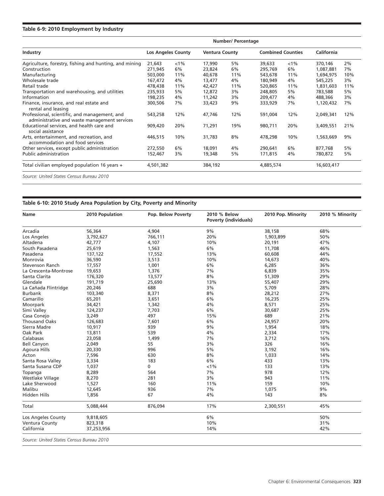#### **Table 6-9: 2010 Employment by Industry**

|                                                                                               | Number/ Percentage        |         |                       |     |                          |       |            |     |
|-----------------------------------------------------------------------------------------------|---------------------------|---------|-----------------------|-----|--------------------------|-------|------------|-----|
| Industry                                                                                      | <b>Los Angeles County</b> |         | <b>Ventura County</b> |     | <b>Combined Counties</b> |       | California |     |
| Agriculture, forestry, fishing and hunting, and mining                                        | 21,643                    | $< 1\%$ | 17,990                | 5%  | 39,633                   | $1\%$ | 370,146    | 2%  |
| Construction                                                                                  | 271,945                   | 6%      | 23,824                | 6%  | 295,769                  | 6%    | 1,087,881  | 7%  |
| Manufacturing                                                                                 | 503,000                   | 11%     | 40,678                | 11% | 543,678                  | 11%   | 1,694,975  | 10% |
| Wholesale trade                                                                               | 167,472                   | 4%      | 13,477                | 4%  | 180,949                  | 4%    | 545,225    | 3%  |
| Retail trade                                                                                  | 478,438                   | 11%     | 42,427                | 11% | 520,865                  | 11%   | 1,831,603  | 11% |
| Transportation and warehousing, and utilities                                                 | 235,933                   | 5%      | 12,872                | 3%  | 248,805                  | 5%    | 783,588    | 5%  |
| Information                                                                                   | 198,235                   | 4%      | 11,242                | 3%  | 209,477                  | 4%    | 488,366    | 3%  |
| Finance, insurance, and real estate and<br>rental and leasing                                 | 300,506                   | 7%      | 33,423                | 9%  | 333,929                  | 7%    | 1,120,432  | 7%  |
| Professional, scientific, and management, and<br>administrative and waste management services | 543,258                   | 12%     | 47,746                | 12% | 591,004                  | 12%   | 2,049,341  | 12% |
| Educational services, and health care and<br>social assistance                                | 909,420                   | 20%     | 71,291                | 19% | 980,711                  | 20%   | 3,409,551  | 21% |
| Arts, entertainment, and recreation, and<br>accommodation and food services                   | 446,515                   | 10%     | 31,783                | 8%  | 478,298                  | 10%   | 1,563,669  | 9%  |
| Other services, except public administration                                                  | 272,550                   | 6%      | 18,091                | 4%  | 290,641                  | 6%    | 877,768    | 5%  |
| <b>Public administration</b>                                                                  | 152,467                   | 3%      | 19,348                | 5%  | 171,815                  | 4%    | 780,872    | 5%  |
| Total civilian employed population 16 years +                                                 | 4,501,382                 |         | 384,192               |     | 4,885,574                |       | 16,603,417 |     |
| Source: United States Census Bureau 2010                                                      |                           |         |                       |     |                          |       |            |     |

### **Table 6-10: 2010 Study Area Population by City, Poverty and Minority**

| Name                   | 2010 Population | Pop. Below Poverty | 2010 % Below<br><b>Poverty (individuals)</b> | 2010 Pop. Minority | 2010 % Minority |
|------------------------|-----------------|--------------------|----------------------------------------------|--------------------|-----------------|
| Arcadia                | 56,364          | 4,904              | 9%                                           | 38,158             | 68%             |
| Los Angeles            | 3,792,627       | 766,111            | 20%                                          | 1,903,899          | 50%             |
| Altadena               | 42,777          | 4,107              | 10%                                          | 20,191             | 47%             |
| South Pasadena         | 25,619          | 1,563              | 6%                                           | 11,708             | 46%             |
| Pasadena               | 137,122         | 17,552             | 13%                                          | 60,608             | 44%             |
| Monrovia               | 36,590          | 3,513              | 10%                                          | 14,673             | 40%             |
| <b>Stevenson Ranch</b> | 17,557          | 1,001              | 6%                                           | 6,285              | 36%             |
| La Crescenta-Montrose  | 19,653          | 1,376              | 7%                                           | 6,839              | 35%             |
| Santa Clarita          | 176,320         | 13,577             | 8%                                           | 51,309             | 29%             |
| Glendale               | 191,719         | 25,690             | 13%                                          | 55,407             | 29%             |
| La Cañada Flintridge   | 20,246          | 688                | 3%                                           | 5,709              | 28%             |
| <b>Burbank</b>         | 103,340         | 8,371              | 8%                                           | 28,212             | 27%             |
| Camarillo              | 65,201          | 3,651              | 6%                                           | 16,235             | 25%             |
| Moorpark               | 34,421          | 1,342              | 4%                                           | 8,571              | 25%             |
| Simi Valley            | 124,237         | 7,703              | 6%                                           | 30,687             | 25%             |
| Casa Conejo            | 3,249           | 497                | 15%                                          | 689                | 21%             |
| <b>Thousand Oaks</b>   | 126,683         | 7,601              | 6%                                           | 24,957             | 20%             |
| Sierra Madre           | 10,917          | 939                | 9%                                           | 1,954              | 18%             |
| Oak Park               | 13,811          | 539                | 4%                                           | 2,334              | 17%             |
| Calabasas              | 23,058          | 1,499              | 7%                                           | 3,712              | 16%             |
| <b>Bell Canyon</b>     | 2,049           | 55                 | 3%                                           | 326                | 16%             |
| Agoura Hills           | 20,330          | 996                | 5%                                           | 3,192              | 16%             |
| Acton                  | 7,596           | 630                | 8%                                           | 1,033              | 14%             |
| Santa Rosa Valley      | 3,334           | 183                | 6%                                           | 433                | 13%             |
| Santa Susana CDP       | 1,037           | 0                  | $< 1\%$                                      | 133                | 13%             |
| Topanga                | 8,289           | 564                | 7%                                           | 978                | 12%             |
| Westlake Village       | 8,270           | 281                | 3%                                           | 943                | 11%             |
| Lake Sherwood          | 1,527           | 160                | 11%                                          | 159                | 10%             |
| Malibu                 | 12,645          | 936                | 7%                                           | 1,075              | 9%              |
| Hidden Hills           | 1,856           | 67                 | 4%                                           | 143                | 8%              |
| Total                  | 5,088,444       | 876,094            | 17%                                          | 2,300,551          | 45%             |
| Los Angeles County     | 9,818,605       |                    | 6%                                           |                    | 50%             |
| Ventura County         | 823,318         |                    | 10%                                          |                    | 31%             |
| California             | 37,253,956      |                    | 14%                                          |                    | 42%             |

Chapter 6: Environmental Consequences **323**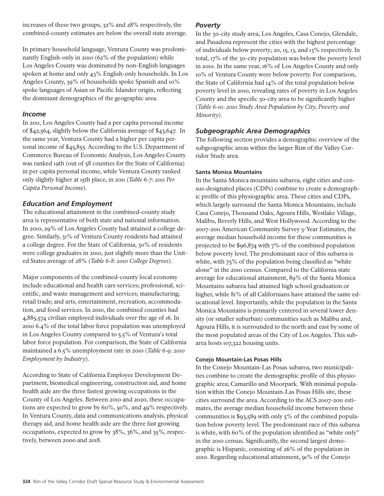increases of these two groups, 32% and 28% respectively, the combined-county estimates are below the overall state average.

In primary household language, Ventura County was predominantly English-only in 2010 (62% of the population) while Los Angeles County was dominated by non-English languages spoken at home and only 43% English-only households. In Los Angeles County, 39% of households spoke Spanish and 10% spoke languages of Asian or Pacific Islander origin, reflecting the dominant demographics of the geographic area.

## *Income*

In 2011, Los Angeles County had a per capita personal income of \$42,564, slightly below the California average of \$43,647. In the same year, Ventura County had a higher per capita personal income of \$45,855. According to the U.S. Department of Commerce Bureau of Economic Analysis, Los Angeles County was ranked 19th (out of 58 counties for the State of California) in per capita personal income, while Ventura County ranked only slightly higher at 15th place, in 2011 (*Table 6-7: 2011 Per Capita Personal Income*).

## *Education and Employment*

The educational attainment in the combined-county study area is representative of both state and national information. In 2010, 29% of Los Angeles County had attained a college degree. Similarly, 31% of Ventura County residents had attained a college degree. For the State of California, 30% of residents were college graduates in 2010, just slightly more than the United States average of 28% (*Table 6-8: 2010 College Degrees*).

Major components of the combined-county local economy include educational and health care services; professional, scientific, and waste management and services; manufacturing; retail trade; and arts, entertainment, recreation, accommodation, and food services. In 2010, the combined counties had 4,885,574 civilian employed individuals over the age of 16. In 2010 6.4% of the total labor force population was unemployed in Los Angeles County compared to 5.5% of Ventura's total labor force population. For comparison, the State of California maintained a 6.5% unemployment rate in 2010 (*Table 6-9: 2010 Employment by Industry*).

According to State of California Employee Development Department, biomedical engineering, construction aid, and home health aide are the three fastest growing occupations in the County of Los Angeles. Between 2010 and 2020, these occupations are expected to grow by 60%, 50%, and 49% respectively. In Ventura County, data and communications analysis, physical therapy aid, and home health aide are the three fast growing occupations, expected to grow by 38%, 36%, and 35%, respectively, between 2000 and 2018.

## *Poverty*

In the 30-city study area, Los Angeles, Casa Conejo, Glendale, and Pasadena represent the cities with the highest percentage of individuals below poverty; 20, 15, 13, and 13% respectively. In total, 17% of the 30-city population was below the poverty level in 2010. In the same year, 16% of Los Angeles County and only 10% of Ventura County were below poverty. For comparison, the State of California had 14% of the total population below poverty level in 2010, revealing rates of poverty in Los Angeles County and the specific 30-city area to be significantly higher (*Table 6-10: 2010 Study Area Population by City, Poverty and Minority*).

## *Subgeographic Area Demographics*

The following section provides a demographic overview of the subgeographic areas within the larger Rim of the Valley Corridor Study area.

## **Santa Monica Mountains**

In the Santa Monica mountains subarea, eight cities and census-designated places (CDPs) combine to create a demographic profile of this physiographic area. These cities and CDPs, which largely surround the Santa Monica Mountains, include Casa Conejo, Thousand Oaks, Agoura Hills, Westlake Village, Malibu, Beverly Hills, and West Hollywood. According to the 2007-2011 American Community Survey 5-Year Estimates, the average median household income for these communities is projected to be \$96,874 with 7% of the combined population below poverty level. The predominant race of this subarea is white, with 75% of the population being classified as "white alone" in the 2010 census. Compared to the California state average for educational attainment, 89% of the Santa Monica Mountains subarea had attained high school graduation or higher, while 81% of all Californians have attained the same educational level. Importantly, while the population in the Santa Monica Mountains is primarily centered in several lower density (or smaller suburban) communities such as Malibu and, Agoura Hills, it is surrounded to the north and east by some of the most populated areas of the City of Los Angeles. This subarea hosts 107,322 housing units.

## **Conejo Mountain-Las Posas Hills**

In the Conejo Mountain-Las Posas subarea, two municipalities combine to create the demographic profile of this physiographic area; Camarillo and Moorpark. With minimal population within the Conejo Mountain-Las Posas Hills site, these cities surround the area. According to the ACS 2007-2011 estimates, the average median household income between these communities is \$93,589 with only 5% of the combined population below poverty level. The predominant race of this subarea is white, with 60% of the population identified as "white only" in the 2010 census. Significantly, the second largest demographic is Hispanic, consisting of 26% of the population in 2010. Regarding educational attainment, 91% of the Conejo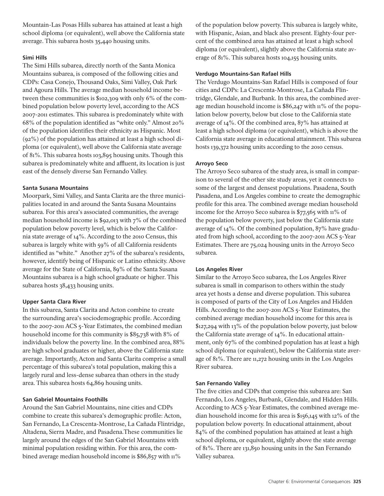Mountain-Las Posas Hills subarea has attained at least a high school diploma (or equivalent), well above the California state average. This subarea hosts 35,440 housing units.

### **Simi Hills**

The Simi Hills subarea, directly north of the Santa Monica Mountains subarea, is composed of the following cities and CDPs: Casa Conejo, Thousand Oaks, Simi Valley, Oak Park and Agoura Hills. The average median household income between these communities is \$102,309 with only 6% of the combined population below poverty level, according to the ACS 2007-2011 estimates. This subarea is predominately white with 68% of the population identified as "white only." Almost 20% of the population identifies their ethnicity as Hispanic. Most (92%) of the population has attained at least a high school diploma (or equivalent), well above the California state average of 81%. This subarea hosts 103,895 housing units. Though this subarea is predominately white and affluent, its location is just east of the densely diverse San Fernando Valley.

### **Santa Susana Mountains**

Moorpark, Simi Valley, and Santa Clarita are the three municipalities located in and around the Santa Susana Mountains subarea. For this area's associated communities, the average median household income is \$92,013 with 7% of the combined population below poverty level, which is below the California state average of 14%. According to the 2010 Census, this subarea is largely white with 59% of all California residents identified as "white." Another 27% of the subarea's residents, however, identify being of Hispanic or Latino ethnicity. Above average for the State of California, 89% of the Santa Susana Mountains subarea is a high school graduate or higher. This subarea hosts 38,433 housing units.

### **Upper Santa Clara River**

In this subarea, Santa Clarita and Acton combine to create the surrounding area's sociodemographic profile. According to the 2007-2011 ACS 5-Year Estimates, the combined median household income for this community is \$85,738 with 8% of individuals below the poverty line. In the combined area, 88% are high school graduates or higher, above the California state average. Importantly, Acton and Santa Clarita comprise a small percentage of this subarea's total population, making this a largely rural and less-dense subarea than others in the study area. This subarea hosts 64,869 housing units.

### **San Gabriel Mountains Foothills**

Around the San Gabriel Mountains, nine cities and CDPs combine to create this subarea's demographic profile: Acton, San Fernando, La Crescenta-Montrose, La Cañada Flintridge, Altadena, Sierra Madre, and Pasadena.These communities lie largely around the edges of the San Gabriel Mountains with minimal population residing within. For this area, the combined average median household income is \$86,857 with 11%

of the population below poverty. This subarea is largely white, with Hispanic, Asian, and black also present. Eighty-four percent of the combined area has attained at least a high school diploma (or equivalent), slightly above the California state average of 81%. This subarea hosts 104,155 housing units.

### **Verdugo Mountains-San Rafael Hills**

The Verdugo Mountains-San Rafael Hills is composed of four cities and CDPs: La Crescenta-Montrose, La Cañada Flintridge, Glendale, and Burbank. In this area, the combined average median household income is \$86,247 with 11% of the population below poverty, below but close to the California state average of 14%. Of the combined area, 87% has attained at least a high school diploma (or equivalent), which is above the California state average in educational attainment. This subarea hosts 139,372 housing units according to the 2010 census.

### **Arroyo Seco**

The Arroyo Seco subarea of the study area, is small in comparison to several of the other site study areas, yet it connects to some of the largest and densest populations. Pasadena, South Pasadena, and Los Angeles combine to create the demographic profile for this area. The combined average median household income for the Arroyo Seco subarea is \$77,565 with 11% of the population below poverty, just below the California state average of 14%. Of the combined population, 87% have graduated from high school, according to the 2007-2011 ACS 5-Year Estimates. There are 75,024 housing units in the Arroyo Seco subarea.

### **Los Angeles River**

Similar to the Arroyo Seco subarea, the Los Angeles River subarea is small in comparison to others within the study area yet hosts a dense and diverse population. This subarea is composed of parts of the City of Los Angeles and Hidden Hills. According to the 2007-2011 ACS 5-Year Estimates, the combined average median household income for this area is \$127,294 with 13% of the population below poverty, just below the California state average of 14%. In educational attainment, only 67% of the combined population has at least a high school diploma (or equivalent), below the California state average of 81%. There are 11,272 housing units in the Los Angeles River subarea.

### **San Fernando Valley**

The five cities and CDPs that comprise this subarea are: San Fernando, Los Angeles, Burbank, Glendale, and Hidden Hills. According to ACS 5-Year Estimates, the combined average median household income for this area is \$156,145 with 12% of the population below poverty. In educational attainment, about 84% of the combined population has attained at least a high school diploma, or equivalent, slightly above the state average of 81%. There are 131,850 housing units in the San Fernando Valley subarea.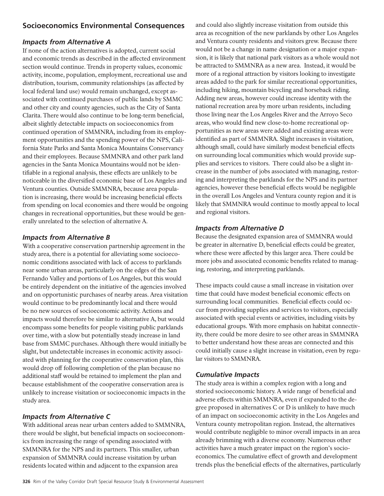# **Socioeconomics Environmental Consequences**

## *Impacts from Alternative A*

If none of the action alternatives is adopted, current social and economic trends as described in the affected environment section would continue. Trends in property values, economic activity, income, population, employment, recreational use and distribution, tourism, community relationships (as affected by local federal land use) would remain unchanged, except associated with continued purchases of public lands by SMMC and other city and county agencies, such as the City of Santa Clarita. There would also continue to be long-term beneficial, albeit slightly detectable impacts on socioeconomics from continued operation of SMMNRA, including from its employment opportunities and the spending power of the NPS, California State Parks and Santa Monica Mountains Conservancy and their employees. Because SMMNRA and other park land agencies in the Santa Monica Mountains would not be identifiable in a regional analysis, these effects are unlikely to be noticeable in the diversified economic base of Los Angeles and Ventura counties. Outside SMMNRA, because area population is increasing, there would be increasing beneficial effects from spending on local economies and there would be ongoing changes in recreational opportunities, but these would be generally unrelated to the selection of alternative A.

## *Impacts from Alternative B*

With a cooperative conservation partnership agreement in the study area, there is a potential for alleviating some socioeconomic conditions associated with lack of access to parklands near some urban areas, particularly on the edges of the San Fernando Valley and portions of Los Angeles, but this would be entirely dependent on the initiative of the agencies involved and on opportunistic purchases of nearby areas. Area visitation would continue to be predominantly local and there would be no new sources of socioeconomic activity. Actions and impacts would therefore be similar to alternative A, but would encompass some benefits for people visiting public parklands over time, with a slow but potentially steady increase in land base from SMMC purchases. Although there would initially be slight, but undetectable increases in economic activity associated with planning for the cooperative conservation plan, this would drop off following completion of the plan because no additional staff would be retained to implement the plan and because establishment of the cooperative conservation area is unlikely to increase visitation or socioeconomic impacts in the study area.

## *Impacts from Alternative C*

With additional areas near urban centers added to SMMNRA, there would be slight, but beneficial impacts on socioeconomics from increasing the range of spending associated with SMMNRA for the NPS and its partners. This smaller, urban expansion of SMMNRA could increase visitation by urban residents located within and adjacent to the expansion area

and could also slightly increase visitation from outside this area as recognition of the new parklands by other Los Angeles and Ventura county residents and visitors grew. Because there would not be a change in name designation or a major expansion, it is likely that national park visitors as a whole would not be attracted to SMMNRA as a new area. Instead, it would be more of a regional attraction by visitors looking to investigate areas added to the park for similar recreational opportunities, including hiking, mountain bicycling and horseback riding. Adding new areas, however could increase identity with the national recreation area by more urban residents, including those living near the Los Angeles River and the Arroyo Seco areas, who would find new close-to-home recreational opportunities as new areas were added and existing areas were identified as part of SMMNRA. Slight increases in visitation, although small, could have similarly modest beneficial effects on surrounding local communities which would provide supplies and services to visitors. There could also be a slight increase in the number of jobs associated with managing, restoring and interpreting the parklands for the NPS and its partner agencies, however these beneficial effects would be negligible in the overall Los Angeles and Ventura county region and it is likely that SMMNRA would continue to mostly appeal to local and regional visitors.

## *Impacts from Alternative D*

Because the designated expansion area of SMMNRA would be greater in alternative D, beneficial effects could be greater, where these were affected by this larger area. There could be more jobs and associated economic benefits related to managing, restoring, and interpreting parklands.

These impacts could cause a small increase in visitation over time that could have modest beneficial economic effects on surrounding local communities. Beneficial effects could occur from providing supplies and services to visitors, especially associated with special events or activities, including visits by educational groups. With more emphasis on habitat connectivity, there could be more desire to see other areas in SMMNRA to better understand how these areas are connected and this could initially cause a slight increase in visitation, even by regular visitors to SMMNRA.

## *Cumulative Impacts*

The study area is within a complex region with a long and storied socioeconomic history. A wide range of beneficial and adverse effects within SMMNRA, even if expanded to the degree proposed in alternatives C or D is unlikely to have much of an impact on socioeconomic activity in the Los Angeles and Ventura county metropolitan region. Instead, the alternatives would contribute negligible to minor overall impacts in an area already brimming with a diverse economy. Numerous other activities have a much greater impact on the region's socioeconomics. The cumulative effect of growth and development trends plus the beneficial effects of the alternatives, particularly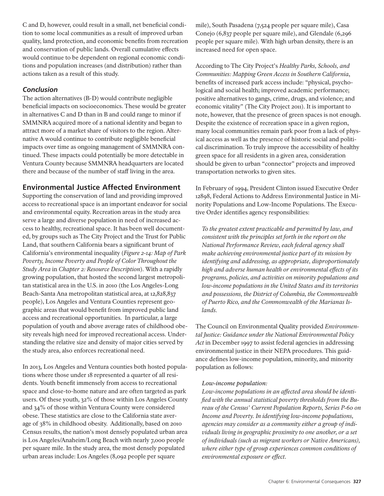C and D, however, could result in a small, net beneficial condition to some local communities as a result of improved urban quality, land protection, and economic benefits from recreation and conservation of public lands. Overall cumulative effects would continue to be dependent on regional economic conditions and population increases (and distribution) rather than actions taken as a result of this study.

## *Conclusion*

The action alternatives (B-D) would contribute negligible beneficial impacts on socioeconomics. These would be greater in alternatives C and D than in B and could range to minor if SMMNRA acquired more of a national identity and began to attract more of a market share of visitors to the region. Alternative A would continue to contribute negligible beneficial impacts over time as ongoing management of SMMNRA continued. These impacts could potentially be more detectable in Ventura County because SMMNRA headquarters are located there and because of the number of staff living in the area.

# **Environmental Justice Affected Environment**

Supporting the conservation of land and providing improved access to recreational space is an important endeavor for social and environmental equity. Recreation areas in the study area serve a large and diverse population in need of increased access to healthy, recreational space. It has been well documented, by groups such as The City Project and the Trust for Public Land, that southern California bears a significant brunt of California's environmental inequality (*Figure 2-14: Map of Park Poverty, Income Poverty and People of Color Throughout the Study Area* in *Chapter 2: Resource Description*). With a rapidly growing population, that hosted the second largest metropolitan statistical area in the U.S. in 2010 (the Los Angeles-Long Beach-Santa Ana metropolitan statistical area, at 12,828,837 people), Los Angeles and Ventura Counties represent geographic areas that would benefit from improved public land access and recreational opportunities. In particular, a large population of youth and above average rates of childhood obesity reveals high need for improved recreational access. Understanding the relative size and density of major cities served by the study area, also enforces recreational need.

In 2013, Los Angeles and Ventura counties both hosted populations where those under 18 represented a quarter of all residents. Youth benefit immensely from access to recreational space and close-to-home nature and are often targeted as park users. Of these youth, 32% of those within Los Angeles County and 34% of those within Ventura County were considered obese. These statistics are close to the California state average of 38% in childhood obesity. Additionally, based on 2010 Census results, the nation's most densely populated urban area is Los Angeles/Anaheim/Long Beach with nearly 7,000 people per square mile. In the study area, the most densely populated urban areas include: Los Angeles (8,092 people per square

mile), South Pasadena (7,524 people per square mile), Casa Conejo (6,837 people per square mile), and Glendale (6,296 people per square mile). With high urban density, there is an increased need for open space.

According to The City Project's *Healthy Parks, Schools, and Communities: Mapping Green Access in Southern California*, benefits of increased park access include: "physical, psychological and social health; improved academic performance; positive alternatives to gangs, crime, drugs, and violence; and economic vitality" (The City Project 2011). It is important to note, however, that the presence of green spaces is not enough. Despite the existence of recreation space in a given region, many local communities remain park poor from a lack of physical access as well as the presence of historic social and political discrimination. To truly improve the accessibility of healthy green space for all residents in a given area, consideration should be given to urban "connector" projects and improved transportation networks to given sites.

In February of 1994, President Clinton issued Executive Order 12898, Federal Actions to Address Environmental Justice in Minority Populations and Low-Income Populations. The Executive Order identifies agency responsibilities:

*To the greatest extent practicable and permitted by law, and consistent with the principles set forth in the report on the National Performance Review, each federal agency shall make achieving environmental justice part of its mission by identifying and addressing, as appropriate, disproportionately high and adverse human health or environmental effects of its programs, policies, and activities on minority populations and low-income populations in the United States and its territories and possessions, the District of Columbia, the Commonwealth of Puerto Rico, and the Commonwealth of the Marianas Islands.*

The Council on Environmental Quality provided *Environmental Justice: Guidance under the National Environmental Policy Act* in December 1997 to assist federal agencies in addressing environmental justice in their NEPA procedures. This guidance defines low-income population, minority, and minority population as follows:

## *Low-income population:*

*Low-income populations in an affected area should be identified with the annual statistical poverty thresholds from the Bureau of the Census' Current Population Reports, Series P-60 on Income and Poverty. In identifying low-income populations, agencies may consider as a community either a group of individuals living in geographic proximity to one another, or a set of individuals (such as migrant workers or Native Americans), where either type of group experiences common conditions of environmental exposure or effect.*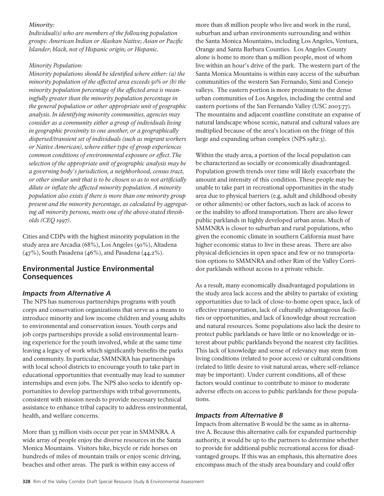### *Minority:*

*Individual(s) who are members of the following population groups: American Indian or Alaskan Native; Asian or Pacific Islander; black, not of Hispanic origin; or Hispanic.*

## *Minority Population:*

*Minority populations should be identified where either: (a) the minority population of the affected area exceeds 50% or (b) the minority population percentage of the affected area is meaningfully greater than the minority population percentage in the general population or other appropriate unit of geographic analysis. In identifying minority communities, agencies may consider as a community either a group of individuals living in geographic proximity to one another, or a geographically dispersed/transient set of individuals (such as migrant workers or Native American), where either type of group experiences common conditions of environmental exposure or effect. The selection of the appropriate unit of geographic analysis may be a governing body's jurisdiction, a neighborhood, census tract, or other similar unit that is to be chosen so as to not artificially dilute or inflate the affected minority population. A minority population also exists if there is more than one minority group present and the minority percentage, as calculated by aggregating all minority persons, meets one of the above-stated thresholds (CEQ 1997).* 

Cities and CDPs with the highest minority population in the study area are Arcadia (68%), Los Angeles (50%), Altadena (47%), South Pasadena (46%), and Pasadena (44.2%).

## **Environmental Justice Environmental Consequences**

## *Impacts from Alternative A*

The NPS has numerous partnerships programs with youth corps and conservation organizations that serve as a means to introduce minority and low income children and young adults to environmental and conservation issues. Youth corps and job corps partnerships provide a solid environmental learning experience for the youth involved, while at the same time leaving a legacy of work which significantly benefits the parks and community. In particular, SMMNRA has partnerships with local school districts to encourage youth to take part in educational opportunities that eventually may lead to summer internships and even jobs. The NPS also seeks to identify opportunities to develop partnerships with tribal governments, consistent with mission needs to provide necessary technical assistance to enhance tribal capacity to address environmental, health, and welfare concerns.

More than 33 million visits occur per year in SMMNRA. A wide array of people enjoy the diverse resources in the Santa Monica Mountains. Visitors hike, bicycle or ride horses on hundreds of miles of mountain trails or enjoy scenic driving, beaches and other areas. The park is within easy access of

more than 18 million people who live and work in the rural, suburban and urban environments surrounding and within the Santa Monica Mountains, including Los Angeles, Ventura, Orange and Santa Barbara Counties. Los Angeles County alone is home to more than 9 million people, most of whom live within an hour's drive of the park. The western part of the Santa Monica Mountains is within easy access of the suburban communities of the western San Fernando, Simi and Conejo valleys. The eastern portion is more proximate to the dense urban communities of Los Angeles, including the central and eastern portions of the San Fernando Valley (USC 2003:77). The mountains and adjacent coastline constitute an expanse of natural landscape whose scenic, natural and cultural values are multiplied because of the area's location on the fringe of this large and expanding urban complex (NPS 1982:3).

Within the study area, a portion of the local population can be characterized as socially or economically disadvantaged. Population growth trends over time will likely exacerbate the amount and intensity of this condition. These people may be unable to take part in recreational opportunities in the study area due to physical barriers (e.g. adult and childhood obesity or other ailments) or other factors, such as lack of access to or the inability to afford transportation. There are also fewer public parklands in highly developed urban areas. Much of SMMNRA is closer to suburban and rural populations, who given the economic climate in southern California must have higher economic status to live in these areas. There are also physical deficiencies in open space and few or no transportation options to SMMNRA and other Rim of the Valley Corridor parklands without access to a private vehicle.

As a result, many economically disadvantaged populations in the study area lack access and the ability to partake of existing opportunities due to lack of close-to-home open space, lack of effective transportation, lack of culturally advantageous facilities or opportunities, and lack of knowledge about recreation and natural resources. Some populations also lack the desire to protect public parklands or have little or no knowledge or interest about public parklands beyond the nearest city facilities. This lack of knowledge and sense of relevancy may stem from living conditions (related to poor access) or cultural conditions (related to little desire to visit natural areas, where self-reliance may be important). Under current conditions, all of these factors would continue to contribute to minor to moderate adverse effects on access to public parklands for these populations.

## *Impacts from Alternative B*

Impacts from alternative B would be the same as in alternative A. Because this alternative calls for expanded partnership authority, it would be up to the partners to determine whether to provide for additional public recreational access for disadvantaged groups. If this was an emphasis, this alternative does encompass much of the study area boundary and could offer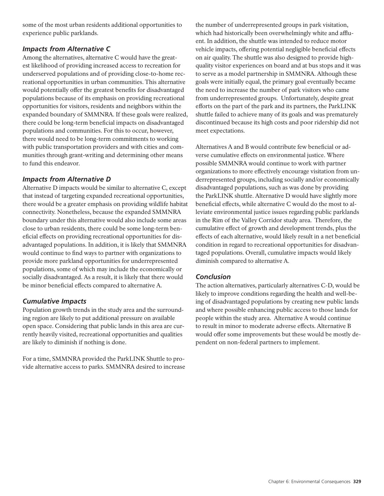some of the most urban residents additional opportunities to experience public parklands.

## *Impacts from Alternative C*

Among the alternatives, alternative C would have the greatest likelihood of providing increased access to recreation for underserved populations and of providing close-to-home recreational opportunities in urban communities. This alternative would potentially offer the greatest benefits for disadvantaged populations because of its emphasis on providing recreational opportunities for visitors, residents and neighbors within the expanded boundary of SMMNRA. If these goals were realized, there could be long-term beneficial impacts on disadvantaged populations and communities. For this to occur, however, there would need to be long-term commitments to working with public transportation providers and with cities and communities through grant-writing and determining other means to fund this endeavor.

## *Impacts from Alternative D*

Alternative D impacts would be similar to alternative C, except that instead of targeting expanded recreational opportunities, there would be a greater emphasis on providing wildlife habitat connectivity. Nonetheless, because the expanded SMMNRA boundary under this alternative would also include some areas close to urban residents, there could be some long-term beneficial effects on providing recreational opportunities for disadvantaged populations. In addition, it is likely that SMMNRA would continue to find ways to partner with organizations to provide more parkland opportunities for underrepresented populations, some of which may include the economically or socially disadvantaged. As a result, it is likely that there would be minor beneficial effects compared to alternative A.

## *Cumulative Impacts*

Population growth trends in the study area and the surrounding region are likely to put additional pressure on available open space. Considering that public lands in this area are currently heavily visited, recreational opportunities and qualities are likely to diminish if nothing is done.

For a time, SMMNRA provided the ParkLINK Shuttle to provide alternative access to parks. SMMNRA desired to increase the number of underrepresented groups in park visitation, which had historically been overwhelmingly white and affluent. In addition, the shuttle was intended to reduce motor vehicle impacts, offering potential negligible beneficial effects on air quality. The shuttle was also designed to provide highquality visitor experiences on board and at bus stops and it was to serve as a model partnership in SMMNRA. Although these goals were initially equal, the primary goal eventually became the need to increase the number of park visitors who came from underrepresented groups. Unfortunately, despite great efforts on the part of the park and its partners, the ParkLINK shuttle failed to achieve many of its goals and was prematurely discontinued because its high costs and poor ridership did not meet expectations.

Alternatives A and B would contribute few beneficial or adverse cumulative effects on environmental justice. Where possible SMMNRA would continue to work with partner organizations to more effectively encourage visitation from underrepresented groups, including socially and/or economically disadvantaged populations, such as was done by providing the ParkLINK shuttle. Alternative D would have slightly more beneficial effects, while alternative C would do the most to alleviate environmental justice issues regarding public parklands in the Rim of the Valley Corridor study area. Therefore, the cumulative effect of growth and development trends, plus the effects of each alternative, would likely result in a net beneficial condition in regard to recreational opportunities for disadvantaged populations. Overall, cumulative impacts would likely diminish compared to alternative A.

## *Conclusion*

The action alternatives, particularly alternatives C-D, would be likely to improve conditions regarding the health and well-being of disadvantaged populations by creating new public lands and where possible enhancing public access to those lands for people within the study area. Alternative A would continue to result in minor to moderate adverse effects. Alternative B would offer some improvements but these would be mostly dependent on non-federal partners to implement.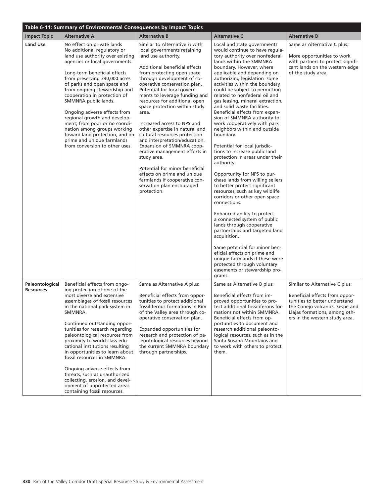| Table 6-11: Summary of Environmental Consequences by Impact Topics |                                                                                                                                                                                                                                                                                                                                                                                                                                                                                                                                                                                           |                                                                                                                                                                                                                                                                                                                                                                                                                                                                                                                                                                                                                                                                                                                           |                                                                                                                                                                                                                                                                                                                                                                                                                                                                                                                                                                                                                                                                                                                                                                                                                                                                                                                                                                                                                                                                                                                                                                                   |                                                                                                                                                                                                         |  |  |
|--------------------------------------------------------------------|-------------------------------------------------------------------------------------------------------------------------------------------------------------------------------------------------------------------------------------------------------------------------------------------------------------------------------------------------------------------------------------------------------------------------------------------------------------------------------------------------------------------------------------------------------------------------------------------|---------------------------------------------------------------------------------------------------------------------------------------------------------------------------------------------------------------------------------------------------------------------------------------------------------------------------------------------------------------------------------------------------------------------------------------------------------------------------------------------------------------------------------------------------------------------------------------------------------------------------------------------------------------------------------------------------------------------------|-----------------------------------------------------------------------------------------------------------------------------------------------------------------------------------------------------------------------------------------------------------------------------------------------------------------------------------------------------------------------------------------------------------------------------------------------------------------------------------------------------------------------------------------------------------------------------------------------------------------------------------------------------------------------------------------------------------------------------------------------------------------------------------------------------------------------------------------------------------------------------------------------------------------------------------------------------------------------------------------------------------------------------------------------------------------------------------------------------------------------------------------------------------------------------------|---------------------------------------------------------------------------------------------------------------------------------------------------------------------------------------------------------|--|--|
| <b>Impact Topic</b>                                                | <b>Alternative A</b>                                                                                                                                                                                                                                                                                                                                                                                                                                                                                                                                                                      | <b>Alternative B</b>                                                                                                                                                                                                                                                                                                                                                                                                                                                                                                                                                                                                                                                                                                      | <b>Alternative C</b>                                                                                                                                                                                                                                                                                                                                                                                                                                                                                                                                                                                                                                                                                                                                                                                                                                                                                                                                                                                                                                                                                                                                                              | <b>Alternative D</b>                                                                                                                                                                                    |  |  |
| <b>Land Use</b>                                                    | No effect on private lands<br>No additional regulatory or<br>land use authority over existing<br>agencies or local governments.<br>Long-term beneficial effects<br>from preserving 340,000 acres<br>of parks and open space and<br>from ongoing stewardship and<br>cooperation in protection of<br>SMMNRA public lands.<br>Ongoing adverse effects from<br>regional growth and develop-<br>ment; from poor or no coordi-<br>nation among groups working<br>toward land protection, and on<br>prime and unique farmlands<br>from conversion to other uses.                                 | Similar to Alternative A with<br>local governments retaining<br>land use authority.<br>Additional beneficial effects<br>from protecting open space<br>through development of co-<br>operative conservation plan.<br>Potential for local govern-<br>ments to leverage funding and<br>resources for additional open<br>space protection within study<br>area.<br>Increased access to NPS and<br>other expertise in natural and<br>cultural resources protection<br>and interpretation/education.<br>Expansion of SMMNRA coop-<br>erative management efforts in<br>study area.<br>Potential for minor beneficial<br>effects on prime and unique<br>farmlands if cooperative con-<br>servation plan encouraged<br>protection. | Local and state governments<br>would continue to have regula-<br>tory authority over nonfederal<br>lands within the SMMNRA<br>boundary. However, where<br>applicable and depending on<br>authorizing legislation some<br>activities within the boundary<br>could be subject to permitting<br>related to nonfederal oil and<br>gas leasing, mineral extraction,<br>and solid waste facilities.<br>Beneficial effects from expan-<br>sion of SMMNRA authority to<br>work cooperatively with park<br>neighbors within and outside<br>boundary.<br>Potential for local jurisdic-<br>tions to increase public land<br>protection in areas under their<br>authority.<br>Opportunity for NPS to pur-<br>chase lands from willing sellers<br>to better protect significant<br>resources, such as key wildlife<br>corridors or other open space<br>connections.<br>Enhanced ability to protect<br>a connected system of public<br>lands through cooperative<br>partnerships and targeted land<br>acquisition.<br>Same potential for minor ben-<br>eficial effects on prime and<br>unique farmlands if these were<br>protected through voluntary<br>easements or stewardship pro-<br>grams. | Same as Alternative C plus:<br>More opportunities to work<br>with partners to protect signifi-<br>cant lands on the western edge<br>of the study area.                                                  |  |  |
| Paleontological<br><b>Resources</b>                                | Beneficial effects from ongo-<br>ing protection of one of the<br>most diverse and extensive<br>assemblages of fossil resources<br>in the national park system in<br>SMMNRA.<br>Continued outstanding oppor-<br>tunities for research regarding<br>paleontological resources from<br>proximity to world-class edu-<br>cational institutions resulting<br>in opportunities to learn about<br>fossil resources in SMMNRA.<br>Ongoing adverse effects from<br>threats, such as unauthorized<br>collecting, erosion, and devel-<br>opment of unprotected areas<br>containing fossil resources. | Same as Alternative A plus:<br>Beneficial effects from oppor-<br>tunities to protect additional<br>fossiliferous formations in Rim<br>of the Valley area through co-<br>operative conservation plan.<br>Expanded opportunities for<br>research and protection of pa-<br>leontological resources beyond<br>the current SMMNRA boundary<br>through partnerships.                                                                                                                                                                                                                                                                                                                                                            | Same as Alternative B plus:<br>Beneficial effects from im-<br>proved opportunities to pro-<br>tect additional fossiliferous for-<br>mations not within SMMNRA.<br>Beneficial effects from op-<br>portunities to document and<br>research additional paleonto-<br>logical resources, such as in the<br>Santa Susana Mountains and<br>to work with others to protect<br>them.                                                                                                                                                                                                                                                                                                                                                                                                                                                                                                                                                                                                                                                                                                                                                                                                       | Similar to Alternative C plus:<br>Beneficial effects from oppor-<br>tunities to better understand<br>the Conejo volcanics, Sespe and<br>Llajas formations, among oth-<br>ers in the western study area. |  |  |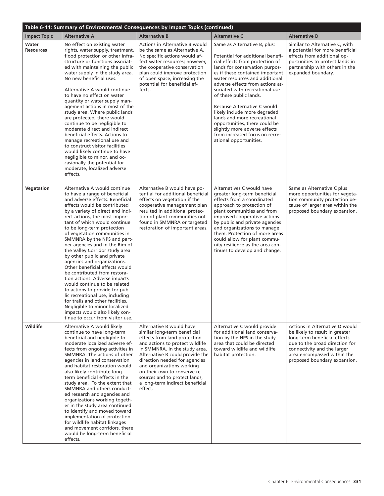| Table 6-11: Summary of Environmental Consequences by Impact Topics (continued) |                                                                                                                                                                                                                                                                                                                                                                                                                                                                                                                                                                                                                                                                                                                                                                                                                         |                                                                                                                                                                                                                                                                                                                                                                              |                                                                                                                                                                                                                                                                                                                                                                                                                                                                                                                                        |                                                                                                                                                                                                                                  |  |  |
|--------------------------------------------------------------------------------|-------------------------------------------------------------------------------------------------------------------------------------------------------------------------------------------------------------------------------------------------------------------------------------------------------------------------------------------------------------------------------------------------------------------------------------------------------------------------------------------------------------------------------------------------------------------------------------------------------------------------------------------------------------------------------------------------------------------------------------------------------------------------------------------------------------------------|------------------------------------------------------------------------------------------------------------------------------------------------------------------------------------------------------------------------------------------------------------------------------------------------------------------------------------------------------------------------------|----------------------------------------------------------------------------------------------------------------------------------------------------------------------------------------------------------------------------------------------------------------------------------------------------------------------------------------------------------------------------------------------------------------------------------------------------------------------------------------------------------------------------------------|----------------------------------------------------------------------------------------------------------------------------------------------------------------------------------------------------------------------------------|--|--|
| <b>Impact Topic</b>                                                            | <b>Alternative A</b>                                                                                                                                                                                                                                                                                                                                                                                                                                                                                                                                                                                                                                                                                                                                                                                                    | <b>Alternative B</b>                                                                                                                                                                                                                                                                                                                                                         | <b>Alternative C</b>                                                                                                                                                                                                                                                                                                                                                                                                                                                                                                                   | <b>Alternative D</b>                                                                                                                                                                                                             |  |  |
| Water<br><b>Resources</b>                                                      | No effect on existing water<br>rights, water supply, treatment,<br>flood protection or other infra-<br>structure or functions associat-<br>ed with maintaining the public<br>water supply in the study area.<br>No new beneficial uses.<br>Alternative A would continue<br>to have no effect on water<br>quantity or water supply man-<br>agement actions in most of the<br>study area. Where public lands<br>are protected, there would<br>continue to be negligible to<br>moderate direct and indirect<br>beneficial effects. Actions to<br>manage recreational use and<br>to construct visitor facilities<br>would likely continue to have<br>negligible to minor, and oc-<br>casionally the potential for<br>moderate, localized adverse<br>effects.                                                                | Actions in Alternative B would<br>be the same as Alternative A.<br>No specific actions would af-<br>fect water resources; however,<br>the cooperative conservation<br>plan could improve protection<br>of open space, increasing the<br>potential for beneficial ef-<br>fects.                                                                                               | Same as Alternative B, plus:<br>Potential for additional benefi-<br>cial effects from protection of<br>lands for conservation purpos-<br>es if these contained important<br>water resources and additional<br>adverse effects from actions as-<br>sociated with recreational use<br>of these public lands.<br>Because Alternative C would<br>likely include more degraded<br>lands and more recreational<br>opportunities, there could be<br>slightly more adverse effects<br>from increased focus on recre-<br>ational opportunities. | Similar to Alternative C, with<br>a potential for more beneficial<br>effects from additional op-<br>portunities to protect lands in<br>partnership with others in the<br>expanded boundary.                                      |  |  |
| Vegetation                                                                     | Alternative A would continue<br>to have a range of beneficial<br>and adverse effects. Beneficial<br>effects would be contributed<br>by a variety of direct and indi-<br>rect actions, the most impor-<br>tant of which would continue<br>to be long-term protection<br>of vegetation communities in<br>SMMNRA by the NPS and part-<br>ner agencies and in the Rim of<br>the Valley Corridor study area<br>by other public and private<br>agencies and organizations.<br>Other beneficial effects would<br>be contributed from restora-<br>tion actions. Adverse impacts<br>would continue to be related<br>to actions to provide for pub-<br>lic recreational use, including<br>for trails and other facilities.<br>Negligible to minor localized<br>impacts would also likely con-<br>tinue to occur from visitor use. | Alternative B would have po-<br>tential for additional beneficial<br>effects on vegetation if the<br>cooperative management plan<br>resulted in additional protec-<br>tion of plant communities not<br>found in SMMNRA or targeted<br>restoration of important areas.                                                                                                        | Alternatives C would have<br>greater long-term beneficial<br>effects from a coordinated<br>approach to protection of<br>plant communities and from<br>improved cooperative actions<br>by public and private agencies<br>and organizations to manage<br>them. Protection of more areas<br>could allow for plant commu-<br>nity resilience as the area con-<br>tinues to develop and change.                                                                                                                                             | Same as Alternative C plus<br>more opportunities for vegeta-<br>tion community protection be-<br>cause of larger area within the<br>proposed boundary expansion.                                                                 |  |  |
| Wildlife                                                                       | Alternative A would likely<br>continue to have long-term<br>beneficial and negligible to<br>moderate localized adverse ef-<br>fects from ongoing activities in<br>SMMNRA. The actions of other<br>agencies in land conservation<br>and habitat restoration would<br>also likely contribute long-<br>term beneficial effects in the<br>study area. To the extent that<br>SMMNRA and others conduct-<br>ed research and agencies and<br>organizations working togeth-<br>er in the study area continued<br>to identify and moved toward<br>implementation of protection<br>for wildlife habitat linkages<br>and movement corridors, there<br>would be long-term beneficial<br>effects.                                                                                                                                    | Alternative B would have<br>similar long-term beneficial<br>effects from land protection<br>and actions to protect wildlife<br>in SMMNRA. In the study area,<br>Alternative B could provide the<br>direction needed for agencies<br>and organizations working<br>on their own to conserve re-<br>sources and to protect lands,<br>a long-term indirect beneficial<br>effect. | Alternative C would provide<br>for additional land conserva-<br>tion by the NPS in the study<br>area that could be directed<br>toward wildlife and wildlife<br>habitat protection.                                                                                                                                                                                                                                                                                                                                                     | Actions in Alternative D would<br>be likely to result in greater<br>long-term beneficial effects<br>due to the broad direction for<br>connectivity and the larger<br>area encompassed within the<br>proposed boundary expansion. |  |  |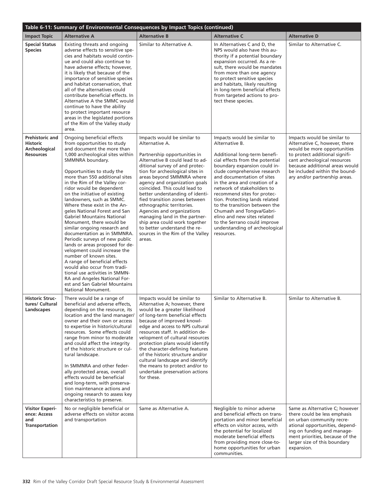| Table 6-11: Summary of Environmental Consequences by Impact Topics (continued) |                                                                                                                                                                                                                                                                                                                                                                                                                                                                                                                                                                                                                                                                                                                                                                                                                                                                      |                                                                                                                                                                                                                                                                                                                                                                                                                                                                                                                                                                     |                                                                                                                                                                                                                                                                                                                                                                                                                                                                                                                             |                                                                                                                                                                                                                                                                   |  |  |
|--------------------------------------------------------------------------------|----------------------------------------------------------------------------------------------------------------------------------------------------------------------------------------------------------------------------------------------------------------------------------------------------------------------------------------------------------------------------------------------------------------------------------------------------------------------------------------------------------------------------------------------------------------------------------------------------------------------------------------------------------------------------------------------------------------------------------------------------------------------------------------------------------------------------------------------------------------------|---------------------------------------------------------------------------------------------------------------------------------------------------------------------------------------------------------------------------------------------------------------------------------------------------------------------------------------------------------------------------------------------------------------------------------------------------------------------------------------------------------------------------------------------------------------------|-----------------------------------------------------------------------------------------------------------------------------------------------------------------------------------------------------------------------------------------------------------------------------------------------------------------------------------------------------------------------------------------------------------------------------------------------------------------------------------------------------------------------------|-------------------------------------------------------------------------------------------------------------------------------------------------------------------------------------------------------------------------------------------------------------------|--|--|
| <b>Impact Topic</b>                                                            | <b>Alternative A</b>                                                                                                                                                                                                                                                                                                                                                                                                                                                                                                                                                                                                                                                                                                                                                                                                                                                 | <b>Alternative B</b>                                                                                                                                                                                                                                                                                                                                                                                                                                                                                                                                                | <b>Alternative C</b>                                                                                                                                                                                                                                                                                                                                                                                                                                                                                                        | <b>Alternative D</b>                                                                                                                                                                                                                                              |  |  |
| <b>Special Status</b><br><b>Species</b>                                        | Existing threats and ongoing<br>adverse effects to sensitive spe-<br>cies and habitats would contin-<br>ue and could also continue to<br>have adverse effects; however,<br>it is likely that because of the<br>importance of sensitive species<br>and habitat conservation, that<br>all of the alternatives could<br>contribute beneficial effects. In<br>Alternative A the SMMC would<br>continue to have the ability<br>to protect important resource<br>areas in the legislated portions<br>of the Rim of the Valley study<br>area.                                                                                                                                                                                                                                                                                                                               | Similar to Alternative A.                                                                                                                                                                                                                                                                                                                                                                                                                                                                                                                                           | In Alternatives C and D, the<br>NPS would also have this au-<br>thority if a potential boundary<br>expansion occurred. As a re-<br>sult, there would be mandates<br>from more than one agency<br>to protect sensitive species<br>and habitats, likely resulting<br>in long-term beneficial effects<br>from targeted actions to pro-<br>tect these species.                                                                                                                                                                  | Similar to Alternative C.                                                                                                                                                                                                                                         |  |  |
| <b>Prehistoric and</b><br><b>Historic</b><br>Archeological<br><b>Resources</b> | Ongoing beneficial effects<br>from opportunities to study<br>and document the more than<br>1,000 archeological sites within<br>SMMNRA boundary.<br>Opportunities to study the<br>more than 550 additional sites<br>in the Rim of the Valley cor-<br>ridor would be dependent<br>on the initiative of existing<br>landowners, such as SMMC.<br>Where these exist in the An-<br>geles National Forest and San<br><b>Gabriel Mountains National</b><br>Monument, there would be<br>similar ongoing research and<br>documentation as in SMMNRA.<br>Periodic surveys of new public<br>lands or areas proposed for de-<br>velopment could increase the<br>number of known sites.<br>A range of beneficial effects<br>would also occur from tradi-<br>tional use activities in SMMN-<br>RA and Angeles National For-<br>est and San Gabriel Mountains<br>National Monument. | Impacts would be similar to<br>Alternative A.<br>Partnership opportunities in<br>Alternative B could lead to ad-<br>ditional survey of and protec-<br>tion for archeological sites in<br>areas beyond SMMNRA where<br>agency and organization goals<br>coincided. This could lead to<br>better understanding of identi-<br>fied transition zones between<br>ethnographic territories.<br>Agencies and organizations<br>managing land in the partner-<br>ship area could work together<br>to better understand the re-<br>sources in the Rim of the Valley<br>areas. | Impacts would be similar to<br>Alternative B.<br>Additional long-term benefi-<br>cial effects from the potential<br>boundary expansion could in-<br>clude comprehensive research<br>and documentation of sites<br>in the area and creation of a<br>network of stakeholders to<br>recommend sites for protec-<br>tion. Protecting lands related<br>to the transition between the<br>Chumash and Tongva/Gabri-<br>elino and new sites related<br>to the Serrano could improve<br>understanding of archeological<br>resources. | Impacts would be similar to<br>Alternative C, however, there<br>would be more opportunities<br>to protect additional signifi-<br>cant archeological resources<br>because additional areas would<br>be included within the bound-<br>ary and/or partnership areas. |  |  |
| <b>Historic Struc-</b><br>tures/ Cultural<br>Landscapes                        | There would be a range of<br>beneficial and adverse effects,<br>depending on the resource, its<br>location and the land manager/<br>owner and their own or access<br>to expertise in historic/cultural<br>resources. Some effects could<br>range from minor to moderate<br>and could affect the integrity<br>of the historic structure or cul-<br>tural landscape.<br>In SMMNRA and other feder-<br>ally protected areas, overall<br>effects would be beneficial<br>and long-term, with preserva-<br>tion maintenance actions and<br>ongoing research to assess key<br>characteristics to preserve.                                                                                                                                                                                                                                                                  | Impacts would be similar to<br>Alternative A; however, there<br>would be a greater likelihood<br>of long-term beneficial effects<br>because of improved knowl-<br>edge and access to NPS cultural<br>resources staff. In addition de-<br>velopment of cultural resources<br>protection plans would identify<br>the character-defining features<br>of the historic structure and/or<br>cultural landscape and identify<br>the means to protect and/or to<br>undertake preservation actions<br>for these.                                                             | Similar to Alternative B.                                                                                                                                                                                                                                                                                                                                                                                                                                                                                                   | Similar to Alternative B.                                                                                                                                                                                                                                         |  |  |
| <b>Visitor Experi-</b><br>ence: Access<br>and<br><b>Transportation</b>         | No or negligible beneficial or<br>adverse effects on visitor access<br>and transportation                                                                                                                                                                                                                                                                                                                                                                                                                                                                                                                                                                                                                                                                                                                                                                            | Same as Alternative A.                                                                                                                                                                                                                                                                                                                                                                                                                                                                                                                                              | Negligible to minor adverse<br>and beneficial effects on trans-<br>portation and minor beneficial<br>effects on visitor access, with<br>the potential for localized<br>moderate beneficial effects<br>from providing more close-to-<br>home opportunities for urban<br>communities.                                                                                                                                                                                                                                         | Same as Alternative C; however<br>there could be less emphasis<br>on urban community recre-<br>ational opportunities, depend-<br>ing on funding and manage-<br>ment priorities, because of the<br>larger size of this boundary<br>expansion.                      |  |  |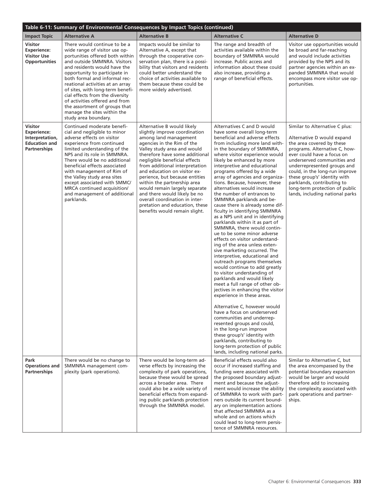| Table 6-11: Summary of Environmental Consequences by Impact Topics (continued)                         |                                                                                                                                                                                                                                                                                                                                                                                                                                                                         |                                                                                                                                                                                                                                                                                                                                                                                                                                                                                                                               |                                                                                                                                                                                                                                                                                                                                                                                                                                                                                                                                                                                                                                                                                                                                                                                                                                                                                                                                                                                                                                                                                                                                                                                                                                                                                                                                  |                                                                                                                                                                                                                                                                                                                                                                                             |  |  |  |
|--------------------------------------------------------------------------------------------------------|-------------------------------------------------------------------------------------------------------------------------------------------------------------------------------------------------------------------------------------------------------------------------------------------------------------------------------------------------------------------------------------------------------------------------------------------------------------------------|-------------------------------------------------------------------------------------------------------------------------------------------------------------------------------------------------------------------------------------------------------------------------------------------------------------------------------------------------------------------------------------------------------------------------------------------------------------------------------------------------------------------------------|----------------------------------------------------------------------------------------------------------------------------------------------------------------------------------------------------------------------------------------------------------------------------------------------------------------------------------------------------------------------------------------------------------------------------------------------------------------------------------------------------------------------------------------------------------------------------------------------------------------------------------------------------------------------------------------------------------------------------------------------------------------------------------------------------------------------------------------------------------------------------------------------------------------------------------------------------------------------------------------------------------------------------------------------------------------------------------------------------------------------------------------------------------------------------------------------------------------------------------------------------------------------------------------------------------------------------------|---------------------------------------------------------------------------------------------------------------------------------------------------------------------------------------------------------------------------------------------------------------------------------------------------------------------------------------------------------------------------------------------|--|--|--|
| <b>Impact Topic</b>                                                                                    | <b>Alternative A</b>                                                                                                                                                                                                                                                                                                                                                                                                                                                    | <b>Alternative B</b>                                                                                                                                                                                                                                                                                                                                                                                                                                                                                                          | <b>Alternative C</b>                                                                                                                                                                                                                                                                                                                                                                                                                                                                                                                                                                                                                                                                                                                                                                                                                                                                                                                                                                                                                                                                                                                                                                                                                                                                                                             | <b>Alternative D</b>                                                                                                                                                                                                                                                                                                                                                                        |  |  |  |
| <b>Visitor</b><br><b>Experience:</b><br><b>Visitor Use</b><br><b>Opportunities</b>                     | There would continue to be a<br>wide range of visitor use op-<br>portunities offered both within<br>and outside SMMNRA. Visitors<br>and residents would have the<br>opportunity to participate in<br>both formal and informal rec-<br>reational activities at an array<br>of sites, with long-term benefi-<br>cial effects from the diversity<br>of activities offered and from<br>the assortment of groups that<br>manage the sites within the<br>study area boundary. | Impacts would be similar to<br>Alternative A, except that<br>through the cooperative con-<br>servation plan, there is a possi-<br>bility that visitors and residents<br>could better understand the<br>choice of activities available to<br>them because these could be<br>more widely advertised.                                                                                                                                                                                                                            | The range and breadth of<br>activities available within the<br>boundary of SMMNRA would<br>increase. Public access and<br>information about these could<br>also increase, providing a<br>range of beneficial effects.                                                                                                                                                                                                                                                                                                                                                                                                                                                                                                                                                                                                                                                                                                                                                                                                                                                                                                                                                                                                                                                                                                            | Visitor use opportunities would<br>be broad and far-reaching<br>and would include activities<br>provided by the NPS and its<br>partner agencies within an ex-<br>panded SMMNRA that would<br>encompass more visitor use op-<br>portunities.                                                                                                                                                 |  |  |  |
| <b>Visitor</b><br><b>Experience:</b><br>Interpretation,<br><b>Education and</b><br><b>Partnerships</b> | Continued moderate benefi-<br>cial and negligible to minor<br>adverse effects on visitor<br>experience from continued<br>limited understanding of the<br>NPS and its role in SMMNRA.<br>There would be no additional<br>beneficial effects associated<br>with management of Rim of<br>the Valley study area sites<br>except associated with SMMC/<br>MRCA continued acquisition/<br>and management of additional<br>parklands.                                          | Alternative B would likely<br>slightly improve coordination<br>among land management<br>agencies in the Rim of the<br>Valley study area and would<br>therefore have some additional<br>negligible beneficial effects<br>from additional interpretation<br>and education on visitor ex-<br>perience, but because entities<br>within the partnership area<br>would remain largely separate<br>and there would likely be no<br>overall coordination in inter-<br>pretation and education, these<br>benefits would remain slight. | Alternatives C and D would<br>have some overall long-term<br>beneficial and adverse effects<br>from including more land with-<br>in the boundary of SMMNRA,<br>where visitor experience would<br>likely be enhanced by more<br>interpretive and educational<br>programs offered by a wide<br>array of agencies and organiza-<br>tions. Because, however, these<br>alternatives would increase<br>the number of entrances to<br>SMMNRA parklands and be-<br>cause there is already some dif-<br>ficulty in identifying SMMNRA<br>as a NPS unit and in identifying<br>parklands within it as part of<br>SMMNRA, there would contin-<br>ue to be some minor adverse<br>effects on visitor understand-<br>ing of the area unless exten-<br>sive marketing occurred. The<br>interpretive, educational and<br>outreach programs themselves<br>would continue to add greatly<br>to visitor understanding of<br>parklands and would likely<br>meet a full range of other ob-<br>jectives in enhancing the visitor<br>experience in these areas.<br>Alternative C, however would<br>have a focus on underserved<br>communities and underrep-<br>resented groups and could,<br>in the long-run improve<br>these group's' identity with<br>parklands, contributing to<br>long-term protection of public<br>lands, including national parks. | Similar to Alternative C plus:<br>Alternative D would expand<br>the area covered by these<br>programs. Alternative C, how-<br>ever could have a focus on<br>underserved communities and<br>underrepresented groups and<br>could, in the long-run improve<br>these group's' identity with<br>parklands, contributing to<br>long-term protection of public<br>lands, including national parks |  |  |  |
| Park<br><b>Operations and</b><br><b>Partnerships</b>                                                   | There would be no change to<br>SMMNRA management com-<br>plexity (park operations).                                                                                                                                                                                                                                                                                                                                                                                     | There would be long-term ad-<br>verse effects by increasing the<br>complexity of park operations,<br>because these would be spread<br>across a broader area. There<br>could also be a wide variety of<br>beneficial effects from expand-<br>ing public parklands protection<br>through the SMMNRA model.                                                                                                                                                                                                                      | Beneficial effects would also<br>occur if increased staffing and<br>funding were associated with<br>the proposed boundary adjust-<br>ment and because the adjust-<br>ment would increase the ability<br>of SMMNRA to work with part-<br>ners outside its current bound-<br>ary on implementation actions<br>that affected SMMNRA as a<br>whole and on actions which<br>could lead to long-term persis-<br>tence of SMMNRA resources.                                                                                                                                                                                                                                                                                                                                                                                                                                                                                                                                                                                                                                                                                                                                                                                                                                                                                             | Similar to Alternative C, but<br>the area encompassed by the<br>potential boundary expansion<br>would be larger and would<br>therefore add to increasing<br>the complexity associated with<br>park operations and partner-<br>ships.                                                                                                                                                        |  |  |  |